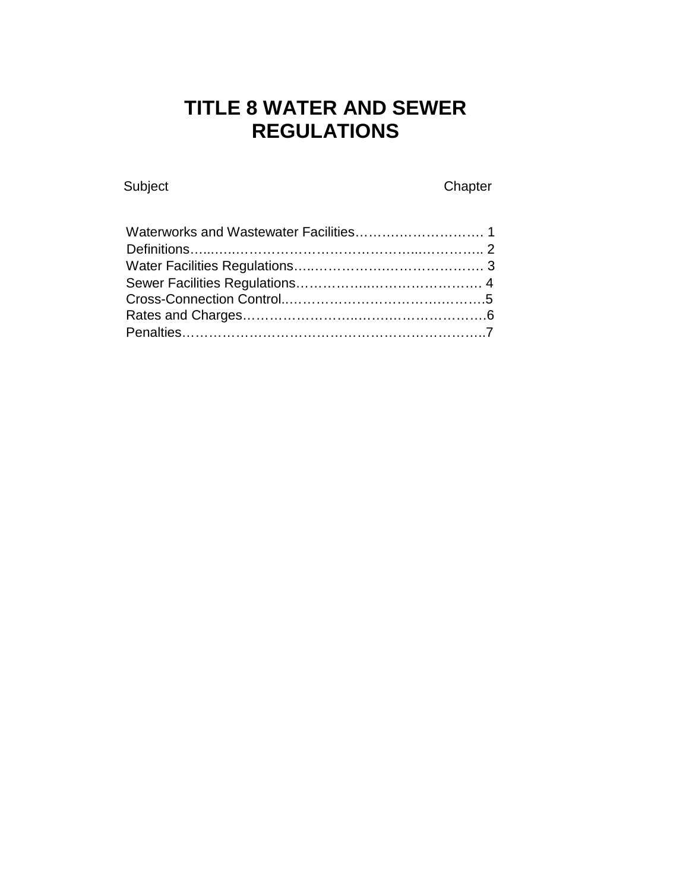# **TITLE 8 WATER AND SEWER REGULATIONS**

Subject Chapter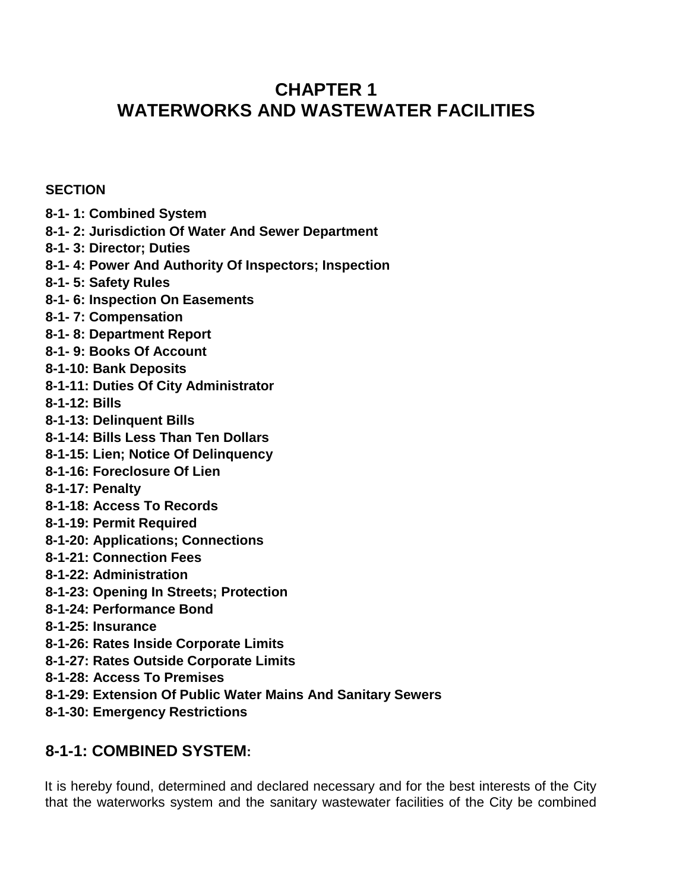## **CHAPTER 1 WATERWORKS AND WASTEWATER FACILITIES**

#### **SECTION**

- **8-1- 1: Combined System**
- **8-1- 2: Jurisdiction Of Water And Sewer Department**
- **8-1- 3: Director; Duties**
- **8-1- 4: Power And Authority Of Inspectors; Inspection**
- **8-1- 5: Safety Rules**
- **8-1- 6: Inspection On Easements**
- **8-1- 7: Compensation**
- **8-1- 8: Department Report**
- **8-1- 9: Books Of Account**
- **8-1-10: Bank Deposits**
- **8-1-11: Duties Of City Administrator**
- **8-1-12: Bills**
- **8-1-13: Delinquent Bills**
- **8-1-14: Bills Less Than Ten Dollars**
- **8-1-15: Lien; Notice Of Delinquency**
- **8-1-16: Foreclosure Of Lien**
- **8-1-17: Penalty**
- **8-1-18: Access To Records**
- **8-1-19: Permit Required**
- **8-1-20: Applications; Connections**
- **8-1-21: Connection Fees**
- **8-1-22: Administration**
- **8-1-23: Opening In Streets; Protection**
- **8-1-24: Performance Bond**
- **8-1-25: Insurance**
- **8-1-26: Rates Inside Corporate Limits**
- **8-1-27: Rates Outside Corporate Limits**
- **8-1-28: Access To Premises**
- **8-1-29: Extension Of Public Water Mains And Sanitary Sewers**
- **8-1-30: Emergency Restrictions**

## **8-1-1: COMBINED SYSTEM:**

It is hereby found, determined and declared necessary and for the best interests of the City that the waterworks system and the sanitary wastewater facilities of the City be combined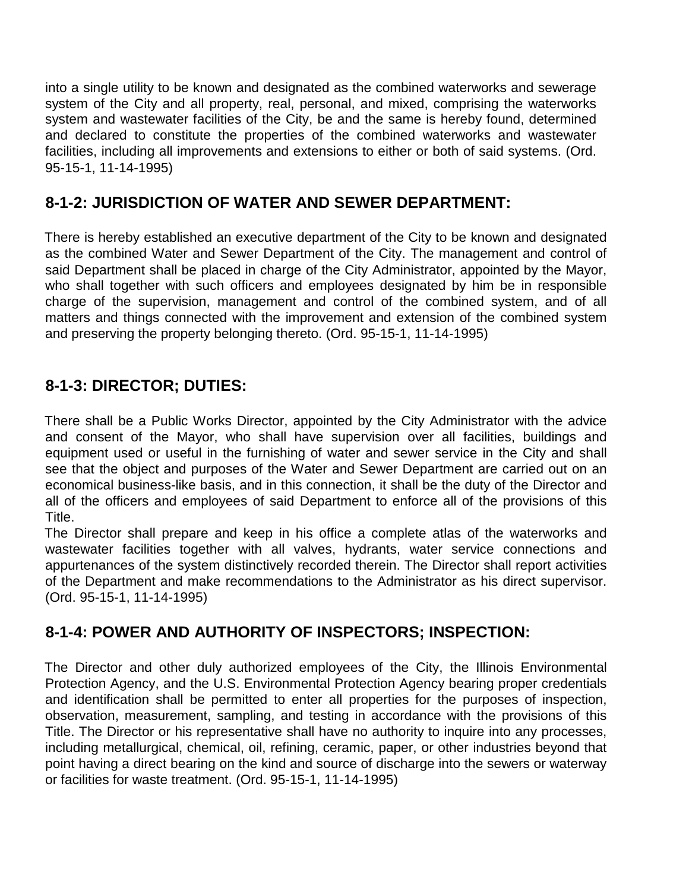into a single utility to be known and designated as the combined waterworks and sewerage system of the City and all property, real, personal, and mixed, comprising the waterworks system and wastewater facilities of the City, be and the same is hereby found, determined and declared to constitute the properties of the combined waterworks and wastewater facilities, including all improvements and extensions to either or both of said systems. (Ord. 95-15-1, 11-14-1995)

## **8-1-2: JURISDICTION OF WATER AND SEWER DEPARTMENT:**

There is hereby established an executive department of the City to be known and designated as the combined Water and Sewer Department of the City. The management and control of said Department shall be placed in charge of the City Administrator, appointed by the Mayor, who shall together with such officers and employees designated by him be in responsible charge of the supervision, management and control of the combined system, and of all matters and things connected with the improvement and extension of the combined system and preserving the property belonging thereto. (Ord. 95-15-1, 11-14-1995)

## **8-1-3: DIRECTOR; DUTIES:**

There shall be a Public Works Director, appointed by the City Administrator with the advice and consent of the Mayor, who shall have supervision over all facilities, buildings and equipment used or useful in the furnishing of water and sewer service in the City and shall see that the object and purposes of the Water and Sewer Department are carried out on an economical business-like basis, and in this connection, it shall be the duty of the Director and all of the officers and employees of said Department to enforce all of the provisions of this Title.

The Director shall prepare and keep in his office a complete atlas of the waterworks and wastewater facilities together with all valves, hydrants, water service connections and appurtenances of the system distinctively recorded therein. The Director shall report activities of the Department and make recommendations to the Administrator as his direct supervisor. (Ord. 95-15-1, 11-14-1995)

## **8-1-4: POWER AND AUTHORITY OF INSPECTORS; INSPECTION:**

The Director and other duly authorized employees of the City, the Illinois Environmental Protection Agency, and the U.S. Environmental Protection Agency bearing proper credentials and identification shall be permitted to enter all properties for the purposes of inspection, observation, measurement, sampling, and testing in accordance with the provisions of this Title. The Director or his representative shall have no authority to inquire into any processes, including metallurgical, chemical, oil, refining, ceramic, paper, or other industries beyond that point having a direct bearing on the kind and source of discharge into the sewers or waterway or facilities for waste treatment. (Ord. 95-15-1, 11-14-1995)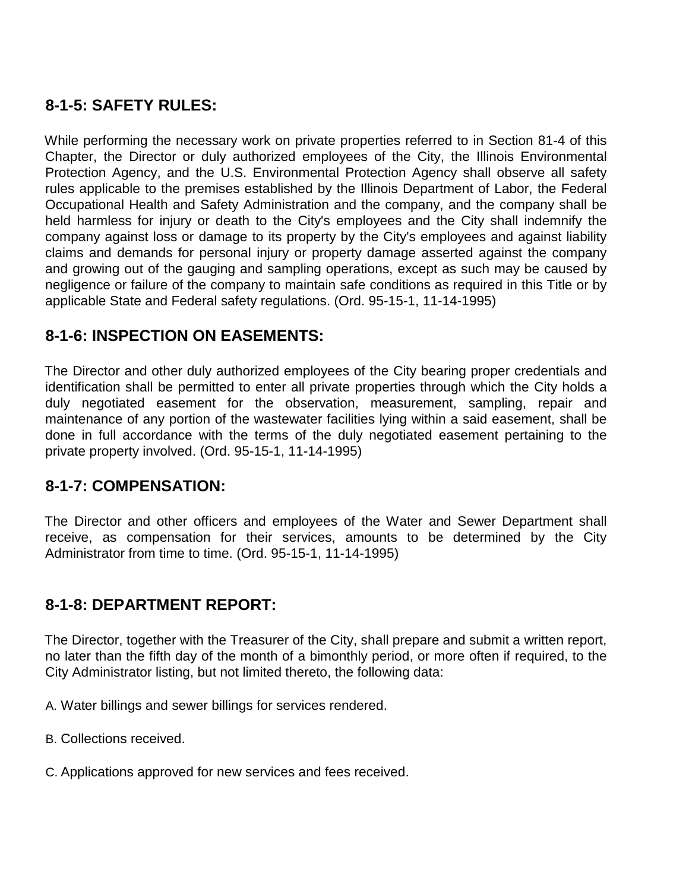## **8-1-5: SAFETY RULES:**

While performing the necessary work on private properties referred to in Section 81-4 of this Chapter, the Director or duly authorized employees of the City, the Illinois Environmental Protection Agency, and the U.S. Environmental Protection Agency shall observe all safety rules applicable to the premises established by the Illinois Department of Labor, the Federal Occupational Health and Safety Administration and the company, and the company shall be held harmless for injury or death to the City's employees and the City shall indemnify the company against loss or damage to its property by the City's employees and against liability claims and demands for personal injury or property damage asserted against the company and growing out of the gauging and sampling operations, except as such may be caused by negligence or failure of the company to maintain safe conditions as required in this Title or by applicable State and Federal safety regulations. (Ord. 95-15-1, 11-14-1995)

#### **8-1-6: INSPECTION ON EASEMENTS:**

The Director and other duly authorized employees of the City bearing proper credentials and identification shall be permitted to enter all private properties through which the City holds a duly negotiated easement for the observation, measurement, sampling, repair and maintenance of any portion of the wastewater facilities lying within a said easement, shall be done in full accordance with the terms of the duly negotiated easement pertaining to the private property involved. (Ord. 95-15-1, 11-14-1995)

#### **8-1-7: COMPENSATION:**

The Director and other officers and employees of the Water and Sewer Department shall receive, as compensation for their services, amounts to be determined by the City Administrator from time to time. (Ord. 95-15-1, 11-14-1995)

#### **8-1-8: DEPARTMENT REPORT:**

The Director, together with the Treasurer of the City, shall prepare and submit a written report, no later than the fifth day of the month of a bimonthly period, or more often if required, to the City Administrator listing, but not limited thereto, the following data:

A. Water billings and sewer billings for services rendered.

B. Collections received.

C. Applications approved for new services and fees received.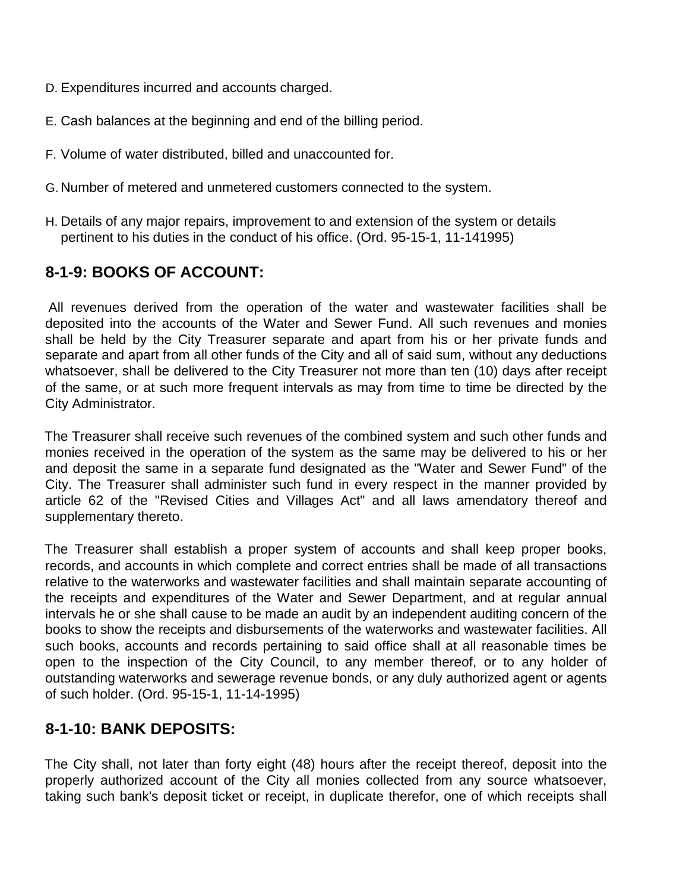- D. Expenditures incurred and accounts charged.
- E. Cash balances at the beginning and end of the billing period.
- F. Volume of water distributed, billed and unaccounted for.
- G. Number of metered and unmetered customers connected to the system.
- H. Details of any major repairs, improvement to and extension of the system or details pertinent to his duties in the conduct of his office. (Ord. 95-15-1, 11-141995)

#### **8-1-9: BOOKS OF ACCOUNT:**

All revenues derived from the operation of the water and wastewater facilities shall be deposited into the accounts of the Water and Sewer Fund. All such revenues and monies shall be held by the City Treasurer separate and apart from his or her private funds and separate and apart from all other funds of the City and all of said sum, without any deductions whatsoever, shall be delivered to the City Treasurer not more than ten (10) days after receipt of the same, or at such more frequent intervals as may from time to time be directed by the City Administrator.

The Treasurer shall receive such revenues of the combined system and such other funds and monies received in the operation of the system as the same may be delivered to his or her and deposit the same in a separate fund designated as the "Water and Sewer Fund" of the City. The Treasurer shall administer such fund in every respect in the manner provided by article 62 of the "Revised Cities and Villages Act" and all laws amendatory thereof and supplementary thereto.

The Treasurer shall establish a proper system of accounts and shall keep proper books, records, and accounts in which complete and correct entries shall be made of all transactions relative to the waterworks and wastewater facilities and shall maintain separate accounting of the receipts and expenditures of the Water and Sewer Department, and at regular annual intervals he or she shall cause to be made an audit by an independent auditing concern of the books to show the receipts and disbursements of the waterworks and wastewater facilities. All such books, accounts and records pertaining to said office shall at all reasonable times be open to the inspection of the City Council, to any member thereof, or to any holder of outstanding waterworks and sewerage revenue bonds, or any duly authorized agent or agents of such holder. (Ord. 95-15-1, 11-14-1995)

#### **8-1-10: BANK DEPOSITS:**

The City shall, not later than forty eight (48) hours after the receipt thereof, deposit into the properly authorized account of the City all monies collected from any source whatsoever, taking such bank's deposit ticket or receipt, in duplicate therefor, one of which receipts shall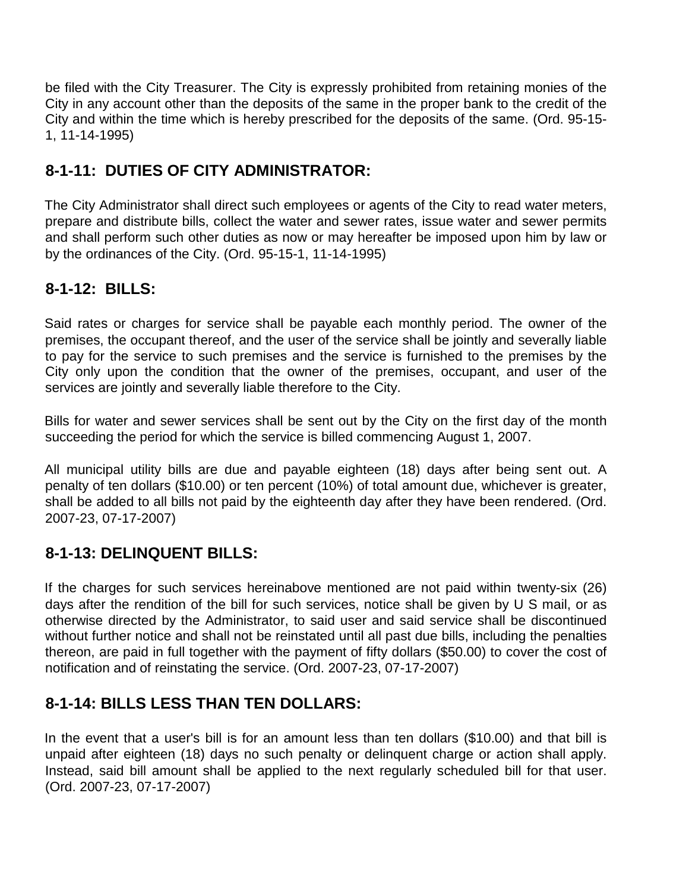be filed with the City Treasurer. The City is expressly prohibited from retaining monies of the City in any account other than the deposits of the same in the proper bank to the credit of the City and within the time which is hereby prescribed for the deposits of the same. (Ord. 95-15- 1, 11-14-1995)

## **8-1-11: DUTIES OF CITY ADMINISTRATOR:**

The City Administrator shall direct such employees or agents of the City to read water meters, prepare and distribute bills, collect the water and sewer rates, issue water and sewer permits and shall perform such other duties as now or may hereafter be imposed upon him by law or by the ordinances of the City. (Ord. 95-15-1, 11-14-1995)

## **8-1-12: BILLS:**

Said rates or charges for service shall be payable each monthly period. The owner of the premises, the occupant thereof, and the user of the service shall be jointly and severally liable to pay for the service to such premises and the service is furnished to the premises by the City only upon the condition that the owner of the premises, occupant, and user of the services are jointly and severally liable therefore to the City.

Bills for water and sewer services shall be sent out by the City on the first day of the month succeeding the period for which the service is billed commencing August 1, 2007.

All municipal utility bills are due and payable eighteen (18) days after being sent out. A penalty of ten dollars (\$10.00) or ten percent (10%) of total amount due, whichever is greater, shall be added to all bills not paid by the eighteenth day after they have been rendered. (Ord. 2007-23, 07-17-2007)

## **8-1-13: DELINQUENT BILLS:**

If the charges for such services hereinabove mentioned are not paid within twenty-six (26) days after the rendition of the bill for such services, notice shall be given by U S mail, or as otherwise directed by the Administrator, to said user and said service shall be discontinued without further notice and shall not be reinstated until all past due bills, including the penalties thereon, are paid in full together with the payment of fifty dollars (\$50.00) to cover the cost of notification and of reinstating the service. (Ord. 2007-23, 07-17-2007)

## **8-1-14: BILLS LESS THAN TEN DOLLARS:**

In the event that a user's bill is for an amount less than ten dollars (\$10.00) and that bill is unpaid after eighteen (18) days no such penalty or delinquent charge or action shall apply. Instead, said bill amount shall be applied to the next regularly scheduled bill for that user. (Ord. 2007-23, 07-17-2007)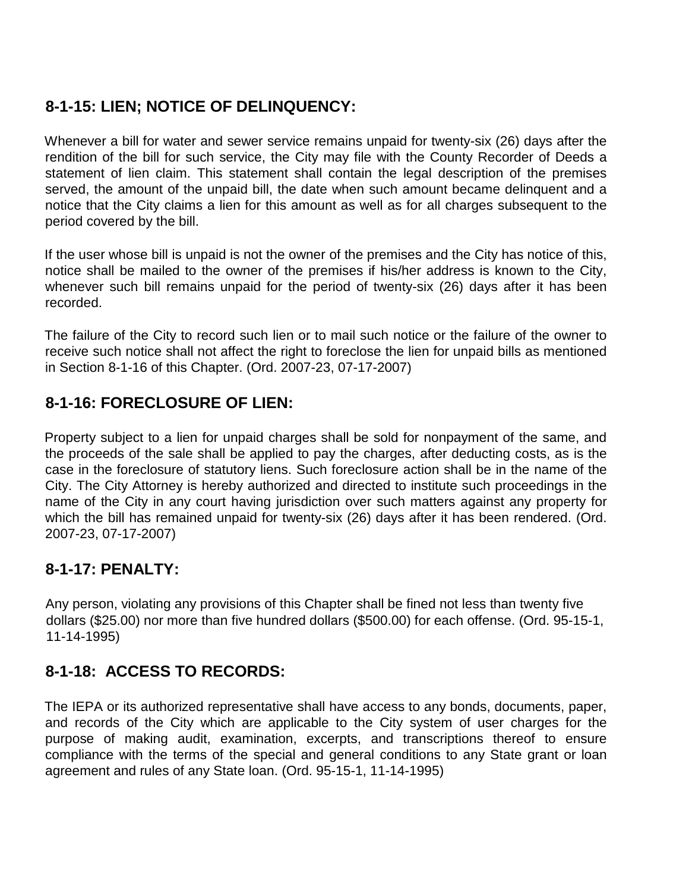## **8-1-15: LIEN; NOTICE OF DELINQUENCY:**

Whenever a bill for water and sewer service remains unpaid for twenty-six (26) days after the rendition of the bill for such service, the City may file with the County Recorder of Deeds a statement of lien claim. This statement shall contain the legal description of the premises served, the amount of the unpaid bill, the date when such amount became delinquent and a notice that the City claims a lien for this amount as well as for all charges subsequent to the period covered by the bill.

If the user whose bill is unpaid is not the owner of the premises and the City has notice of this, notice shall be mailed to the owner of the premises if his/her address is known to the City, whenever such bill remains unpaid for the period of twenty-six (26) days after it has been recorded.

The failure of the City to record such lien or to mail such notice or the failure of the owner to receive such notice shall not affect the right to foreclose the lien for unpaid bills as mentioned in Section 8-1-16 of this Chapter. (Ord. 2007-23, 07-17-2007)

## **8-1-16: FORECLOSURE OF LIEN:**

Property subject to a lien for unpaid charges shall be sold for nonpayment of the same, and the proceeds of the sale shall be applied to pay the charges, after deducting costs, as is the case in the foreclosure of statutory liens. Such foreclosure action shall be in the name of the City. The City Attorney is hereby authorized and directed to institute such proceedings in the name of the City in any court having jurisdiction over such matters against any property for which the bill has remained unpaid for twenty-six (26) days after it has been rendered. (Ord. 2007-23, 07-17-2007)

## **8-1-17: PENALTY:**

Any person, violating any provisions of this Chapter shall be fined not less than twenty five dollars (\$25.00) nor more than five hundred dollars (\$500.00) for each offense. (Ord. 95-15-1, 11-14-1995)

## **8-1-18: ACCESS TO RECORDS:**

The IEPA or its authorized representative shall have access to any bonds, documents, paper, and records of the City which are applicable to the City system of user charges for the purpose of making audit, examination, excerpts, and transcriptions thereof to ensure compliance with the terms of the special and general conditions to any State grant or loan agreement and rules of any State loan. (Ord. 95-15-1, 11-14-1995)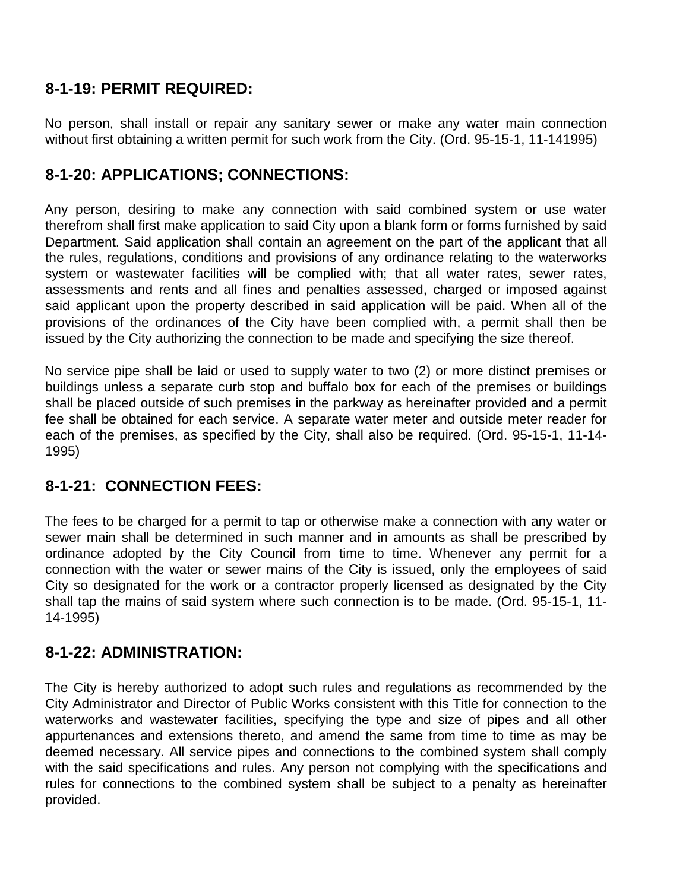#### **8-1-19: PERMIT REQUIRED:**

No person, shall install or repair any sanitary sewer or make any water main connection without first obtaining a written permit for such work from the City. (Ord. 95-15-1, 11-141995)

## **8-1-20: APPLICATIONS; CONNECTIONS:**

Any person, desiring to make any connection with said combined system or use water therefrom shall first make application to said City upon a blank form or forms furnished by said Department. Said application shall contain an agreement on the part of the applicant that all the rules, regulations, conditions and provisions of any ordinance relating to the waterworks system or wastewater facilities will be complied with; that all water rates, sewer rates, assessments and rents and all fines and penalties assessed, charged or imposed against said applicant upon the property described in said application will be paid. When all of the provisions of the ordinances of the City have been complied with, a permit shall then be issued by the City authorizing the connection to be made and specifying the size thereof.

No service pipe shall be laid or used to supply water to two (2) or more distinct premises or buildings unless a separate curb stop and buffalo box for each of the premises or buildings shall be placed outside of such premises in the parkway as hereinafter provided and a permit fee shall be obtained for each service. A separate water meter and outside meter reader for each of the premises, as specified by the City, shall also be required. (Ord. 95-15-1, 11-14- 1995)

## **8-1-21: CONNECTION FEES:**

The fees to be charged for a permit to tap or otherwise make a connection with any water or sewer main shall be determined in such manner and in amounts as shall be prescribed by ordinance adopted by the City Council from time to time. Whenever any permit for a connection with the water or sewer mains of the City is issued, only the employees of said City so designated for the work or a contractor properly licensed as designated by the City shall tap the mains of said system where such connection is to be made. (Ord. 95-15-1, 11- 14-1995)

#### **8-1-22: ADMINISTRATION:**

The City is hereby authorized to adopt such rules and regulations as recommended by the City Administrator and Director of Public Works consistent with this Title for connection to the waterworks and wastewater facilities, specifying the type and size of pipes and all other appurtenances and extensions thereto, and amend the same from time to time as may be deemed necessary. All service pipes and connections to the combined system shall comply with the said specifications and rules. Any person not complying with the specifications and rules for connections to the combined system shall be subject to a penalty as hereinafter provided.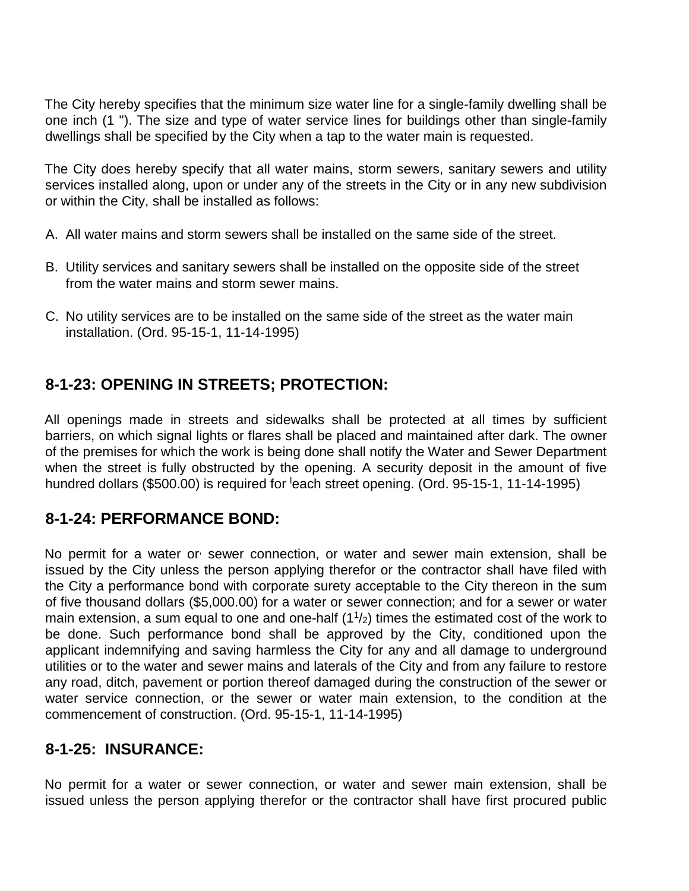The City hereby specifies that the minimum size water line for a single-family dwelling shall be one inch (1 "). The size and type of water service lines for buildings other than single-family dwellings shall be specified by the City when a tap to the water main is requested.

The City does hereby specify that all water mains, storm sewers, sanitary sewers and utility services installed along, upon or under any of the streets in the City or in any new subdivision or within the City, shall be installed as follows:

- A. All water mains and storm sewers shall be installed on the same side of the street.
- B. Utility services and sanitary sewers shall be installed on the opposite side of the street from the water mains and storm sewer mains.
- C. No utility services are to be installed on the same side of the street as the water main installation. (Ord. 95-15-1, 11-14-1995)

## **8-1-23: OPENING IN STREETS; PROTECTION:**

All openings made in streets and sidewalks shall be protected at all times by sufficient barriers, on which signal lights or flares shall be placed and maintained after dark. The owner of the premises for which the work is being done shall notify the Water and Sewer Department when the street is fully obstructed by the opening. A security deposit in the amount of five hundred dollars (\$500.00) is required for <sup>l</sup>each street opening. (Ord. 95-15-1, 11-14-1995)

## **8-1-24: PERFORMANCE BOND:**

No permit for a water or sewer connection, or water and sewer main extension, shall be issued by the City unless the person applying therefor or the contractor shall have filed with the City a performance bond with corporate surety acceptable to the City thereon in the sum of five thousand dollars (\$5,000.00) for a water or sewer connection; and for a sewer or water main extension, a sum equal to one and one-half  $(1<sup>1</sup>/2)$  times the estimated cost of the work to be done. Such performance bond shall be approved by the City, conditioned upon the applicant indemnifying and saving harmless the City for any and all damage to underground utilities or to the water and sewer mains and laterals of the City and from any failure to restore any road, ditch, pavement or portion thereof damaged during the construction of the sewer or water service connection, or the sewer or water main extension, to the condition at the commencement of construction. (Ord. 95-15-1, 11-14-1995)

## **8-1-25: INSURANCE:**

No permit for a water or sewer connection, or water and sewer main extension, shall be issued unless the person applying therefor or the contractor shall have first procured public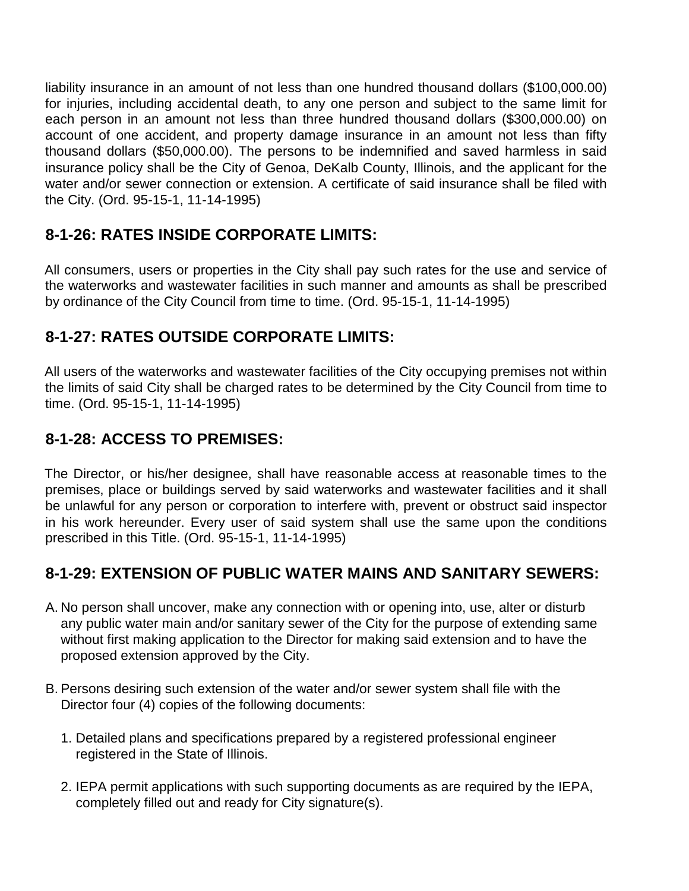liability insurance in an amount of not less than one hundred thousand dollars (\$100,000.00) for injuries, including accidental death, to any one person and subject to the same limit for each person in an amount not less than three hundred thousand dollars (\$300,000.00) on account of one accident, and property damage insurance in an amount not less than fifty thousand dollars (\$50,000.00). The persons to be indemnified and saved harmless in said insurance policy shall be the City of Genoa, DeKalb County, Illinois, and the applicant for the water and/or sewer connection or extension. A certificate of said insurance shall be filed with the City. (Ord. 95-15-1, 11-14-1995)

## **8-1-26: RATES INSIDE CORPORATE LIMITS:**

All consumers, users or properties in the City shall pay such rates for the use and service of the waterworks and wastewater facilities in such manner and amounts as shall be prescribed by ordinance of the City Council from time to time. (Ord. 95-15-1, 11-14-1995)

#### **8-1-27: RATES OUTSIDE CORPORATE LIMITS:**

All users of the waterworks and wastewater facilities of the City occupying premises not within the limits of said City shall be charged rates to be determined by the City Council from time to time. (Ord. 95-15-1, 11-14-1995)

#### **8-1-28: ACCESS TO PREMISES:**

The Director, or his/her designee, shall have reasonable access at reasonable times to the premises, place or buildings served by said waterworks and wastewater facilities and it shall be unlawful for any person or corporation to interfere with, prevent or obstruct said inspector in his work hereunder. Every user of said system shall use the same upon the conditions prescribed in this Title. (Ord. 95-15-1, 11-14-1995)

## **8-1-29: EXTENSION OF PUBLIC WATER MAINS AND SANITARY SEWERS:**

- A. No person shall uncover, make any connection with or opening into, use, alter or disturb any public water main and/or sanitary sewer of the City for the purpose of extending same without first making application to the Director for making said extension and to have the proposed extension approved by the City.
- B. Persons desiring such extension of the water and/or sewer system shall file with the Director four (4) copies of the following documents:
	- 1. Detailed plans and specifications prepared by a registered professional engineer registered in the State of Illinois.
	- 2. IEPA permit applications with such supporting documents as are required by the IEPA, completely filled out and ready for City signature(s).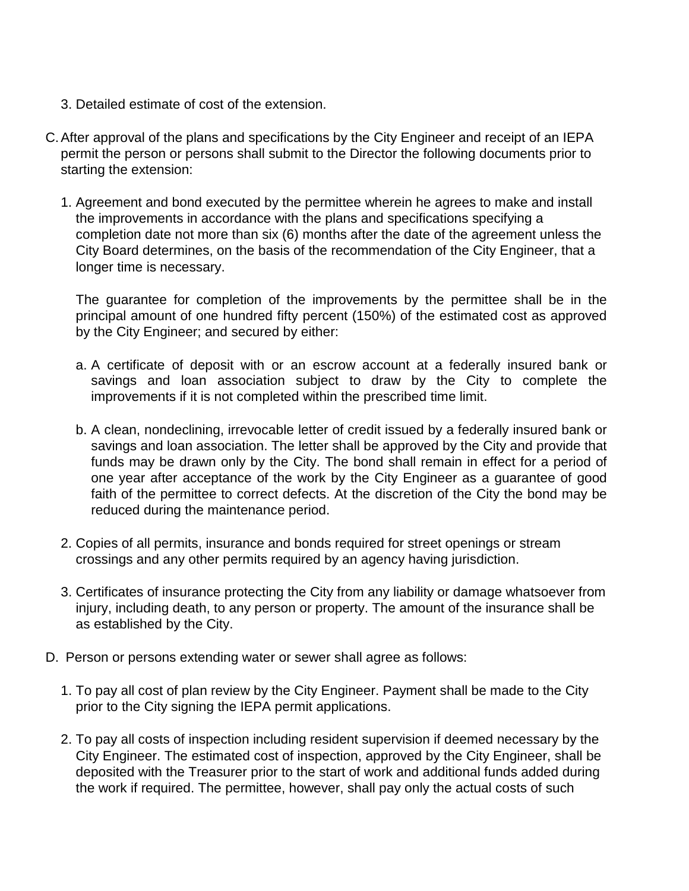- 3. Detailed estimate of cost of the extension.
- C.After approval of the plans and specifications by the City Engineer and receipt of an IEPA permit the person or persons shall submit to the Director the following documents prior to starting the extension:
	- 1. Agreement and bond executed by the permittee wherein he agrees to make and install the improvements in accordance with the plans and specifications specifying a completion date not more than six (6) months after the date of the agreement unless the City Board determines, on the basis of the recommendation of the City Engineer, that a longer time is necessary.

The guarantee for completion of the improvements by the permittee shall be in the principal amount of one hundred fifty percent (150%) of the estimated cost as approved by the City Engineer; and secured by either:

- a. A certificate of deposit with or an escrow account at a federally insured bank or savings and loan association subject to draw by the City to complete the improvements if it is not completed within the prescribed time limit.
- b. A clean, nondeclining, irrevocable letter of credit issued by a federally insured bank or savings and loan association. The letter shall be approved by the City and provide that funds may be drawn only by the City. The bond shall remain in effect for a period of one year after acceptance of the work by the City Engineer as a guarantee of good faith of the permittee to correct defects. At the discretion of the City the bond may be reduced during the maintenance period.
- 2. Copies of all permits, insurance and bonds required for street openings or stream crossings and any other permits required by an agency having jurisdiction.
- 3. Certificates of insurance protecting the City from any liability or damage whatsoever from injury, including death, to any person or property. The amount of the insurance shall be as established by the City.
- D. Person or persons extending water or sewer shall agree as follows:
	- 1. To pay all cost of plan review by the City Engineer. Payment shall be made to the City prior to the City signing the IEPA permit applications.
	- 2. To pay all costs of inspection including resident supervision if deemed necessary by the City Engineer. The estimated cost of inspection, approved by the City Engineer, shall be deposited with the Treasurer prior to the start of work and additional funds added during the work if required. The permittee, however, shall pay only the actual costs of such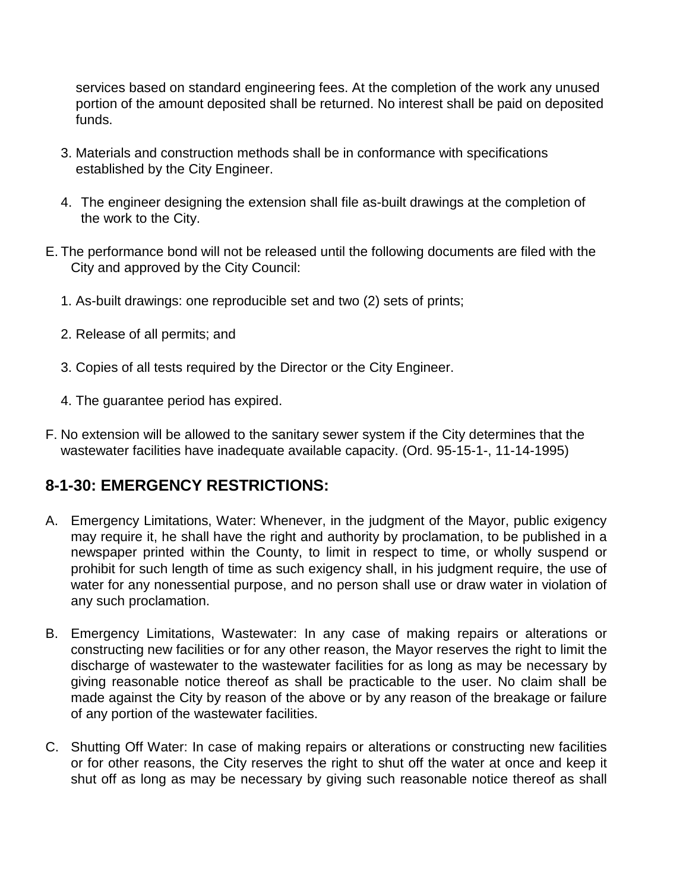services based on standard engineering fees. At the completion of the work any unused portion of the amount deposited shall be returned. No interest shall be paid on deposited funds.

- 3. Materials and construction methods shall be in conformance with specifications established by the City Engineer.
- 4. The engineer designing the extension shall file as-built drawings at the completion of the work to the City.
- E. The performance bond will not be released until the following documents are filed with the City and approved by the City Council:
	- 1. As-built drawings: one reproducible set and two (2) sets of prints;
	- 2. Release of all permits; and
	- 3. Copies of all tests required by the Director or the City Engineer.
	- 4. The guarantee period has expired.
- F. No extension will be allowed to the sanitary sewer system if the City determines that the wastewater facilities have inadequate available capacity. (Ord. 95-15-1-, 11-14-1995)

#### **8-1-30: EMERGENCY RESTRICTIONS:**

- A. Emergency Limitations, Water: Whenever, in the judgment of the Mayor, public exigency may require it, he shall have the right and authority by proclamation, to be published in a newspaper printed within the County, to limit in respect to time, or wholly suspend or prohibit for such length of time as such exigency shall, in his judgment require, the use of water for any nonessential purpose, and no person shall use or draw water in violation of any such proclamation.
- B. Emergency Limitations, Wastewater: In any case of making repairs or alterations or constructing new facilities or for any other reason, the Mayor reserves the right to limit the discharge of wastewater to the wastewater facilities for as long as may be necessary by giving reasonable notice thereof as shall be practicable to the user. No claim shall be made against the City by reason of the above or by any reason of the breakage or failure of any portion of the wastewater facilities.
- C. Shutting Off Water: In case of making repairs or alterations or constructing new facilities or for other reasons, the City reserves the right to shut off the water at once and keep it shut off as long as may be necessary by giving such reasonable notice thereof as shall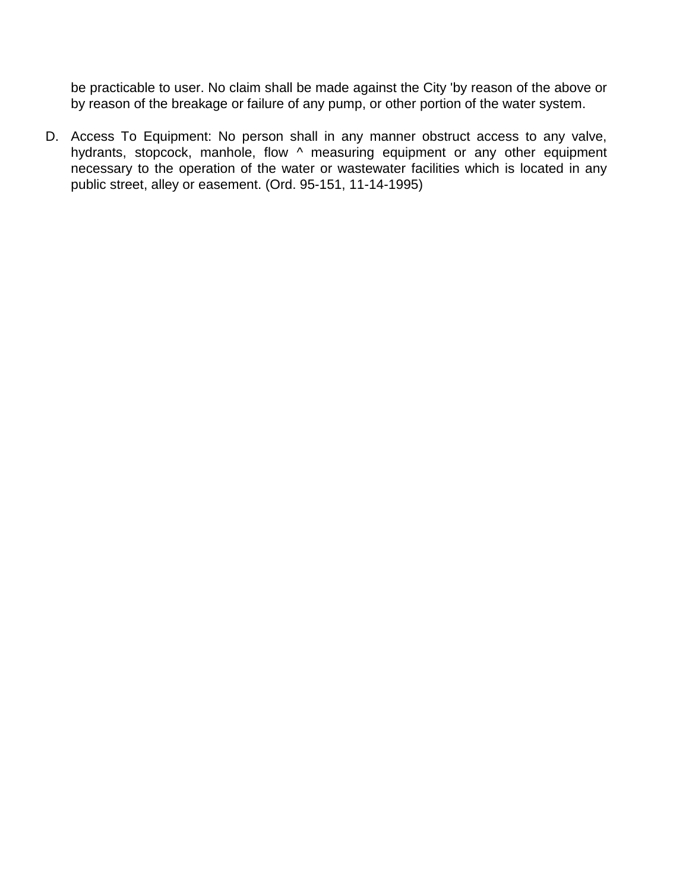be practicable to user. No claim shall be made against the City 'by reason of the above or by reason of the breakage or failure of any pump, or other portion of the water system.

D. Access To Equipment: No person shall in any manner obstruct access to any valve, hydrants, stopcock, manhole, flow  $\land$  measuring equipment or any other equipment necessary to the operation of the water or wastewater facilities which is located in any public street, alley or easement. (Ord. 95-151, 11-14-1995)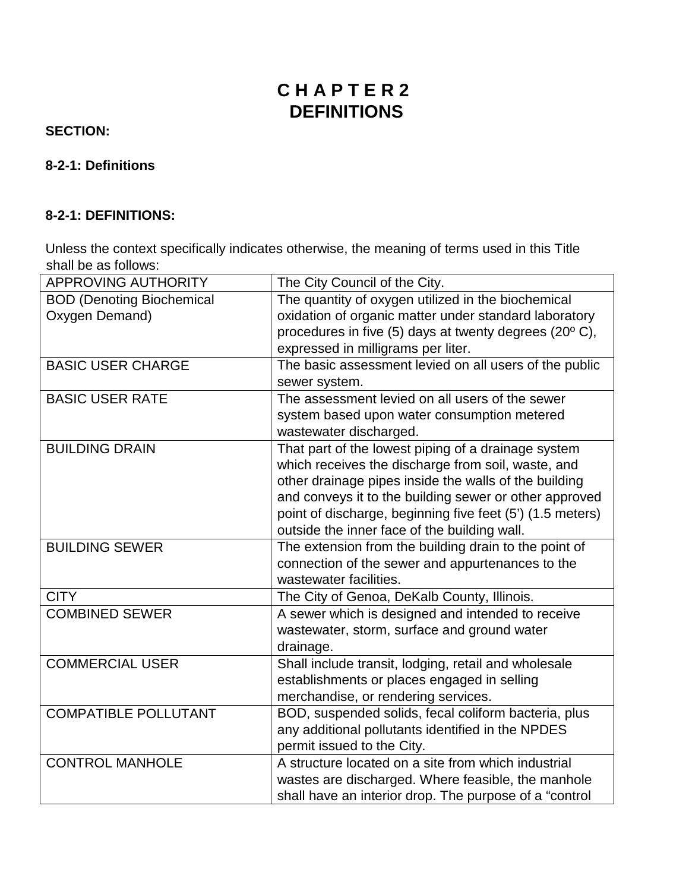# **C H A P T E R 2 DEFINITIONS**

#### **SECTION:**

#### **8-2-1: Definitions**

#### **8-2-1: DEFINITIONS:**

Unless the context specifically indicates otherwise, the meaning of terms used in this Title shall be as follows:

| <b>APPROVING AUTHORITY</b>       | The City Council of the City.                             |
|----------------------------------|-----------------------------------------------------------|
| <b>BOD (Denoting Biochemical</b> | The quantity of oxygen utilized in the biochemical        |
| Oxygen Demand)                   | oxidation of organic matter under standard laboratory     |
|                                  | procedures in five (5) days at twenty degrees (20°C),     |
|                                  | expressed in milligrams per liter.                        |
| <b>BASIC USER CHARGE</b>         | The basic assessment levied on all users of the public    |
|                                  | sewer system.                                             |
| <b>BASIC USER RATE</b>           | The assessment levied on all users of the sewer           |
|                                  | system based upon water consumption metered               |
|                                  | wastewater discharged.                                    |
| <b>BUILDING DRAIN</b>            | That part of the lowest piping of a drainage system       |
|                                  | which receives the discharge from soil, waste, and        |
|                                  | other drainage pipes inside the walls of the building     |
|                                  | and conveys it to the building sewer or other approved    |
|                                  | point of discharge, beginning five feet (5') (1.5 meters) |
|                                  | outside the inner face of the building wall.              |
| <b>BUILDING SEWER</b>            | The extension from the building drain to the point of     |
|                                  | connection of the sewer and appurtenances to the          |
|                                  | wastewater facilities.                                    |
| <b>CITY</b>                      | The City of Genoa, DeKalb County, Illinois.               |
| <b>COMBINED SEWER</b>            | A sewer which is designed and intended to receive         |
|                                  | wastewater, storm, surface and ground water               |
|                                  | drainage.                                                 |
| <b>COMMERCIAL USER</b>           | Shall include transit, lodging, retail and wholesale      |
|                                  | establishments or places engaged in selling               |
|                                  | merchandise, or rendering services.                       |
| <b>COMPATIBLE POLLUTANT</b>      | BOD, suspended solids, fecal coliform bacteria, plus      |
|                                  | any additional pollutants identified in the NPDES         |
|                                  | permit issued to the City.                                |
| <b>CONTROL MANHOLE</b>           | A structure located on a site from which industrial       |
|                                  | wastes are discharged. Where feasible, the manhole        |
|                                  | shall have an interior drop. The purpose of a "control    |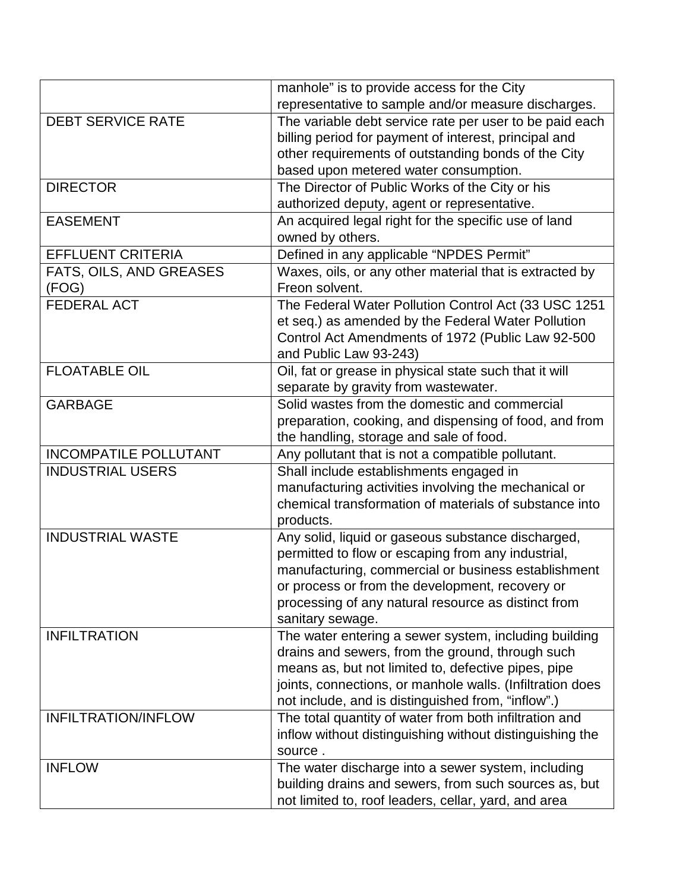|                              | manhole" is to provide access for the City                |
|------------------------------|-----------------------------------------------------------|
|                              | representative to sample and/or measure discharges.       |
| <b>DEBT SERVICE RATE</b>     | The variable debt service rate per user to be paid each   |
|                              | billing period for payment of interest, principal and     |
|                              | other requirements of outstanding bonds of the City       |
|                              | based upon metered water consumption.                     |
| <b>DIRECTOR</b>              | The Director of Public Works of the City or his           |
|                              | authorized deputy, agent or representative.               |
| <b>EASEMENT</b>              | An acquired legal right for the specific use of land      |
|                              | owned by others.                                          |
| <b>EFFLUENT CRITERIA</b>     | Defined in any applicable "NPDES Permit"                  |
| FATS, OILS, AND GREASES      | Waxes, oils, or any other material that is extracted by   |
| (FOG)                        | Freon solvent.                                            |
| <b>FEDERAL ACT</b>           | The Federal Water Pollution Control Act (33 USC 1251      |
|                              | et seq.) as amended by the Federal Water Pollution        |
|                              | Control Act Amendments of 1972 (Public Law 92-500         |
|                              | and Public Law 93-243)                                    |
| <b>FLOATABLE OIL</b>         | Oil, fat or grease in physical state such that it will    |
|                              | separate by gravity from wastewater.                      |
| <b>GARBAGE</b>               | Solid wastes from the domestic and commercial             |
|                              | preparation, cooking, and dispensing of food, and from    |
|                              | the handling, storage and sale of food.                   |
| <b>INCOMPATILE POLLUTANT</b> | Any pollutant that is not a compatible pollutant.         |
| <b>INDUSTRIAL USERS</b>      | Shall include establishments engaged in                   |
|                              | manufacturing activities involving the mechanical or      |
|                              | chemical transformation of materials of substance into    |
|                              | products.                                                 |
| <b>INDUSTRIAL WASTE</b>      | Any solid, liquid or gaseous substance discharged,        |
|                              | permitted to flow or escaping from any industrial,        |
|                              | manufacturing, commercial or business establishment       |
|                              | or process or from the development, recovery or           |
|                              | processing of any natural resource as distinct from       |
|                              | sanitary sewage.                                          |
| <b>INFILTRATION</b>          | The water entering a sewer system, including building     |
|                              | drains and sewers, from the ground, through such          |
|                              | means as, but not limited to, defective pipes, pipe       |
|                              | joints, connections, or manhole walls. (Infiltration does |
|                              | not include, and is distinguished from, "inflow".)        |
| <b>INFILTRATION/INFLOW</b>   | The total quantity of water from both infiltration and    |
|                              | inflow without distinguishing without distinguishing the  |
|                              | source.                                                   |
| <b>INFLOW</b>                | The water discharge into a sewer system, including        |
|                              | building drains and sewers, from such sources as, but     |
|                              | not limited to, roof leaders, cellar, yard, and area      |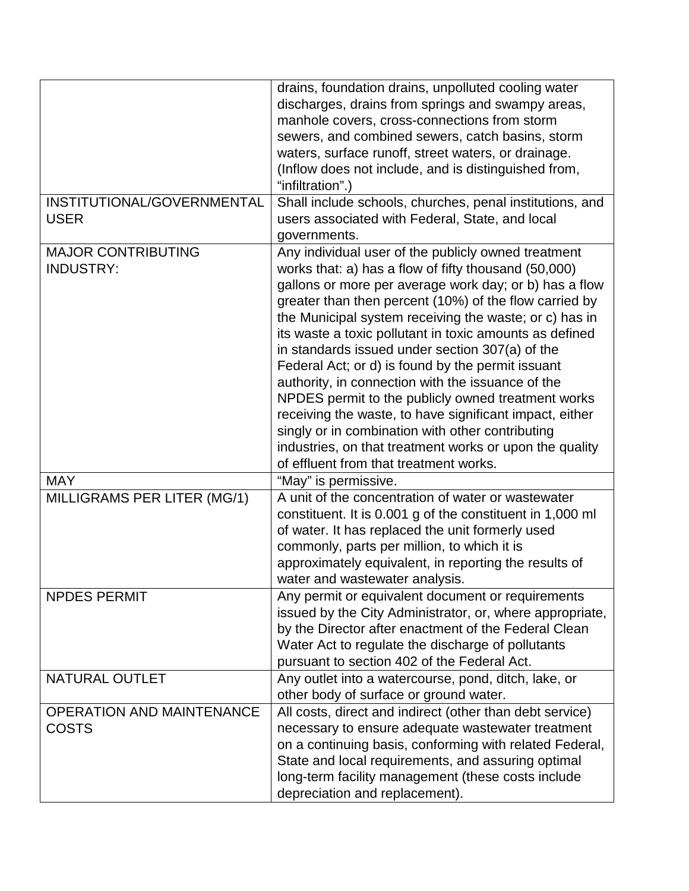|                                  | drains, foundation drains, unpolluted cooling water       |
|----------------------------------|-----------------------------------------------------------|
|                                  | discharges, drains from springs and swampy areas,         |
|                                  | manhole covers, cross-connections from storm              |
|                                  | sewers, and combined sewers, catch basins, storm          |
|                                  | waters, surface runoff, street waters, or drainage.       |
|                                  | (Inflow does not include, and is distinguished from,      |
|                                  | "infiltration".)                                          |
| INSTITUTIONAL/GOVERNMENTAL       | Shall include schools, churches, penal institutions, and  |
| <b>USER</b>                      | users associated with Federal, State, and local           |
|                                  | governments.                                              |
| <b>MAJOR CONTRIBUTING</b>        |                                                           |
| <b>INDUSTRY:</b>                 | Any individual user of the publicly owned treatment       |
|                                  | works that: a) has a flow of fifty thousand (50,000)      |
|                                  | gallons or more per average work day; or b) has a flow    |
|                                  | greater than then percent (10%) of the flow carried by    |
|                                  | the Municipal system receiving the waste; or c) has in    |
|                                  | its waste a toxic pollutant in toxic amounts as defined   |
|                                  | in standards issued under section 307(a) of the           |
|                                  | Federal Act; or d) is found by the permit issuant         |
|                                  | authority, in connection with the issuance of the         |
|                                  | NPDES permit to the publicly owned treatment works        |
|                                  | receiving the waste, to have significant impact, either   |
|                                  | singly or in combination with other contributing          |
|                                  | industries, on that treatment works or upon the quality   |
|                                  | of effluent from that treatment works.                    |
| <b>MAY</b>                       | "May" is permissive.                                      |
| MILLIGRAMS PER LITER (MG/1)      | A unit of the concentration of water or wastewater        |
|                                  | constituent. It is 0.001 g of the constituent in 1,000 ml |
|                                  | of water. It has replaced the unit formerly used          |
|                                  | commonly, parts per million, to which it is               |
|                                  | approximately equivalent, in reporting the results of     |
|                                  | water and wastewater analysis.                            |
| <b>NPDES PERMIT</b>              | Any permit or equivalent document or requirements         |
|                                  | issued by the City Administrator, or, where appropriate,  |
|                                  | by the Director after enactment of the Federal Clean      |
|                                  | Water Act to regulate the discharge of pollutants         |
|                                  | pursuant to section 402 of the Federal Act.               |
| <b>NATURAL OUTLET</b>            | Any outlet into a watercourse, pond, ditch, lake, or      |
|                                  | other body of surface or ground water.                    |
| <b>OPERATION AND MAINTENANCE</b> | All costs, direct and indirect (other than debt service)  |
| <b>COSTS</b>                     | necessary to ensure adequate wastewater treatment         |
|                                  | on a continuing basis, conforming with related Federal,   |
|                                  | State and local requirements, and assuring optimal        |
|                                  | long-term facility management (these costs include        |
|                                  | depreciation and replacement).                            |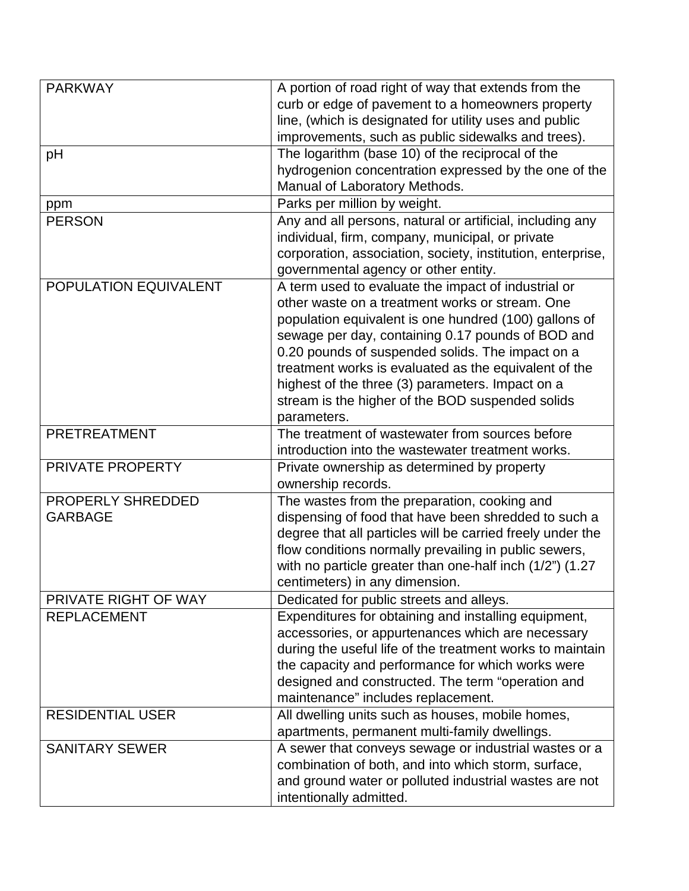| <b>PARKWAY</b>          | A portion of road right of way that extends from the        |
|-------------------------|-------------------------------------------------------------|
|                         | curb or edge of pavement to a homeowners property           |
|                         | line, (which is designated for utility uses and public      |
|                         | improvements, such as public sidewalks and trees).          |
| pH                      | The logarithm (base 10) of the reciprocal of the            |
|                         | hydrogenion concentration expressed by the one of the       |
|                         | Manual of Laboratory Methods.                               |
| ppm                     | Parks per million by weight.                                |
| <b>PERSON</b>           | Any and all persons, natural or artificial, including any   |
|                         | individual, firm, company, municipal, or private            |
|                         | corporation, association, society, institution, enterprise, |
|                         | governmental agency or other entity.                        |
| POPULATION EQUIVALENT   | A term used to evaluate the impact of industrial or         |
|                         | other waste on a treatment works or stream. One             |
|                         | population equivalent is one hundred (100) gallons of       |
|                         | sewage per day, containing 0.17 pounds of BOD and           |
|                         | 0.20 pounds of suspended solids. The impact on a            |
|                         | treatment works is evaluated as the equivalent of the       |
|                         | highest of the three (3) parameters. Impact on a            |
|                         | stream is the higher of the BOD suspended solids            |
|                         | parameters.                                                 |
| <b>PRETREATMENT</b>     | The treatment of wastewater from sources before             |
|                         | introduction into the wastewater treatment works.           |
| PRIVATE PROPERTY        | Private ownership as determined by property                 |
|                         | ownership records.                                          |
| PROPERLY SHREDDED       | The wastes from the preparation, cooking and                |
| <b>GARBAGE</b>          | dispensing of food that have been shredded to such a        |
|                         | degree that all particles will be carried freely under the  |
|                         | flow conditions normally prevailing in public sewers,       |
|                         | with no particle greater than one-half inch (1/2") (1.27    |
|                         | centimeters) in any dimension.                              |
| PRIVATE RIGHT OF WAY    | Dedicated for public streets and alleys.                    |
| <b>REPLACEMENT</b>      | Expenditures for obtaining and installing equipment,        |
|                         | accessories, or appurtenances which are necessary           |
|                         | during the useful life of the treatment works to maintain   |
|                         | the capacity and performance for which works were           |
|                         | designed and constructed. The term "operation and           |
|                         | maintenance" includes replacement.                          |
| <b>RESIDENTIAL USER</b> | All dwelling units such as houses, mobile homes,            |
|                         | apartments, permanent multi-family dwellings.               |
| <b>SANITARY SEWER</b>   | A sewer that conveys sewage or industrial wastes or a       |
|                         | combination of both, and into which storm, surface,         |
|                         | and ground water or polluted industrial wastes are not      |
|                         | intentionally admitted.                                     |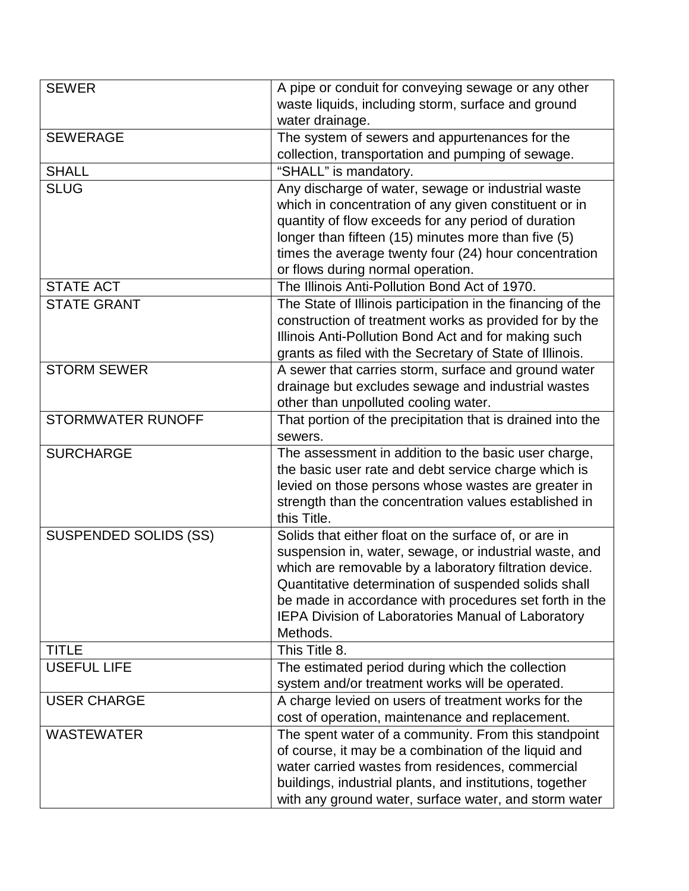| <b>SEWER</b>                 | A pipe or conduit for conveying sewage or any other<br>waste liquids, including storm, surface and ground    |
|------------------------------|--------------------------------------------------------------------------------------------------------------|
|                              | water drainage.                                                                                              |
| <b>SEWERAGE</b>              | The system of sewers and appurtenances for the                                                               |
|                              | collection, transportation and pumping of sewage.                                                            |
| <b>SHALL</b>                 | "SHALL" is mandatory.                                                                                        |
| <b>SLUG</b>                  | Any discharge of water, sewage or industrial waste                                                           |
|                              | which in concentration of any given constituent or in                                                        |
|                              | quantity of flow exceeds for any period of duration                                                          |
|                              | longer than fifteen (15) minutes more than five (5)                                                          |
|                              | times the average twenty four (24) hour concentration                                                        |
|                              | or flows during normal operation.                                                                            |
| <b>STATE ACT</b>             | The Illinois Anti-Pollution Bond Act of 1970.                                                                |
| <b>STATE GRANT</b>           | The State of Illinois participation in the financing of the                                                  |
|                              | construction of treatment works as provided for by the                                                       |
|                              | Illinois Anti-Pollution Bond Act and for making such                                                         |
|                              | grants as filed with the Secretary of State of Illinois.                                                     |
| <b>STORM SEWER</b>           | A sewer that carries storm, surface and ground water                                                         |
|                              | drainage but excludes sewage and industrial wastes                                                           |
|                              | other than unpolluted cooling water.                                                                         |
| <b>STORMWATER RUNOFF</b>     | That portion of the precipitation that is drained into the                                                   |
|                              | sewers.                                                                                                      |
| <b>SURCHARGE</b>             | The assessment in addition to the basic user charge,                                                         |
|                              | the basic user rate and debt service charge which is                                                         |
|                              | levied on those persons whose wastes are greater in                                                          |
|                              | strength than the concentration values established in                                                        |
|                              | this Title.                                                                                                  |
| <b>SUSPENDED SOLIDS (SS)</b> | Solids that either float on the surface of, or are in                                                        |
|                              | suspension in, water, sewage, or industrial waste, and                                                       |
|                              | which are removable by a laboratory filtration device.                                                       |
|                              | Quantitative determination of suspended solids shall                                                         |
|                              | be made in accordance with procedures set forth in the                                                       |
|                              | IEPA Division of Laboratories Manual of Laboratory                                                           |
|                              | Methods.                                                                                                     |
| <b>TITLE</b>                 | This Title 8.                                                                                                |
| <b>USEFUL LIFE</b>           | The estimated period during which the collection                                                             |
|                              | system and/or treatment works will be operated.                                                              |
| <b>USER CHARGE</b>           | A charge levied on users of treatment works for the<br>cost of operation, maintenance and replacement.       |
| <b>WASTEWATER</b>            |                                                                                                              |
|                              | The spent water of a community. From this standpoint<br>of course, it may be a combination of the liquid and |
|                              | water carried wastes from residences, commercial                                                             |
|                              | buildings, industrial plants, and institutions, together                                                     |
|                              | with any ground water, surface water, and storm water                                                        |
|                              |                                                                                                              |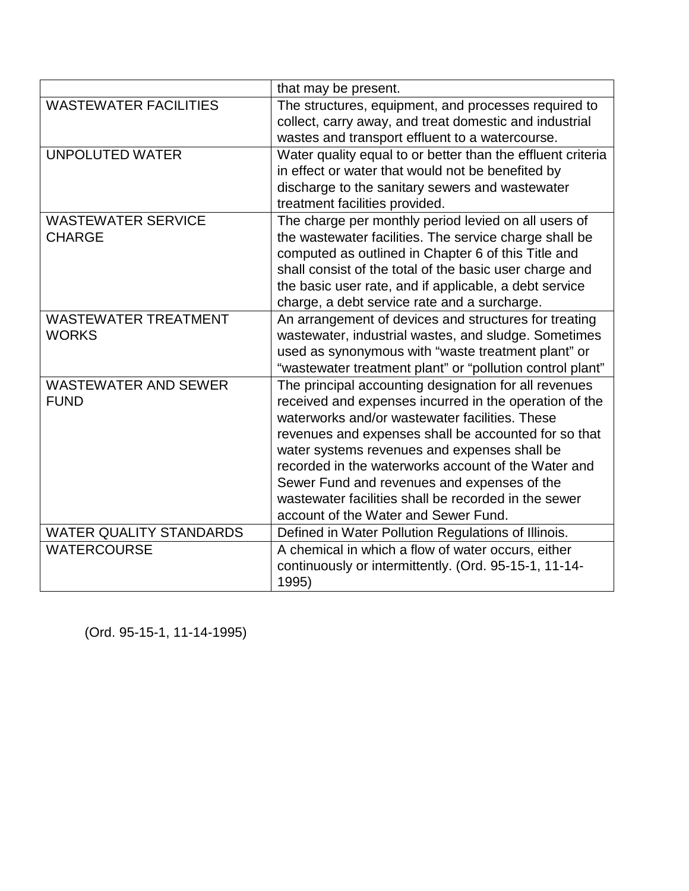|                                | that may be present.                                                                                           |
|--------------------------------|----------------------------------------------------------------------------------------------------------------|
| <b>WASTEWATER FACILITIES</b>   | The structures, equipment, and processes required to                                                           |
|                                | collect, carry away, and treat domestic and industrial                                                         |
|                                | wastes and transport effluent to a watercourse.                                                                |
| <b>UNPOLUTED WATER</b>         | Water quality equal to or better than the effluent criteria                                                    |
|                                | in effect or water that would not be benefited by                                                              |
|                                | discharge to the sanitary sewers and wastewater                                                                |
|                                | treatment facilities provided.                                                                                 |
| <b>WASTEWATER SERVICE</b>      | The charge per monthly period levied on all users of                                                           |
| <b>CHARGE</b>                  | the wastewater facilities. The service charge shall be                                                         |
|                                | computed as outlined in Chapter 6 of this Title and<br>shall consist of the total of the basic user charge and |
|                                | the basic user rate, and if applicable, a debt service                                                         |
|                                | charge, a debt service rate and a surcharge.                                                                   |
| <b>WASTEWATER TREATMENT</b>    | An arrangement of devices and structures for treating                                                          |
| <b>WORKS</b>                   | wastewater, industrial wastes, and sludge. Sometimes                                                           |
|                                | used as synonymous with "waste treatment plant" or                                                             |
|                                | "wastewater treatment plant" or "pollution control plant"                                                      |
| <b>WASTEWATER AND SEWER</b>    | The principal accounting designation for all revenues                                                          |
| <b>FUND</b>                    | received and expenses incurred in the operation of the                                                         |
|                                | waterworks and/or wastewater facilities. These                                                                 |
|                                | revenues and expenses shall be accounted for so that                                                           |
|                                | water systems revenues and expenses shall be                                                                   |
|                                | recorded in the waterworks account of the Water and                                                            |
|                                | Sewer Fund and revenues and expenses of the                                                                    |
|                                | wastewater facilities shall be recorded in the sewer                                                           |
|                                | account of the Water and Sewer Fund.                                                                           |
| <b>WATER QUALITY STANDARDS</b> | Defined in Water Pollution Regulations of Illinois.                                                            |
| <b>WATERCOURSE</b>             | A chemical in which a flow of water occurs, either                                                             |
|                                | continuously or intermittently. (Ord. 95-15-1, 11-14-                                                          |
|                                | 1995)                                                                                                          |

(Ord. 95-15-1, 11-14-1995)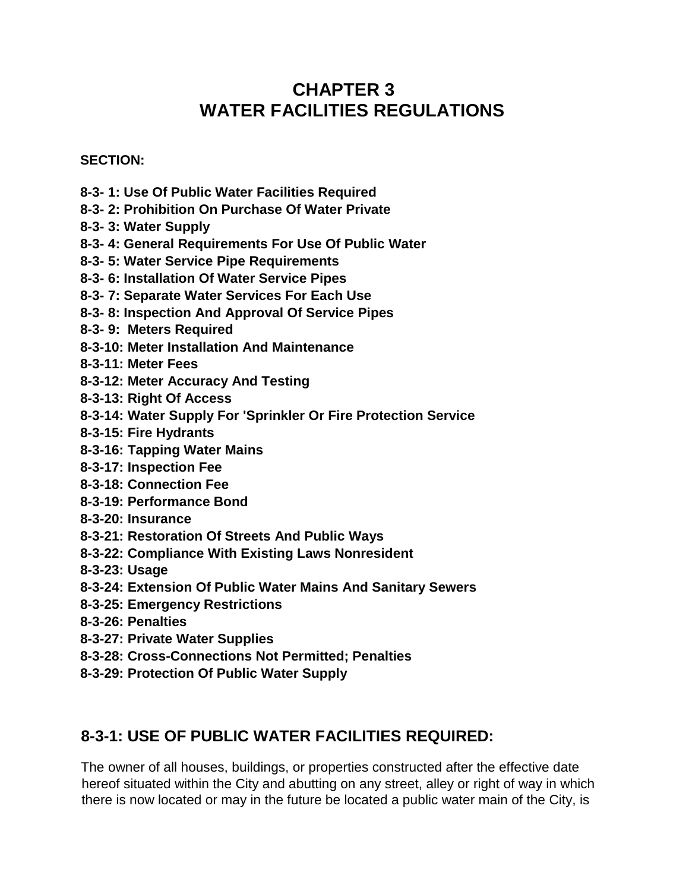## **CHAPTER 3 WATER FACILITIES REGULATIONS**

#### **SECTION:**

- **8-3- 1: Use Of Public Water Facilities Required**
- **8-3- 2: Prohibition On Purchase Of Water Private**
- **8-3- 3: Water Supply**
- **8-3- 4: General Requirements For Use Of Public Water**
- **8-3- 5: Water Service Pipe Requirements**
- **8-3- 6: Installation Of Water Service Pipes**
- **8-3- 7: Separate Water Services For Each Use**
- **8-3- 8: Inspection And Approval Of Service Pipes**
- **8-3- 9: Meters Required**
- **8-3-10: Meter Installation And Maintenance**
- **8-3-11: Meter Fees**
- **8-3-12: Meter Accuracy And Testing**
- **8-3-13: Right Of Access**
- **8-3-14: Water Supply For 'Sprinkler Or Fire Protection Service**
- **8-3-15: Fire Hydrants**
- **8-3-16: Tapping Water Mains**
- **8-3-17: Inspection Fee**
- **8-3-18: Connection Fee**
- **8-3-19: Performance Bond**
- **8-3-20: Insurance**
- **8-3-21: Restoration Of Streets And Public Ways**
- **8-3-22: Compliance With Existing Laws Nonresident**
- **8-3-23: Usage**
- **8-3-24: Extension Of Public Water Mains And Sanitary Sewers**
- **8-3-25: Emergency Restrictions**
- **8-3-26: Penalties**
- **8-3-27: Private Water Supplies**
- **8-3-28: Cross-Connections Not Permitted; Penalties**
- **8-3-29: Protection Of Public Water Supply**

#### **8-3-1: USE OF PUBLIC WATER FACILITIES REQUIRED:**

The owner of all houses, buildings, or properties constructed after the effective date hereof situated within the City and abutting on any street, alley or right of way in which there is now located or may in the future be located a public water main of the City, is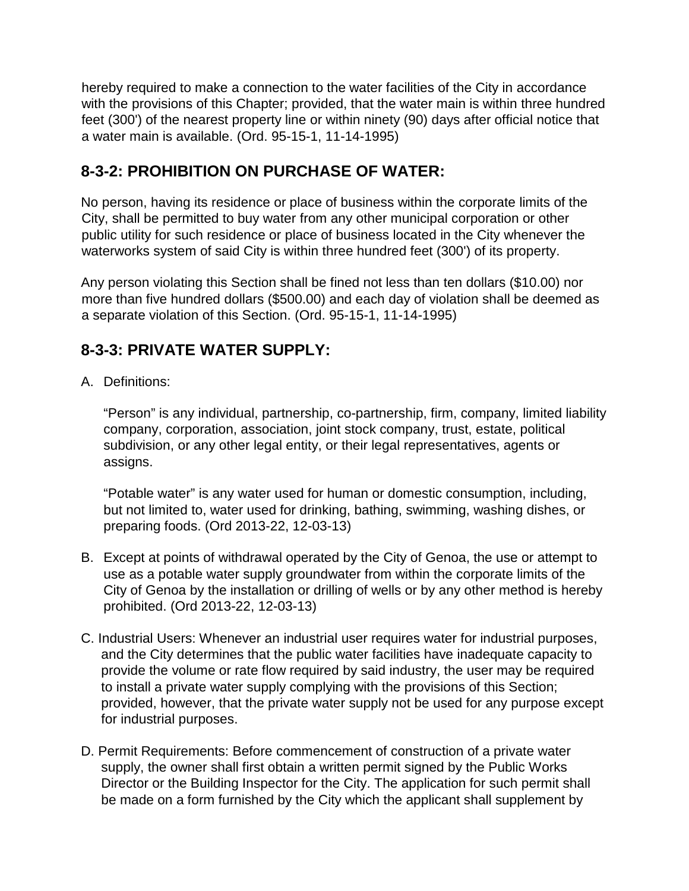hereby required to make a connection to the water facilities of the City in accordance with the provisions of this Chapter; provided, that the water main is within three hundred feet (300') of the nearest property line or within ninety (90) days after official notice that a water main is available. (Ord. 95-15-1, 11-14-1995)

## **8-3-2: PROHIBITION ON PURCHASE OF WATER:**

No person, having its residence or place of business within the corporate limits of the City, shall be permitted to buy water from any other municipal corporation or other public utility for such residence or place of business located in the City whenever the waterworks system of said City is within three hundred feet (300') of its property.

Any person violating this Section shall be fined not less than ten dollars (\$10.00) nor more than five hundred dollars (\$500.00) and each day of violation shall be deemed as a separate violation of this Section. (Ord. 95-15-1, 11-14-1995)

## **8-3-3: PRIVATE WATER SUPPLY:**

A. Definitions:

"Person" is any individual, partnership, co-partnership, firm, company, limited liability company, corporation, association, joint stock company, trust, estate, political subdivision, or any other legal entity, or their legal representatives, agents or assigns.

"Potable water" is any water used for human or domestic consumption, including, but not limited to, water used for drinking, bathing, swimming, washing dishes, or preparing foods. (Ord 2013-22, 12-03-13)

- B. Except at points of withdrawal operated by the City of Genoa, the use or attempt to use as a potable water supply groundwater from within the corporate limits of the City of Genoa by the installation or drilling of wells or by any other method is hereby prohibited. (Ord 2013-22, 12-03-13)
- C. Industrial Users: Whenever an industrial user requires water for industrial purposes, and the City determines that the public water facilities have inadequate capacity to provide the volume or rate flow required by said industry, the user may be required to install a private water supply complying with the provisions of this Section; provided, however, that the private water supply not be used for any purpose except for industrial purposes.
- D. Permit Requirements: Before commencement of construction of a private water supply, the owner shall first obtain a written permit signed by the Public Works Director or the Building Inspector for the City. The application for such permit shall be made on a form furnished by the City which the applicant shall supplement by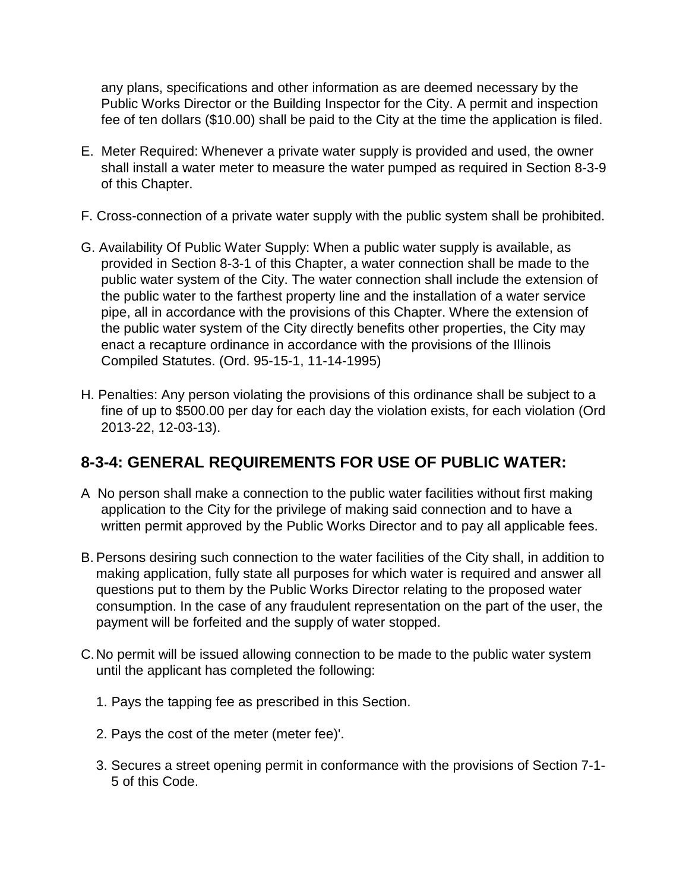any plans, specifications and other information as are deemed necessary by the Public Works Director or the Building Inspector for the City. A permit and inspection fee of ten dollars (\$10.00) shall be paid to the City at the time the application is filed.

- E. Meter Required: Whenever a private water supply is provided and used, the owner shall install a water meter to measure the water pumped as required in Section 8-3-9 of this Chapter.
- F. Cross-connection of a private water supply with the public system shall be prohibited.
- G. Availability Of Public Water Supply: When a public water supply is available, as provided in Section 8-3-1 of this Chapter, a water connection shall be made to the public water system of the City. The water connection shall include the extension of the public water to the farthest property line and the installation of a water service pipe, all in accordance with the provisions of this Chapter. Where the extension of the public water system of the City directly benefits other properties, the City may enact a recapture ordinance in accordance with the provisions of the Illinois Compiled Statutes. (Ord. 95-15-1, 11-14-1995)
- H. Penalties: Any person violating the provisions of this ordinance shall be subject to a fine of up to \$500.00 per day for each day the violation exists, for each violation (Ord 2013-22, 12-03-13).

## **8-3-4: GENERAL REQUIREMENTS FOR USE OF PUBLIC WATER:**

- A No person shall make a connection to the public water facilities without first making application to the City for the privilege of making said connection and to have a written permit approved by the Public Works Director and to pay all applicable fees.
- B. Persons desiring such connection to the water facilities of the City shall, in addition to making application, fully state all purposes for which water is required and answer all questions put to them by the Public Works Director relating to the proposed water consumption. In the case of any fraudulent representation on the part of the user, the payment will be forfeited and the supply of water stopped.
- C.No permit will be issued allowing connection to be made to the public water system until the applicant has completed the following:
	- 1. Pays the tapping fee as prescribed in this Section.
	- 2. Pays the cost of the meter (meter fee)'.
	- 3. Secures a street opening permit in conformance with the provisions of Section 7-1- 5 of this Code.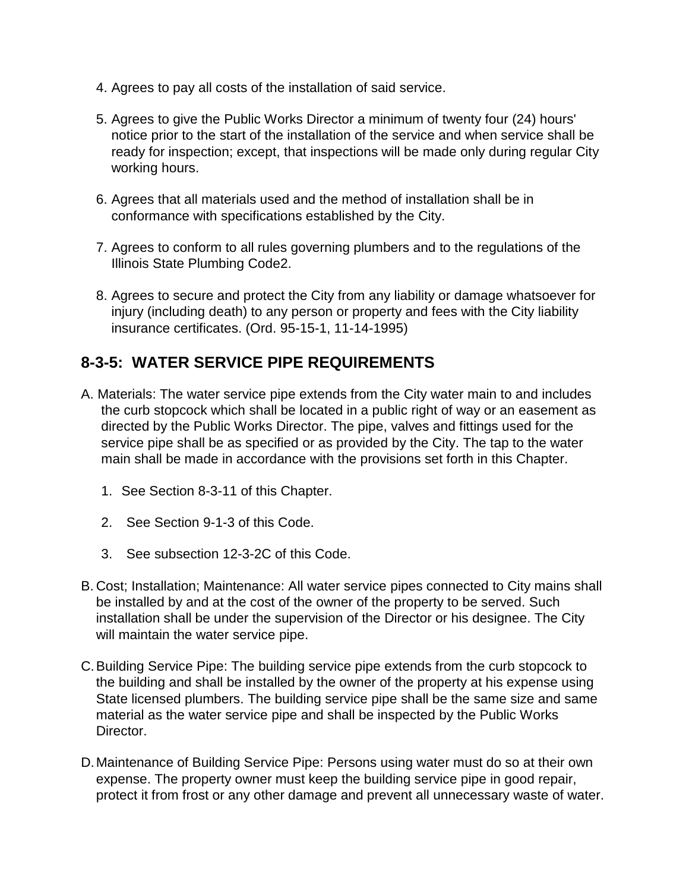- 4. Agrees to pay all costs of the installation of said service.
- 5. Agrees to give the Public Works Director a minimum of twenty four (24) hours' notice prior to the start of the installation of the service and when service shall be ready for inspection; except, that inspections will be made only during regular City working hours.
- 6. Agrees that all materials used and the method of installation shall be in conformance with specifications established by the City.
- 7. Agrees to conform to all rules governing plumbers and to the regulations of the Illinois State Plumbing Code2.
- 8. Agrees to secure and protect the City from any liability or damage whatsoever for injury (including death) to any person or property and fees with the City liability insurance certificates. (Ord. 95-15-1, 11-14-1995)

#### **8-3-5: WATER SERVICE PIPE REQUIREMENTS**

- A. Materials: The water service pipe extends from the City water main to and includes the curb stopcock which shall be located in a public right of way or an easement as directed by the Public Works Director. The pipe, valves and fittings used for the service pipe shall be as specified or as provided by the City. The tap to the water main shall be made in accordance with the provisions set forth in this Chapter.
	- 1. See Section 8-3-11 of this Chapter.
	- 2. See Section 9-1-3 of this Code.
	- 3. See subsection 12-3-2C of this Code.
- B. Cost; Installation; Maintenance: All water service pipes connected to City mains shall be installed by and at the cost of the owner of the property to be served. Such installation shall be under the supervision of the Director or his designee. The City will maintain the water service pipe.
- C.Building Service Pipe: The building service pipe extends from the curb stopcock to the building and shall be installed by the owner of the property at his expense using State licensed plumbers. The building service pipe shall be the same size and same material as the water service pipe and shall be inspected by the Public Works Director.
- D.Maintenance of Building Service Pipe: Persons using water must do so at their own expense. The property owner must keep the building service pipe in good repair, protect it from frost or any other damage and prevent all unnecessary waste of water.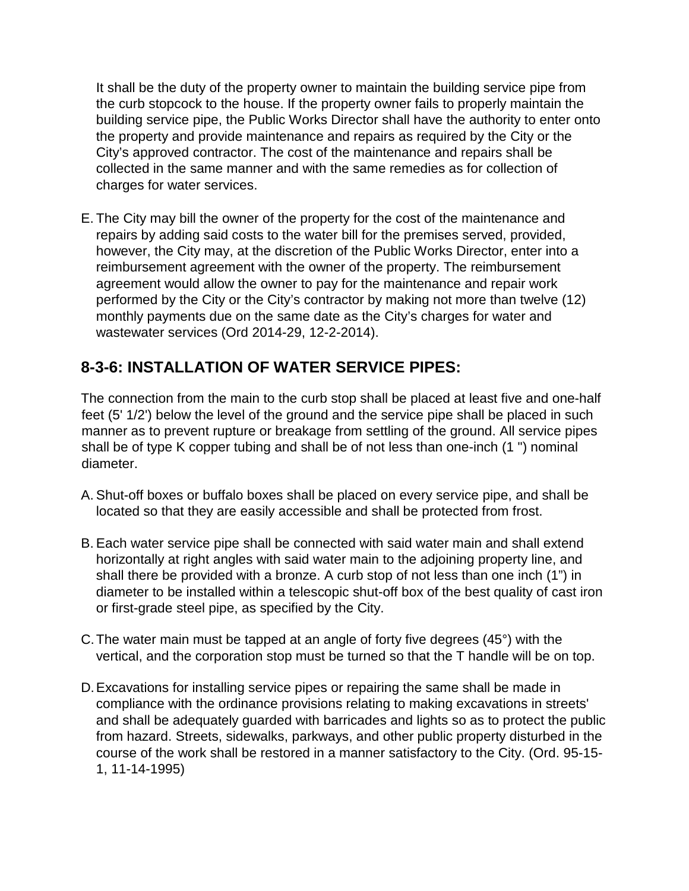It shall be the duty of the property owner to maintain the building service pipe from the curb stopcock to the house. If the property owner fails to properly maintain the building service pipe, the Public Works Director shall have the authority to enter onto the property and provide maintenance and repairs as required by the City or the City's approved contractor. The cost of the maintenance and repairs shall be collected in the same manner and with the same remedies as for collection of charges for water services.

E. The City may bill the owner of the property for the cost of the maintenance and repairs by adding said costs to the water bill for the premises served, provided, however, the City may, at the discretion of the Public Works Director, enter into a reimbursement agreement with the owner of the property. The reimbursement agreement would allow the owner to pay for the maintenance and repair work performed by the City or the City's contractor by making not more than twelve (12) monthly payments due on the same date as the City's charges for water and wastewater services (Ord 2014-29, 12-2-2014).

## **8-3-6: INSTALLATION OF WATER SERVICE PIPES:**

The connection from the main to the curb stop shall be placed at least five and one-half feet (5' 1/2') below the level of the ground and the service pipe shall be placed in such manner as to prevent rupture or breakage from settling of the ground. All service pipes shall be of type K copper tubing and shall be of not less than one-inch (1 ") nominal diameter.

- A. Shut-off boxes or buffalo boxes shall be placed on every service pipe, and shall be located so that they are easily accessible and shall be protected from frost.
- B. Each water service pipe shall be connected with said water main and shall extend horizontally at right angles with said water main to the adjoining property line, and shall there be provided with a bronze. A curb stop of not less than one inch (1") in diameter to be installed within a telescopic shut-off box of the best quality of cast iron or first-grade steel pipe, as specified by the City.
- C.The water main must be tapped at an angle of forty five degrees (45°) with the vertical, and the corporation stop must be turned so that the T handle will be on top.
- D.Excavations for installing service pipes or repairing the same shall be made in compliance with the ordinance provisions relating to making excavations in streets' and shall be adequately guarded with barricades and lights so as to protect the public from hazard. Streets, sidewalks, parkways, and other public property disturbed in the course of the work shall be restored in a manner satisfactory to the City. (Ord. 95-15- 1, 11-14-1995)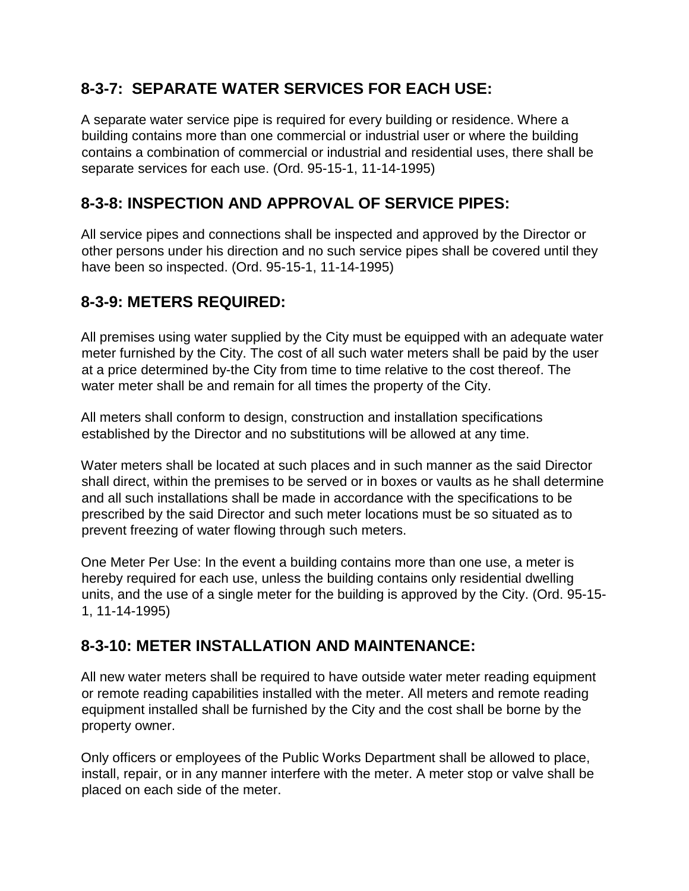## **8-3-7: SEPARATE WATER SERVICES FOR EACH USE:**

A separate water service pipe is required for every building or residence. Where a building contains more than one commercial or industrial user or where the building contains a combination of commercial or industrial and residential uses, there shall be separate services for each use. (Ord. 95-15-1, 11-14-1995)

## **8-3-8: INSPECTION AND APPROVAL OF SERVICE PIPES:**

All service pipes and connections shall be inspected and approved by the Director or other persons under his direction and no such service pipes shall be covered until they have been so inspected. (Ord. 95-15-1, 11-14-1995)

## **8-3-9: METERS REQUIRED:**

All premises using water supplied by the City must be equipped with an adequate water meter furnished by the City. The cost of all such water meters shall be paid by the user at a price determined by-the City from time to time relative to the cost thereof. The water meter shall be and remain for all times the property of the City.

All meters shall conform to design, construction and installation specifications established by the Director and no substitutions will be allowed at any time.

Water meters shall be located at such places and in such manner as the said Director shall direct, within the premises to be served or in boxes or vaults as he shall determine and all such installations shall be made in accordance with the specifications to be prescribed by the said Director and such meter locations must be so situated as to prevent freezing of water flowing through such meters.

One Meter Per Use: In the event a building contains more than one use, a meter is hereby required for each use, unless the building contains only residential dwelling units, and the use of a single meter for the building is approved by the City. (Ord. 95-15- 1, 11-14-1995)

## **8-3-10: METER INSTALLATION AND MAINTENANCE:**

All new water meters shall be required to have outside water meter reading equipment or remote reading capabilities installed with the meter. All meters and remote reading equipment installed shall be furnished by the City and the cost shall be borne by the property owner.

Only officers or employees of the Public Works Department shall be allowed to place, install, repair, or in any manner interfere with the meter. A meter stop or valve shall be placed on each side of the meter.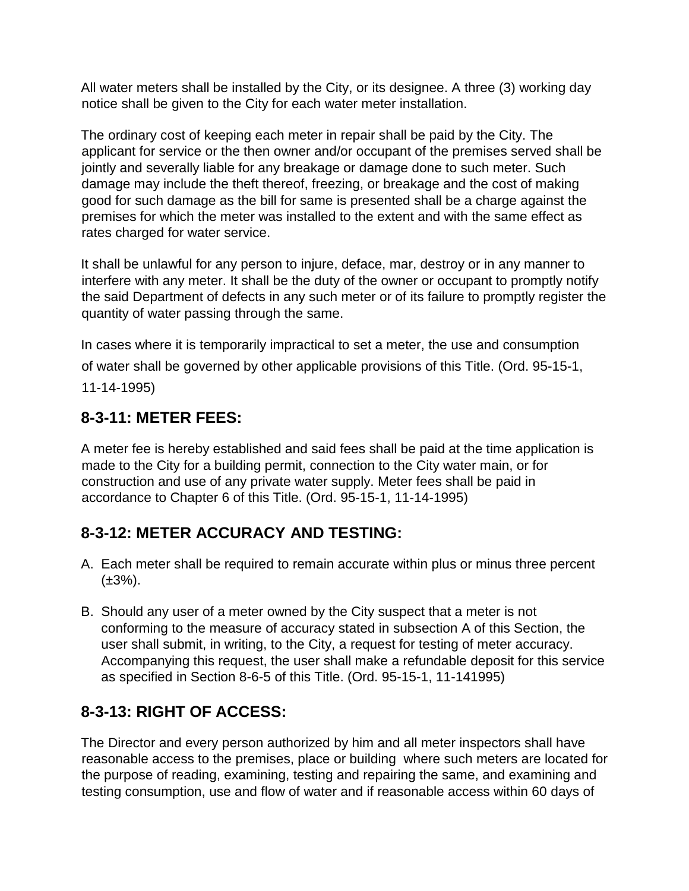All water meters shall be installed by the City, or its designee. A three (3) working day notice shall be given to the City for each water meter installation.

The ordinary cost of keeping each meter in repair shall be paid by the City. The applicant for service or the then owner and/or occupant of the premises served shall be jointly and severally liable for any breakage or damage done to such meter. Such damage may include the theft thereof, freezing, or breakage and the cost of making good for such damage as the bill for same is presented shall be a charge against the premises for which the meter was installed to the extent and with the same effect as rates charged for water service.

It shall be unlawful for any person to injure, deface, mar, destroy or in any manner to interfere with any meter. It shall be the duty of the owner or occupant to promptly notify the said Department of defects in any such meter or of its failure to promptly register the quantity of water passing through the same.

In cases where it is temporarily impractical to set a meter, the use and consumption of water shall be governed by other applicable provisions of this Title. (Ord. 95-15-1, 11-14-1995)

## **8-3-11: METER FEES:**

A meter fee is hereby established and said fees shall be paid at the time application is made to the City for a building permit, connection to the City water main, or for construction and use of any private water supply. Meter fees shall be paid in accordance to Chapter 6 of this Title. (Ord. 95-15-1, 11-14-1995)

## **8-3-12: METER ACCURACY AND TESTING:**

- A. Each meter shall be required to remain accurate within plus or minus three percent  $(\pm 3\%)$ .
- B. Should any user of a meter owned by the City suspect that a meter is not conforming to the measure of accuracy stated in subsection A of this Section, the user shall submit, in writing, to the City, a request for testing of meter accuracy. Accompanying this request, the user shall make a refundable deposit for this service as specified in Section 8-6-5 of this Title. (Ord. 95-15-1, 11-141995)

## **8-3-13: RIGHT OF ACCESS:**

The Director and every person authorized by him and all meter inspectors shall have reasonable access to the premises, place or building where such meters are located for the purpose of reading, examining, testing and repairing the same, and examining and testing consumption, use and flow of water and if reasonable access within 60 days of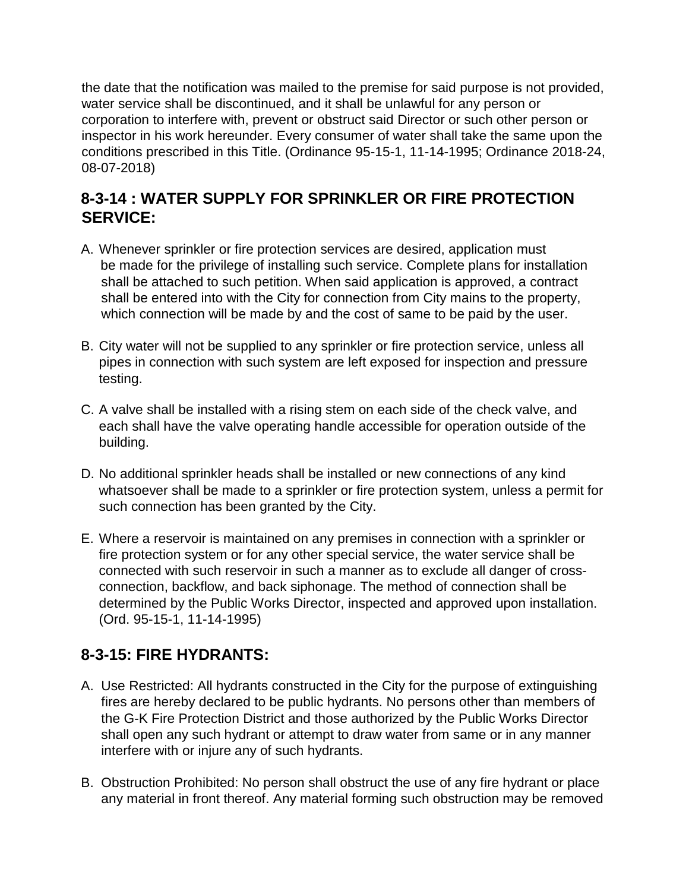the date that the notification was mailed to the premise for said purpose is not provided, water service shall be discontinued, and it shall be unlawful for any person or corporation to interfere with, prevent or obstruct said Director or such other person or inspector in his work hereunder. Every consumer of water shall take the same upon the conditions prescribed in this Title. (Ordinance 95-15-1, 11-14-1995; Ordinance 2018-24, 08-07-2018)

## **8-3-14 : WATER SUPPLY FOR SPRINKLER OR FIRE PROTECTION SERVICE:**

- A. Whenever sprinkler or fire protection services are desired, application must be made for the privilege of installing such service. Complete plans for installation shall be attached to such petition. When said application is approved, a contract shall be entered into with the City for connection from City mains to the property, which connection will be made by and the cost of same to be paid by the user.
- B. City water will not be supplied to any sprinkler or fire protection service, unless all pipes in connection with such system are left exposed for inspection and pressure testing.
- C. A valve shall be installed with a rising stem on each side of the check valve, and each shall have the valve operating handle accessible for operation outside of the building.
- D. No additional sprinkler heads shall be installed or new connections of any kind whatsoever shall be made to a sprinkler or fire protection system, unless a permit for such connection has been granted by the City.
- E. Where a reservoir is maintained on any premises in connection with a sprinkler or fire protection system or for any other special service, the water service shall be connected with such reservoir in such a manner as to exclude all danger of crossconnection, backflow, and back siphonage. The method of connection shall be determined by the Public Works Director, inspected and approved upon installation. (Ord. 95-15-1, 11-14-1995)

## **8-3-15: FIRE HYDRANTS:**

- A. Use Restricted: All hydrants constructed in the City for the purpose of extinguishing fires are hereby declared to be public hydrants. No persons other than members of the G-K Fire Protection District and those authorized by the Public Works Director shall open any such hydrant or attempt to draw water from same or in any manner interfere with or injure any of such hydrants.
- B. Obstruction Prohibited: No person shall obstruct the use of any fire hydrant or place any material in front thereof. Any material forming such obstruction may be removed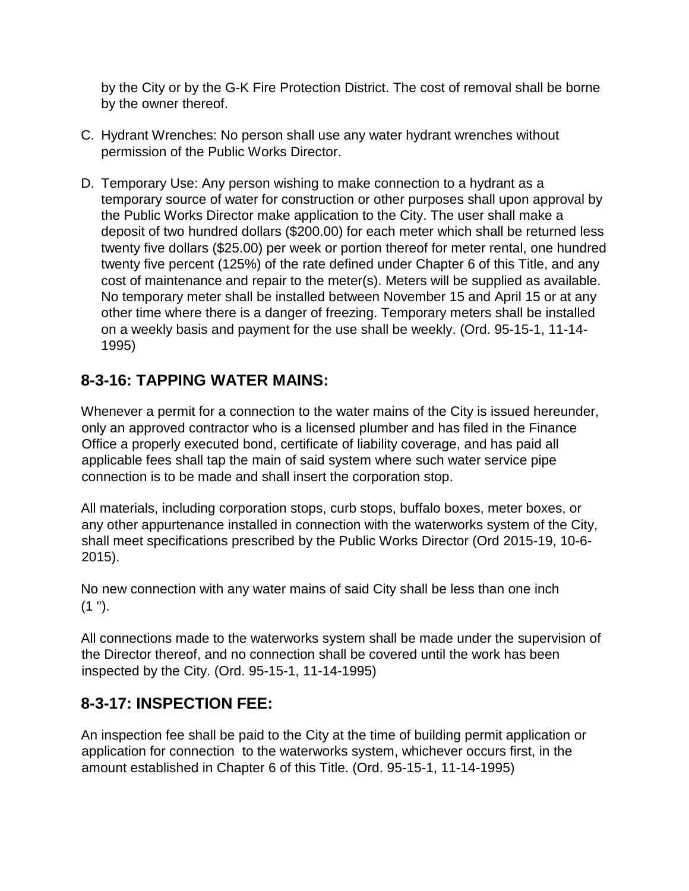by the City or by the G-K Fire Protection District. The cost of removal shall be borne by the owner thereof.

- C. Hydrant Wrenches: No person shall use any water hydrant wrenches without permission of the Public Works Director.
- D. Temporary Use: Any person wishing to make connection to a hydrant as a temporary source of water for construction or other purposes shall upon approval by the Public Works Director make application to the City. The user shall make a deposit of two hundred dollars (\$200.00) for each meter which shall be returned less twenty five dollars (\$25.00) per week or portion thereof for meter rental, one hundred twenty five percent (125%) of the rate defined under Chapter 6 of this Title, and any cost of maintenance and repair to the meter(s). Meters will be supplied as available. No temporary meter shall be installed between November 15 and April 15 or at any other time where there is a danger of freezing. Temporary meters shall be installed on a weekly basis and payment for the use shall be weekly. (Ord. 95-15-1, 11-14- 1995)

#### **8-3-16: TAPPING WATER MAINS:**

Whenever a permit for a connection to the water mains of the City is issued hereunder, only an approved contractor who is a licensed plumber and has filed in the Finance Office a properly executed bond, certificate of liability coverage, and has paid all applicable fees shall tap the main of said system where such water service pipe connection is to be made and shall insert the corporation stop.

All materials, including corporation stops, curb stops, buffalo boxes, meter boxes, or any other appurtenance installed in connection with the waterworks system of the City, shall meet specifications prescribed by the Public Works Director (Ord 2015-19, 10-6- 2015).

No new connection with any water mains of said City shall be less than one inch  $(1")$ .

All connections made to the waterworks system shall be made under the supervision of the Director thereof, and no connection shall be covered until the work has been inspected by the City. (Ord. 95-15-1, 11-14-1995)

#### **8-3-17: INSPECTION FEE:**

An inspection fee shall be paid to the City at the time of building permit application or application for connection to the waterworks system, whichever occurs first, in the amount established in Chapter 6 of this Title. (Ord. 95-15-1, 11-14-1995)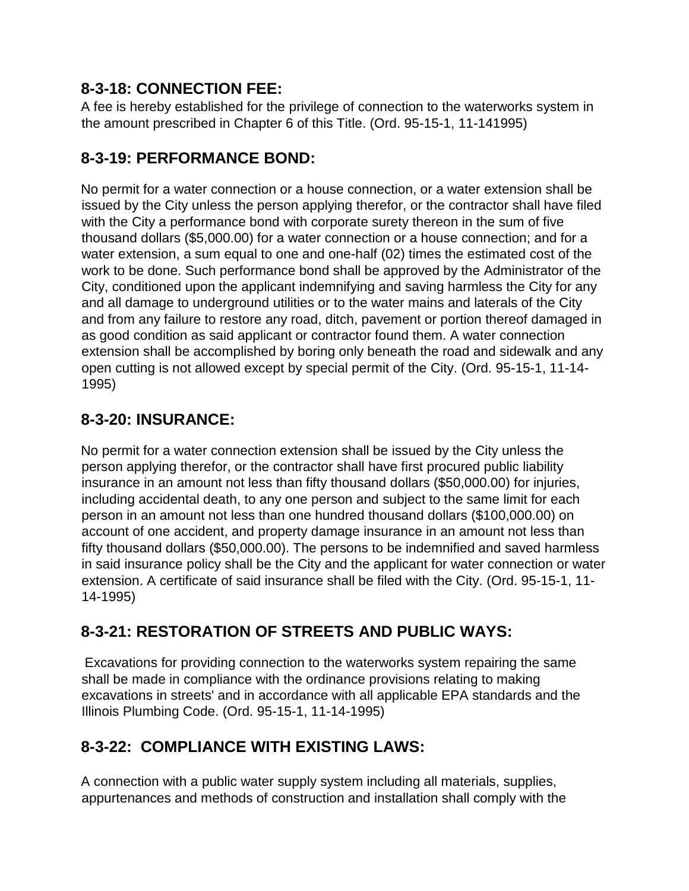## **8-3-18: CONNECTION FEE:**

A fee is hereby established for the privilege of connection to the waterworks system in the amount prescribed in Chapter 6 of this Title. (Ord. 95-15-1, 11-141995)

## **8-3-19: PERFORMANCE BOND:**

No permit for a water connection or a house connection, or a water extension shall be issued by the City unless the person applying therefor, or the contractor shall have filed with the City a performance bond with corporate surety thereon in the sum of five thousand dollars (\$5,000.00) for a water connection or a house connection; and for a water extension, a sum equal to one and one-half (02) times the estimated cost of the work to be done. Such performance bond shall be approved by the Administrator of the City, conditioned upon the applicant indemnifying and saving harmless the City for any and all damage to underground utilities or to the water mains and laterals of the City and from any failure to restore any road, ditch, pavement or portion thereof damaged in as good condition as said applicant or contractor found them. A water connection extension shall be accomplished by boring only beneath the road and sidewalk and any open cutting is not allowed except by special permit of the City. (Ord. 95-15-1, 11-14- 1995)

## **8-3-20: INSURANCE:**

No permit for a water connection extension shall be issued by the City unless the person applying therefor, or the contractor shall have first procured public liability insurance in an amount not less than fifty thousand dollars (\$50,000.00) for injuries, including accidental death, to any one person and subject to the same limit for each person in an amount not less than one hundred thousand dollars (\$100,000.00) on account of one accident, and property damage insurance in an amount not less than fifty thousand dollars (\$50,000.00). The persons to be indemnified and saved harmless in said insurance policy shall be the City and the applicant for water connection or water extension. A certificate of said insurance shall be filed with the City. (Ord. 95-15-1, 11- 14-1995)

## **8-3-21: RESTORATION OF STREETS AND PUBLIC WAYS:**

Excavations for providing connection to the waterworks system repairing the same shall be made in compliance with the ordinance provisions relating to making excavations in streets' and in accordance with all applicable EPA standards and the Illinois Plumbing Code. (Ord. 95-15-1, 11-14-1995)

## **8-3-22: COMPLIANCE WITH EXISTING LAWS:**

A connection with a public water supply system including all materials, supplies, appurtenances and methods of construction and installation shall comply with the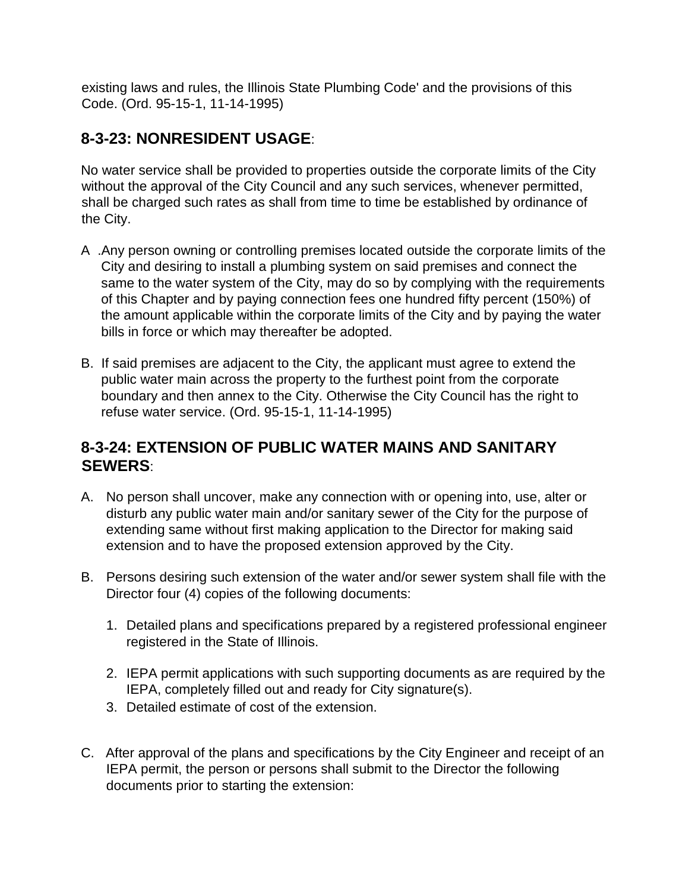existing laws and rules, the Illinois State Plumbing Code' and the provisions of this Code. (Ord. 95-15-1, 11-14-1995)

## **8-3-23: NONRESIDENT USAGE**:

No water service shall be provided to properties outside the corporate limits of the City without the approval of the City Council and any such services, whenever permitted, shall be charged such rates as shall from time to time be established by ordinance of the City.

- A .Any person owning or controlling premises located outside the corporate limits of the City and desiring to install a plumbing system on said premises and connect the same to the water system of the City, may do so by complying with the requirements of this Chapter and by paying connection fees one hundred fifty percent (150%) of the amount applicable within the corporate limits of the City and by paying the water bills in force or which may thereafter be adopted.
- B. If said premises are adjacent to the City, the applicant must agree to extend the public water main across the property to the furthest point from the corporate boundary and then annex to the City. Otherwise the City Council has the right to refuse water service. (Ord. 95-15-1, 11-14-1995)

#### **8-3-24: EXTENSION OF PUBLIC WATER MAINS AND SANITARY SEWERS**:

- A. No person shall uncover, make any connection with or opening into, use, alter or disturb any public water main and/or sanitary sewer of the City for the purpose of extending same without first making application to the Director for making said extension and to have the proposed extension approved by the City.
- B. Persons desiring such extension of the water and/or sewer system shall file with the Director four (4) copies of the following documents:
	- 1. Detailed plans and specifications prepared by a registered professional engineer registered in the State of Illinois.
	- 2. IEPA permit applications with such supporting documents as are required by the IEPA, completely filled out and ready for City signature(s).
	- 3. Detailed estimate of cost of the extension.
- C. After approval of the plans and specifications by the City Engineer and receipt of an IEPA permit, the person or persons shall submit to the Director the following documents prior to starting the extension: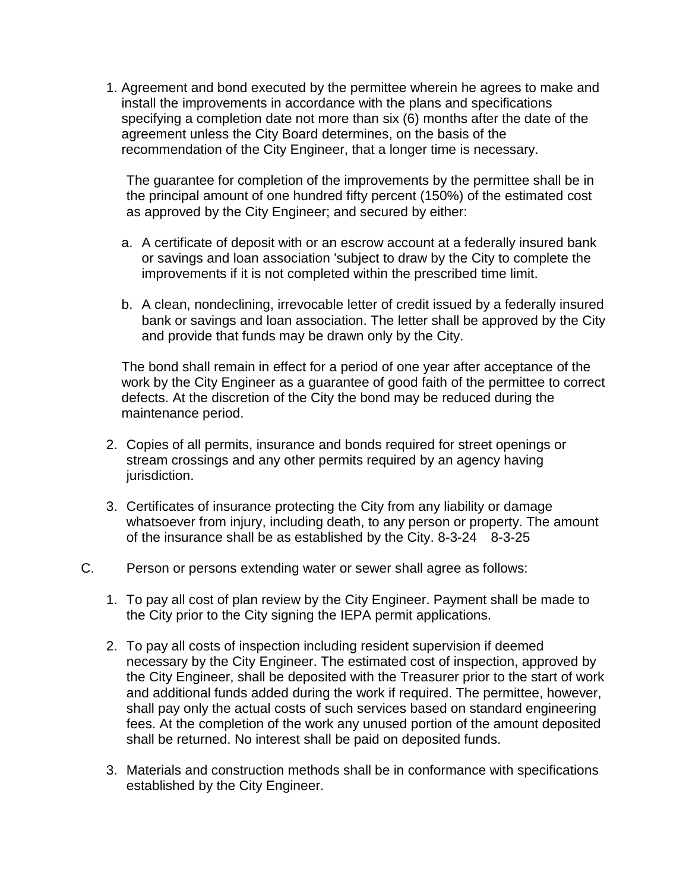1. Agreement and bond executed by the permittee wherein he agrees to make and install the improvements in accordance with the plans and specifications specifying a completion date not more than six (6) months after the date of the agreement unless the City Board determines, on the basis of the recommendation of the City Engineer, that a longer time is necessary.

The guarantee for completion of the improvements by the permittee shall be in the principal amount of one hundred fifty percent (150%) of the estimated cost as approved by the City Engineer; and secured by either:

- a. A certificate of deposit with or an escrow account at a federally insured bank or savings and loan association 'subject to draw by the City to complete the improvements if it is not completed within the prescribed time limit.
- b. A clean, nondeclining, irrevocable letter of credit issued by a federally insured bank or savings and loan association. The letter shall be approved by the City and provide that funds may be drawn only by the City.

The bond shall remain in effect for a period of one year after acceptance of the work by the City Engineer as a guarantee of good faith of the permittee to correct defects. At the discretion of the City the bond may be reduced during the maintenance period.

- 2. Copies of all permits, insurance and bonds required for street openings or stream crossings and any other permits required by an agency having jurisdiction.
- 3. Certificates of insurance protecting the City from any liability or damage whatsoever from injury, including death, to any person or property. The amount of the insurance shall be as established by the City.  $8-3-24$   $8-3-25$
- C. Person or persons extending water or sewer shall agree as follows:
	- 1. To pay all cost of plan review by the City Engineer. Payment shall be made to the City prior to the City signing the IEPA permit applications.
	- 2. To pay all costs of inspection including resident supervision if deemed necessary by the City Engineer. The estimated cost of inspection, approved by the City Engineer, shall be deposited with the Treasurer prior to the start of work and additional funds added during the work if required. The permittee, however, shall pay only the actual costs of such services based on standard engineering fees. At the completion of the work any unused portion of the amount deposited shall be returned. No interest shall be paid on deposited funds.
	- 3. Materials and construction methods shall be in conformance with specifications established by the City Engineer.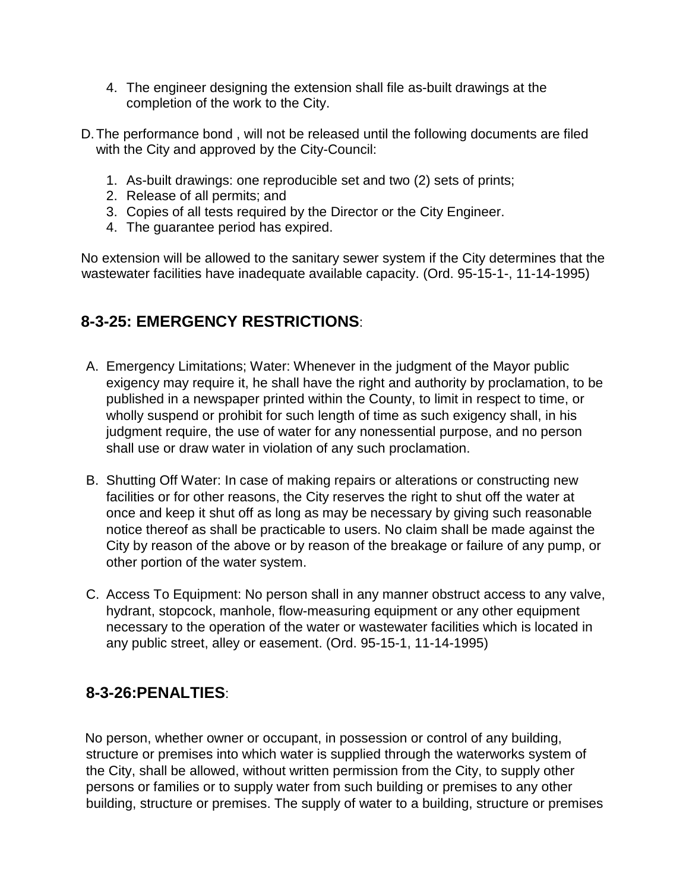- 4. The engineer designing the extension shall file as-built drawings at the completion of the work to the City.
- D.The performance bond , will not be released until the following documents are filed with the City and approved by the City-Council:
	- 1. As-built drawings: one reproducible set and two (2) sets of prints;
	- 2. Release of all permits; and
	- 3. Copies of all tests required by the Director or the City Engineer.
	- 4. The guarantee period has expired.

No extension will be allowed to the sanitary sewer system if the City determines that the wastewater facilities have inadequate available capacity. (Ord. 95-15-1-, 11-14-1995)

## **8-3-25: EMERGENCY RESTRICTIONS**:

- A. Emergency Limitations; Water: Whenever in the judgment of the Mayor public exigency may require it, he shall have the right and authority by proclamation, to be published in a newspaper printed within the County, to limit in respect to time, or wholly suspend or prohibit for such length of time as such exigency shall, in his judgment require, the use of water for any nonessential purpose, and no person shall use or draw water in violation of any such proclamation.
- B. Shutting Off Water: In case of making repairs or alterations or constructing new facilities or for other reasons, the City reserves the right to shut off the water at once and keep it shut off as long as may be necessary by giving such reasonable notice thereof as shall be practicable to users. No claim shall be made against the City by reason of the above or by reason of the breakage or failure of any pump, or other portion of the water system.
- C. Access To Equipment: No person shall in any manner obstruct access to any valve, hydrant, stopcock, manhole, flow-measuring equipment or any other equipment necessary to the operation of the water or wastewater facilities which is located in any public street, alley or easement. (Ord. 95-15-1, 11-14-1995)

#### **8-3-26:PENALTIES**:

No person, whether owner or occupant, in possession or control of any building, structure or premises into which water is supplied through the waterworks system of the City, shall be allowed, without written permission from the City, to supply other persons or families or to supply water from such building or premises to any other building, structure or premises. The supply of water to a building, structure or premises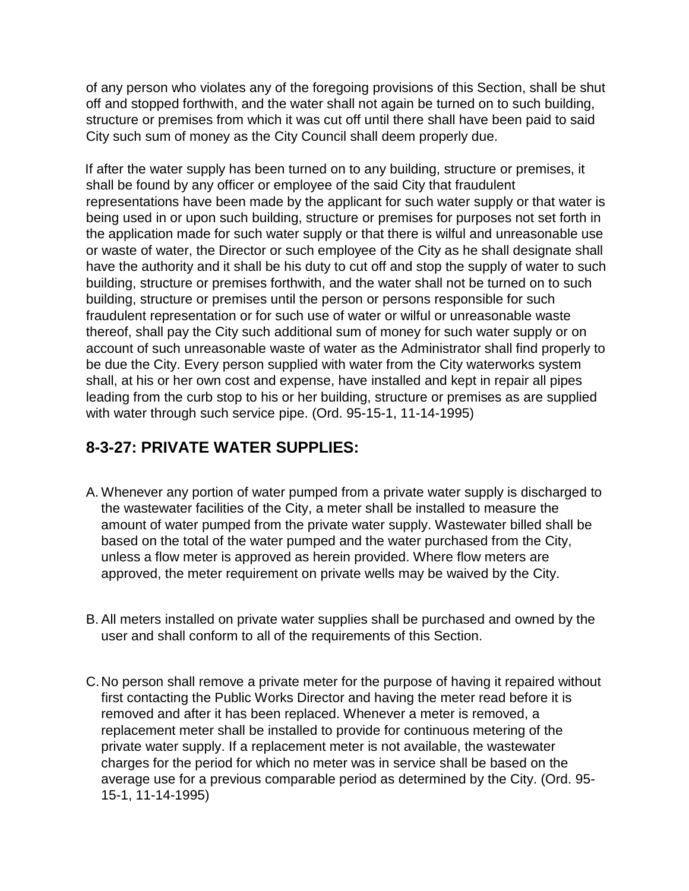of any person who violates any of the foregoing provisions of this Section, shall be shut off and stopped forthwith, and the water shall not again be turned on to such building, structure or premises from which it was cut off until there shall have been paid to said City such sum of money as the City Council shall deem properly due.

If after the water supply has been turned on to any building, structure or premises, it shall be found by any officer or employee of the said City that fraudulent representations have been made by the applicant for such water supply or that water is being used in or upon such building, structure or premises for purposes not set forth in the application made for such water supply or that there is wilful and unreasonable use or waste of water, the Director or such employee of the City as he shall designate shall have the authority and it shall be his duty to cut off and stop the supply of water to such building, structure or premises forthwith, and the water shall not be turned on to such building, structure or premises until the person or persons responsible for such fraudulent representation or for such use of water or wilful or unreasonable waste thereof, shall pay the City such additional sum of money for such water supply or on account of such unreasonable waste of water as the Administrator shall find properly to be due the City. Every person supplied with water from the City waterworks system shall, at his or her own cost and expense, have installed and kept in repair all pipes leading from the curb stop to his or her building, structure or premises as are supplied with water through such service pipe. (Ord. 95-15-1, 11-14-1995)

## **8-3-27: PRIVATE WATER SUPPLIES:**

- A. Whenever any portion of water pumped from a private water supply is discharged to the wastewater facilities of the City, a meter shall be installed to measure the amount of water pumped from the private water supply. Wastewater billed shall be based on the total of the water pumped and the water purchased from the City, unless a flow meter is approved as herein provided. Where flow meters are approved, the meter requirement on private wells may be waived by the City.
- B. All meters installed on private water supplies shall be purchased and owned by the user and shall conform to all of the requirements of this Section.
- C.No person shall remove a private meter for the purpose of having it repaired without first contacting the Public Works Director and having the meter read before it is removed and after it has been replaced. Whenever a meter is removed, a replacement meter shall be installed to provide for continuous metering of the private water supply. If a replacement meter is not available, the wastewater charges for the period for which no meter was in service shall be based on the average use for a previous comparable period as determined by the City. (Ord. 95- 15-1, 11-14-1995)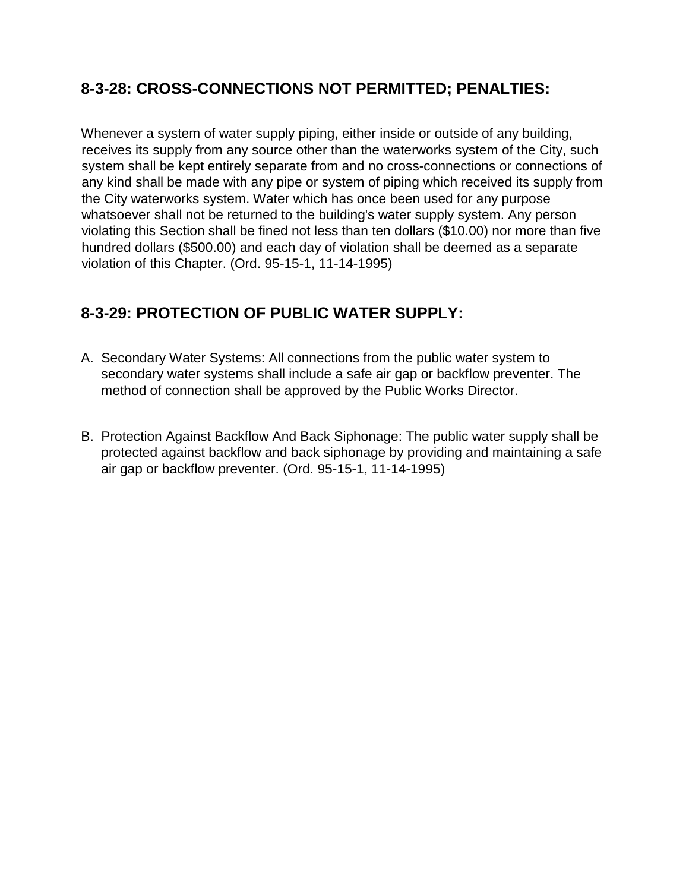## **8-3-28: CROSS-CONNECTIONS NOT PERMITTED; PENALTIES:**

Whenever a system of water supply piping, either inside or outside of any building, receives its supply from any source other than the waterworks system of the City, such system shall be kept entirely separate from and no cross-connections or connections of any kind shall be made with any pipe or system of piping which received its supply from the City waterworks system. Water which has once been used for any purpose whatsoever shall not be returned to the building's water supply system. Any person violating this Section shall be fined not less than ten dollars (\$10.00) nor more than five hundred dollars (\$500.00) and each day of violation shall be deemed as a separate violation of this Chapter. (Ord. 95-15-1, 11-14-1995)

## **8-3-29: PROTECTION OF PUBLIC WATER SUPPLY:**

- A. Secondary Water Systems: All connections from the public water system to secondary water systems shall include a safe air gap or backflow preventer. The method of connection shall be approved by the Public Works Director.
- B. Protection Against Backflow And Back Siphonage: The public water supply shall be protected against backflow and back siphonage by providing and maintaining a safe air gap or backflow preventer. (Ord. 95-15-1, 11-14-1995)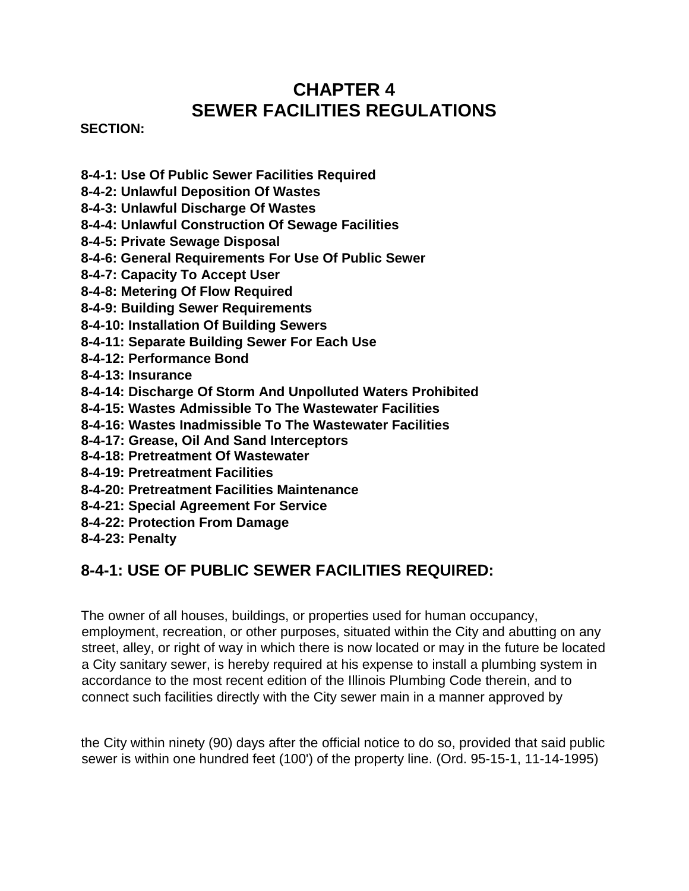## **CHAPTER 4 SEWER FACILITIES REGULATIONS**

#### **SECTION:**

- **8-4-1: Use Of Public Sewer Facilities Required**
- **8-4-2: Unlawful Deposition Of Wastes**
- **8-4-3: Unlawful Discharge Of Wastes**
- **8-4-4: Unlawful Construction Of Sewage Facilities**
- **8-4-5: Private Sewage Disposal**
- **8-4-6: General Requirements For Use Of Public Sewer**
- **8-4-7: Capacity To Accept User**
- **8-4-8: Metering Of Flow Required**
- **8-4-9: Building Sewer Requirements**
- **8-4-10: Installation Of Building Sewers**
- **8-4-11: Separate Building Sewer For Each Use**
- **8-4-12: Performance Bond**
- **8-4-13: Insurance**
- **8-4-14: Discharge Of Storm And Unpolluted Waters Prohibited**
- **8-4-15: Wastes Admissible To The Wastewater Facilities**
- **8-4-16: Wastes Inadmissible To The Wastewater Facilities**
- **8-4-17: Grease, Oil And Sand Interceptors**
- **8-4-18: Pretreatment Of Wastewater**
- **8-4-19: Pretreatment Facilities**
- **8-4-20: Pretreatment Facilities Maintenance**
- **8-4-21: Special Agreement For Service**
- **8-4-22: Protection From Damage**
- **8-4-23: Penalty**

## **8-4-1: USE OF PUBLIC SEWER FACILITIES REQUIRED:**

The owner of all houses, buildings, or properties used for human occupancy, employment, recreation, or other purposes, situated within the City and abutting on any street, alley, or right of way in which there is now located or may in the future be located a City sanitary sewer, is hereby required at his expense to install a plumbing system in accordance to the most recent edition of the Illinois Plumbing Code therein, and to connect such facilities directly with the City sewer main in a manner approved by

the City within ninety (90) days after the official notice to do so, provided that said public sewer is within one hundred feet (100') of the property line. (Ord. 95-15-1, 11-14-1995)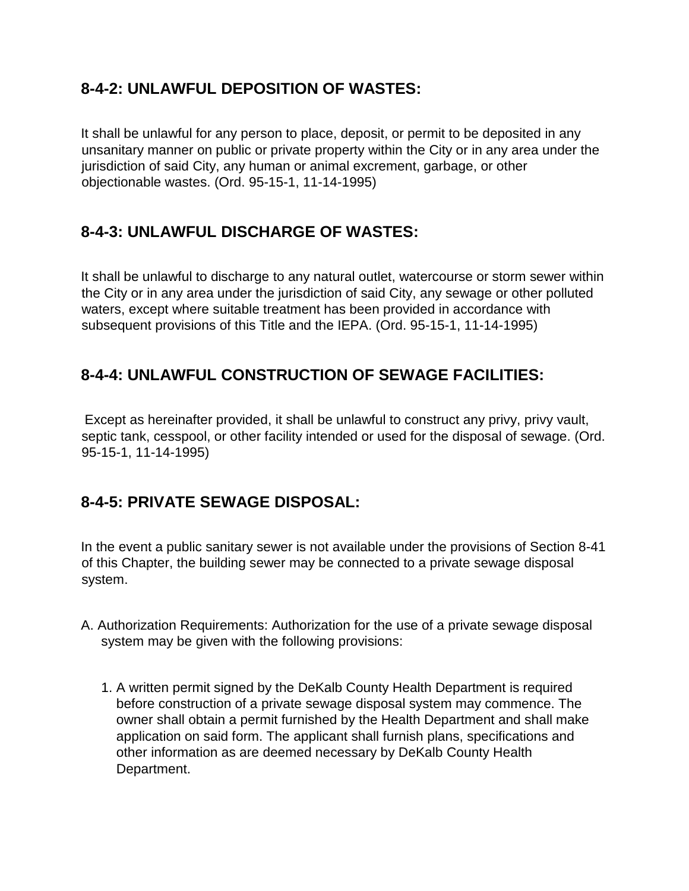## **8-4-2: UNLAWFUL DEPOSITION OF WASTES:**

It shall be unlawful for any person to place, deposit, or permit to be deposited in any unsanitary manner on public or private property within the City or in any area under the jurisdiction of said City, any human or animal excrement, garbage, or other objectionable wastes. (Ord. 95-15-1, 11-14-1995)

## **8-4-3: UNLAWFUL DISCHARGE OF WASTES:**

It shall be unlawful to discharge to any natural outlet, watercourse or storm sewer within the City or in any area under the jurisdiction of said City, any sewage or other polluted waters, except where suitable treatment has been provided in accordance with subsequent provisions of this Title and the IEPA. (Ord. 95-15-1, 11-14-1995)

## **8-4-4: UNLAWFUL CONSTRUCTION OF SEWAGE FACILITIES:**

Except as hereinafter provided, it shall be unlawful to construct any privy, privy vault, septic tank, cesspool, or other facility intended or used for the disposal of sewage. (Ord. 95-15-1, 11-14-1995)

## **8-4-5: PRIVATE SEWAGE DISPOSAL:**

In the event a public sanitary sewer is not available under the provisions of Section 8-41 of this Chapter, the building sewer may be connected to a private sewage disposal system.

- A. Authorization Requirements: Authorization for the use of a private sewage disposal system may be given with the following provisions:
	- 1. A written permit signed by the DeKalb County Health Department is required before construction of a private sewage disposal system may commence. The owner shall obtain a permit furnished by the Health Department and shall make application on said form. The applicant shall furnish plans, specifications and other information as are deemed necessary by DeKalb County Health Department.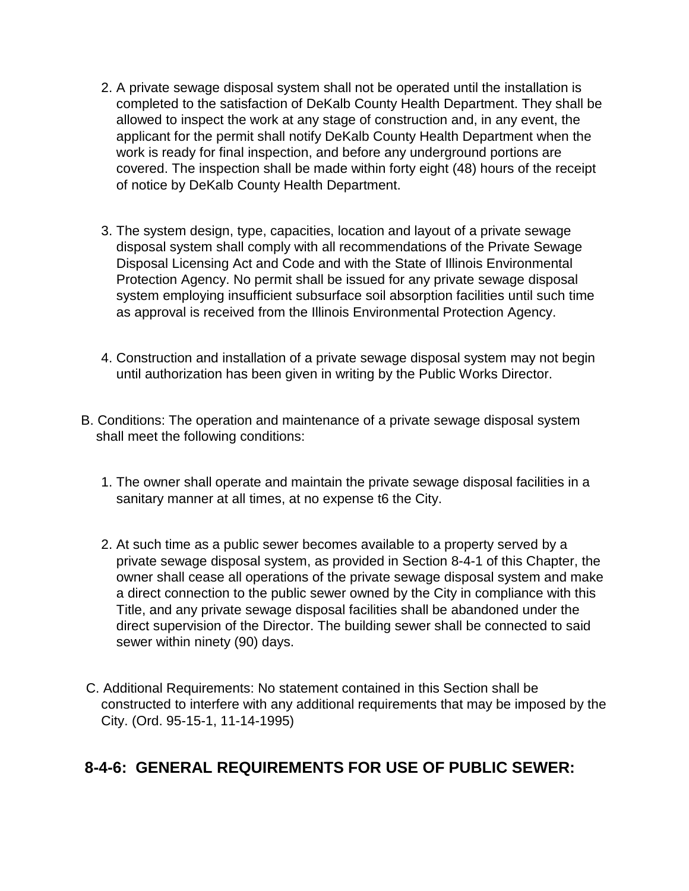- 2. A private sewage disposal system shall not be operated until the installation is completed to the satisfaction of DeKalb County Health Department. They shall be allowed to inspect the work at any stage of construction and, in any event, the applicant for the permit shall notify DeKalb County Health Department when the work is ready for final inspection, and before any underground portions are covered. The inspection shall be made within forty eight (48) hours of the receipt of notice by DeKalb County Health Department.
- 3. The system design, type, capacities, location and layout of a private sewage disposal system shall comply with all recommendations of the Private Sewage Disposal Licensing Act and Code and with the State of Illinois Environmental Protection Agency. No permit shall be issued for any private sewage disposal system employing insufficient subsurface soil absorption facilities until such time as approval is received from the Illinois Environmental Protection Agency.
- 4. Construction and installation of a private sewage disposal system may not begin until authorization has been given in writing by the Public Works Director.
- B. Conditions: The operation and maintenance of a private sewage disposal system shall meet the following conditions:
	- 1. The owner shall operate and maintain the private sewage disposal facilities in a sanitary manner at all times, at no expense t6 the City.
	- 2. At such time as a public sewer becomes available to a property served by a private sewage disposal system, as provided in Section 8-4-1 of this Chapter, the owner shall cease all operations of the private sewage disposal system and make a direct connection to the public sewer owned by the City in compliance with this Title, and any private sewage disposal facilities shall be abandoned under the direct supervision of the Director. The building sewer shall be connected to said sewer within ninety (90) days.
- C. Additional Requirements: No statement contained in this Section shall be constructed to interfere with any additional requirements that may be imposed by the City. (Ord. 95-15-1, 11-14-1995)

### **8-4-6: GENERAL REQUIREMENTS FOR USE OF PUBLIC SEWER:**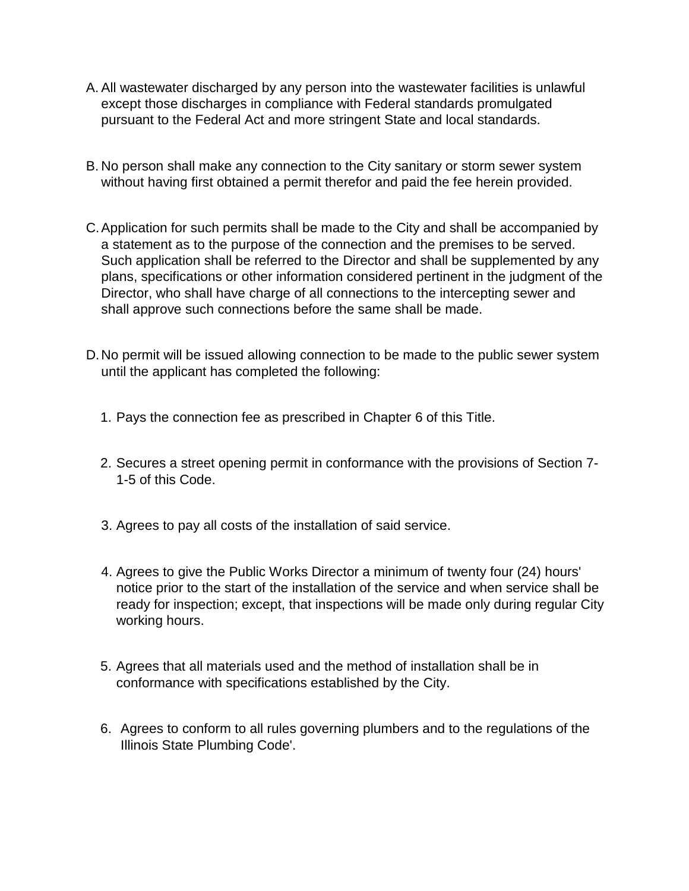- A. All wastewater discharged by any person into the wastewater facilities is unlawful except those discharges in compliance with Federal standards promulgated pursuant to the Federal Act and more stringent State and local standards.
- B. No person shall make any connection to the City sanitary or storm sewer system without having first obtained a permit therefor and paid the fee herein provided.
- C.Application for such permits shall be made to the City and shall be accompanied by a statement as to the purpose of the connection and the premises to be served. Such application shall be referred to the Director and shall be supplemented by any plans, specifications or other information considered pertinent in the judgment of the Director, who shall have charge of all connections to the intercepting sewer and shall approve such connections before the same shall be made.
- D.No permit will be issued allowing connection to be made to the public sewer system until the applicant has completed the following:
	- 1. Pays the connection fee as prescribed in Chapter 6 of this Title.
	- 2. Secures a street opening permit in conformance with the provisions of Section 7- 1-5 of this Code.
	- 3. Agrees to pay all costs of the installation of said service.
	- 4. Agrees to give the Public Works Director a minimum of twenty four (24) hours' notice prior to the start of the installation of the service and when service shall be ready for inspection; except, that inspections will be made only during regular City working hours.
	- 5. Agrees that all materials used and the method of installation shall be in conformance with specifications established by the City.
	- 6. Agrees to conform to all rules governing plumbers and to the regulations of the Illinois State Plumbing Code'.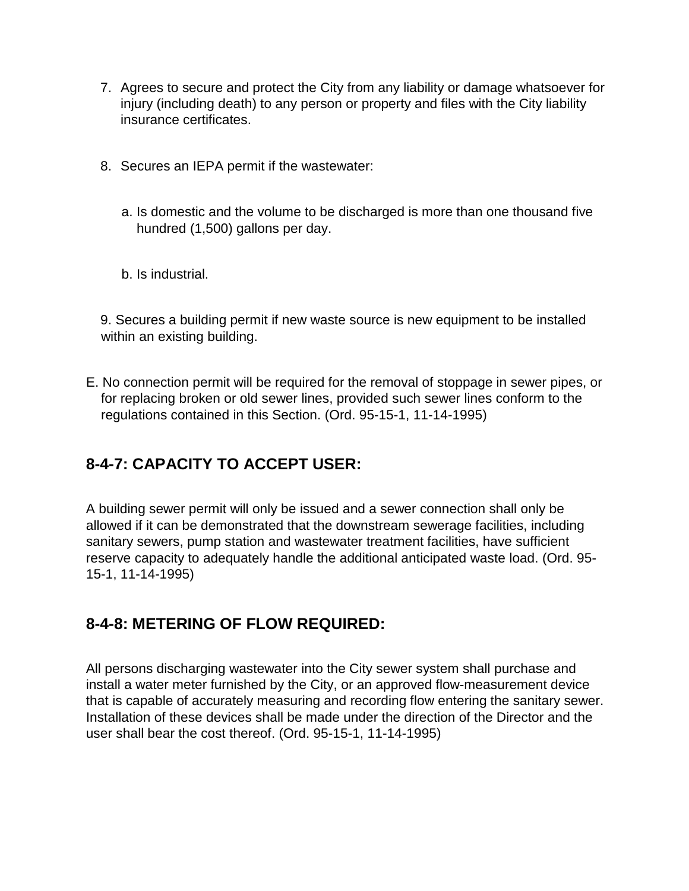- 7. Agrees to secure and protect the City from any liability or damage whatsoever for injury (including death) to any person or property and files with the City liability insurance certificates.
- 8. Secures an IEPA permit if the wastewater:
	- a. Is domestic and the volume to be discharged is more than one thousand five hundred (1,500) gallons per day.
	- b. Is industrial.

9. Secures a building permit if new waste source is new equipment to be installed within an existing building.

E. No connection permit will be required for the removal of stoppage in sewer pipes, or for replacing broken or old sewer lines, provided such sewer lines conform to the regulations contained in this Section. (Ord. 95-15-1, 11-14-1995)

### **8-4-7: CAPACITY TO ACCEPT USER:**

A building sewer permit will only be issued and a sewer connection shall only be allowed if it can be demonstrated that the downstream sewerage facilities, including sanitary sewers, pump station and wastewater treatment facilities, have sufficient reserve capacity to adequately handle the additional anticipated waste load. (Ord. 95- 15-1, 11-14-1995)

#### **8-4-8: METERING OF FLOW REQUIRED:**

All persons discharging wastewater into the City sewer system shall purchase and install a water meter furnished by the City, or an approved flow-measurement device that is capable of accurately measuring and recording flow entering the sanitary sewer. Installation of these devices shall be made under the direction of the Director and the user shall bear the cost thereof. (Ord. 95-15-1, 11-14-1995)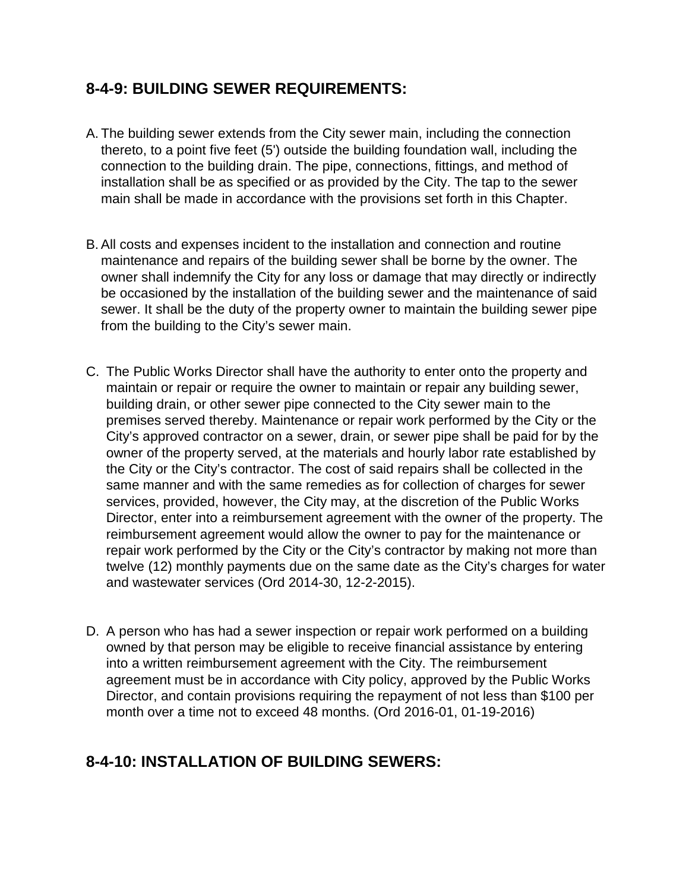#### **8-4-9: BUILDING SEWER REQUIREMENTS:**

- A. The building sewer extends from the City sewer main, including the connection thereto, to a point five feet (5') outside the building foundation wall, including the connection to the building drain. The pipe, connections, fittings, and method of installation shall be as specified or as provided by the City. The tap to the sewer main shall be made in accordance with the provisions set forth in this Chapter.
- B.All costs and expenses incident to the installation and connection and routine maintenance and repairs of the building sewer shall be borne by the owner. The owner shall indemnify the City for any loss or damage that may directly or indirectly be occasioned by the installation of the building sewer and the maintenance of said sewer. It shall be the duty of the property owner to maintain the building sewer pipe from the building to the City's sewer main.
- C. The Public Works Director shall have the authority to enter onto the property and maintain or repair or require the owner to maintain or repair any building sewer, building drain, or other sewer pipe connected to the City sewer main to the premises served thereby. Maintenance or repair work performed by the City or the City's approved contractor on a sewer, drain, or sewer pipe shall be paid for by the owner of the property served, at the materials and hourly labor rate established by the City or the City's contractor. The cost of said repairs shall be collected in the same manner and with the same remedies as for collection of charges for sewer services, provided, however, the City may, at the discretion of the Public Works Director, enter into a reimbursement agreement with the owner of the property. The reimbursement agreement would allow the owner to pay for the maintenance or repair work performed by the City or the City's contractor by making not more than twelve (12) monthly payments due on the same date as the City's charges for water and wastewater services (Ord 2014-30, 12-2-2015).
- D. A person who has had a sewer inspection or repair work performed on a building owned by that person may be eligible to receive financial assistance by entering into a written reimbursement agreement with the City. The reimbursement agreement must be in accordance with City policy, approved by the Public Works Director, and contain provisions requiring the repayment of not less than \$100 per month over a time not to exceed 48 months. (Ord 2016-01, 01-19-2016)

### **8-4-10: INSTALLATION OF BUILDING SEWERS:**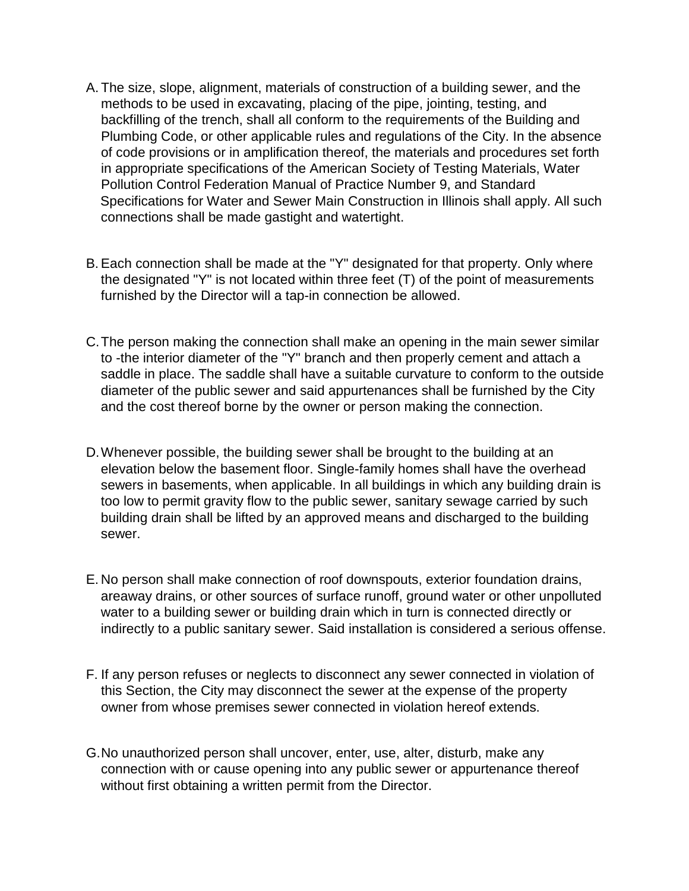- A. The size, slope, alignment, materials of construction of a building sewer, and the methods to be used in excavating, placing of the pipe, jointing, testing, and backfilling of the trench, shall all conform to the requirements of the Building and Plumbing Code, or other applicable rules and regulations of the City. In the absence of code provisions or in amplification thereof, the materials and procedures set forth in appropriate specifications of the American Society of Testing Materials, Water Pollution Control Federation Manual of Practice Number 9, and Standard Specifications for Water and Sewer Main Construction in Illinois shall apply. All such connections shall be made gastight and watertight.
- B.Each connection shall be made at the "Y" designated for that property. Only where the designated "Y" is not located within three feet (T) of the point of measurements furnished by the Director will a tap-in connection be allowed.
- C.The person making the connection shall make an opening in the main sewer similar to -the interior diameter of the "Y" branch and then properly cement and attach a saddle in place. The saddle shall have a suitable curvature to conform to the outside diameter of the public sewer and said appurtenances shall be furnished by the City and the cost thereof borne by the owner or person making the connection.
- D.Whenever possible, the building sewer shall be brought to the building at an elevation below the basement floor. Single-family homes shall have the overhead sewers in basements, when applicable. In all buildings in which any building drain is too low to permit gravity flow to the public sewer, sanitary sewage carried by such building drain shall be lifted by an approved means and discharged to the building sewer.
- E. No person shall make connection of roof downspouts, exterior foundation drains, areaway drains, or other sources of surface runoff, ground water or other unpolluted water to a building sewer or building drain which in turn is connected directly or indirectly to a public sanitary sewer. Said installation is considered a serious offense.
- F. If any person refuses or neglects to disconnect any sewer connected in violation of this Section, the City may disconnect the sewer at the expense of the property owner from whose premises sewer connected in violation hereof extends.
- G.No unauthorized person shall uncover, enter, use, alter, disturb, make any connection with or cause opening into any public sewer or appurtenance thereof without first obtaining a written permit from the Director.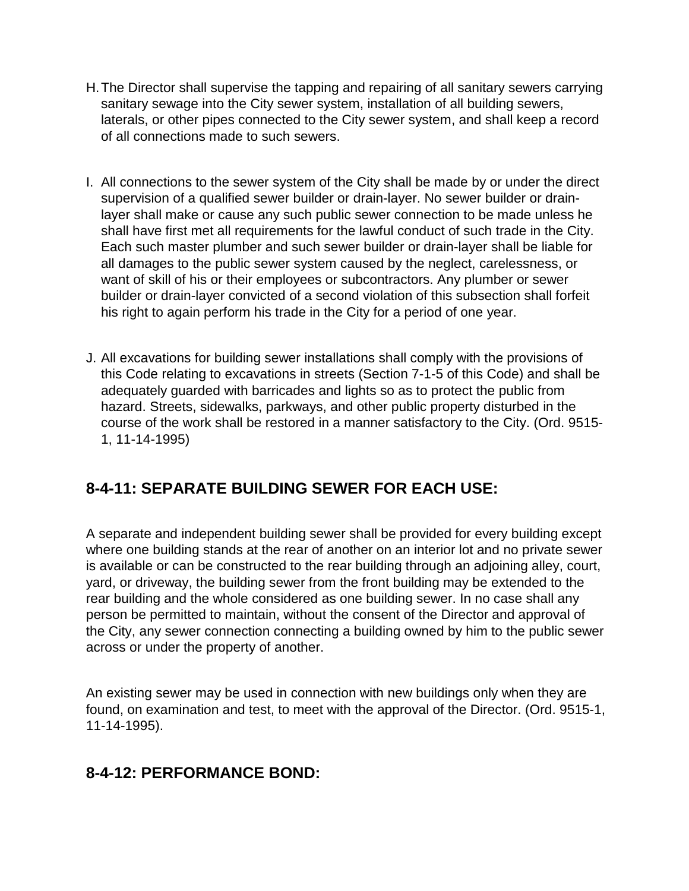- H.The Director shall supervise the tapping and repairing of all sanitary sewers carrying sanitary sewage into the City sewer system, installation of all building sewers, laterals, or other pipes connected to the City sewer system, and shall keep a record of all connections made to such sewers.
- I. All connections to the sewer system of the City shall be made by or under the direct supervision of a qualified sewer builder or drain-layer. No sewer builder or drainlayer shall make or cause any such public sewer connection to be made unless he shall have first met all requirements for the lawful conduct of such trade in the City. Each such master plumber and such sewer builder or drain-layer shall be liable for all damages to the public sewer system caused by the neglect, carelessness, or want of skill of his or their employees or subcontractors. Any plumber or sewer builder or drain-layer convicted of a second violation of this subsection shall forfeit his right to again perform his trade in the City for a period of one year.
- J. All excavations for building sewer installations shall comply with the provisions of this Code relating to excavations in streets (Section 7-1-5 of this Code) and shall be adequately guarded with barricades and lights so as to protect the public from hazard. Streets, sidewalks, parkways, and other public property disturbed in the course of the work shall be restored in a manner satisfactory to the City. (Ord. 9515- 1, 11-14-1995)

### **8-4-11: SEPARATE BUILDING SEWER FOR EACH USE:**

A separate and independent building sewer shall be provided for every building except where one building stands at the rear of another on an interior lot and no private sewer is available or can be constructed to the rear building through an adjoining alley, court, yard, or driveway, the building sewer from the front building may be extended to the rear building and the whole considered as one building sewer. In no case shall any person be permitted to maintain, without the consent of the Director and approval of the City, any sewer connection connecting a building owned by him to the public sewer across or under the property of another.

An existing sewer may be used in connection with new buildings only when they are found, on examination and test, to meet with the approval of the Director. (Ord. 9515-1, 11-14-1995).

### **8-4-12: PERFORMANCE BOND:**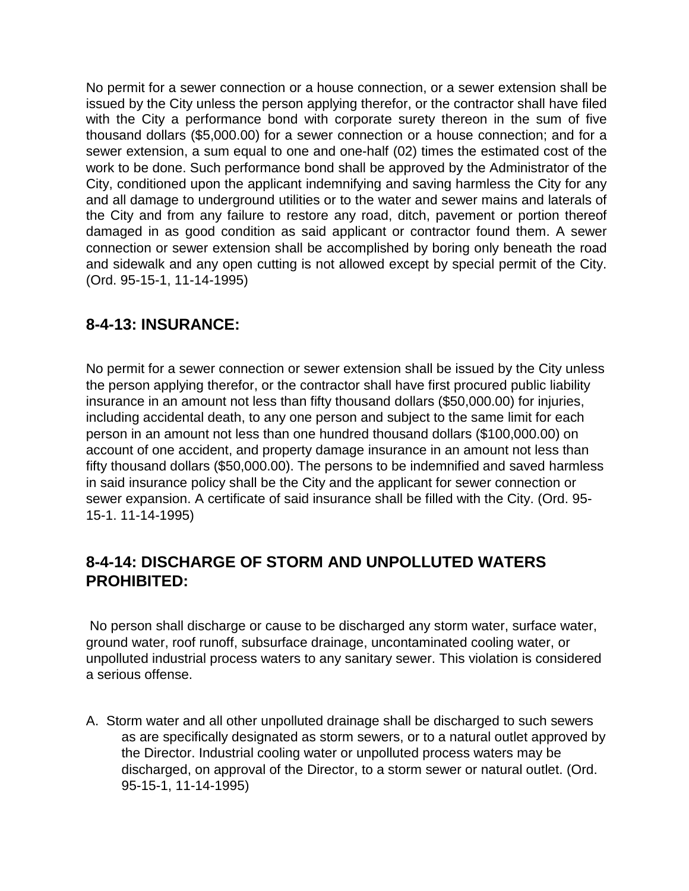No permit for a sewer connection or a house connection, or a sewer extension shall be issued by the City unless the person applying therefor, or the contractor shall have filed with the City a performance bond with corporate surety thereon in the sum of five thousand dollars (\$5,000.00) for a sewer connection or a house connection; and for a sewer extension, a sum equal to one and one-half (02) times the estimated cost of the work to be done. Such performance bond shall be approved by the Administrator of the City, conditioned upon the applicant indemnifying and saving harmless the City for any and all damage to underground utilities or to the water and sewer mains and laterals of the City and from any failure to restore any road, ditch, pavement or portion thereof damaged in as good condition as said applicant or contractor found them. A sewer connection or sewer extension shall be accomplished by boring only beneath the road and sidewalk and any open cutting is not allowed except by special permit of the City. (Ord. 95-15-1, 11-14-1995)

#### **8-4-13: INSURANCE:**

No permit for a sewer connection or sewer extension shall be issued by the City unless the person applying therefor, or the contractor shall have first procured public liability insurance in an amount not less than fifty thousand dollars (\$50,000.00) for injuries, including accidental death, to any one person and subject to the same limit for each person in an amount not less than one hundred thousand dollars (\$100,000.00) on account of one accident, and property damage insurance in an amount not less than fifty thousand dollars (\$50,000.00). The persons to be indemnified and saved harmless in said insurance policy shall be the City and the applicant for sewer connection or sewer expansion. A certificate of said insurance shall be filled with the City. (Ord. 95- 15-1. 11-14-1995)

#### **8-4-14: DISCHARGE OF STORM AND UNPOLLUTED WATERS PROHIBITED:**

No person shall discharge or cause to be discharged any storm water, surface water, ground water, roof runoff, subsurface drainage, uncontaminated cooling water, or unpolluted industrial process waters to any sanitary sewer. This violation is considered a serious offense.

A. Storm water and all other unpolluted drainage shall be discharged to such sewers as are specifically designated as storm sewers, or to a natural outlet approved by the Director. Industrial cooling water or unpolluted process waters may be discharged, on approval of the Director, to a storm sewer or natural outlet. (Ord. 95-15-1, 11-14-1995)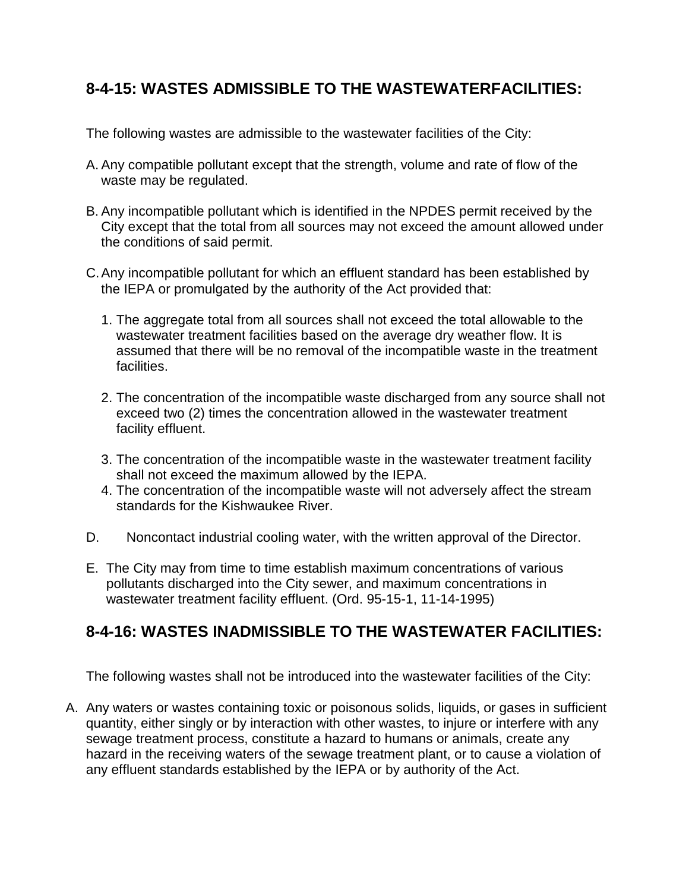## **8-4-15: WASTES ADMISSIBLE TO THE WASTEWATERFACILITIES:**

The following wastes are admissible to the wastewater facilities of the City:

- A. Any compatible pollutant except that the strength, volume and rate of flow of the waste may be regulated.
- B. Any incompatible pollutant which is identified in the NPDES permit received by the City except that the total from all sources may not exceed the amount allowed under the conditions of said permit.
- C.Any incompatible pollutant for which an effluent standard has been established by the IEPA or promulgated by the authority of the Act provided that:
	- 1. The aggregate total from all sources shall not exceed the total allowable to the wastewater treatment facilities based on the average dry weather flow. It is assumed that there will be no removal of the incompatible waste in the treatment facilities.
	- 2. The concentration of the incompatible waste discharged from any source shall not exceed two (2) times the concentration allowed in the wastewater treatment facility effluent.
	- 3. The concentration of the incompatible waste in the wastewater treatment facility shall not exceed the maximum allowed by the IEPA.
	- 4. The concentration of the incompatible waste will not adversely affect the stream standards for the Kishwaukee River.
- D. Noncontact industrial cooling water, with the written approval of the Director.
- E. The City may from time to time establish maximum concentrations of various pollutants discharged into the City sewer, and maximum concentrations in wastewater treatment facility effluent. (Ord. 95-15-1, 11-14-1995)

#### **8-4-16: WASTES INADMISSIBLE TO THE WASTEWATER FACILITIES:**

The following wastes shall not be introduced into the wastewater facilities of the City:

A. Any waters or wastes containing toxic or poisonous solids, liquids, or gases in sufficient quantity, either singly or by interaction with other wastes, to injure or interfere with any sewage treatment process, constitute a hazard to humans or animals, create any hazard in the receiving waters of the sewage treatment plant, or to cause a violation of any effluent standards established by the IEPA or by authority of the Act.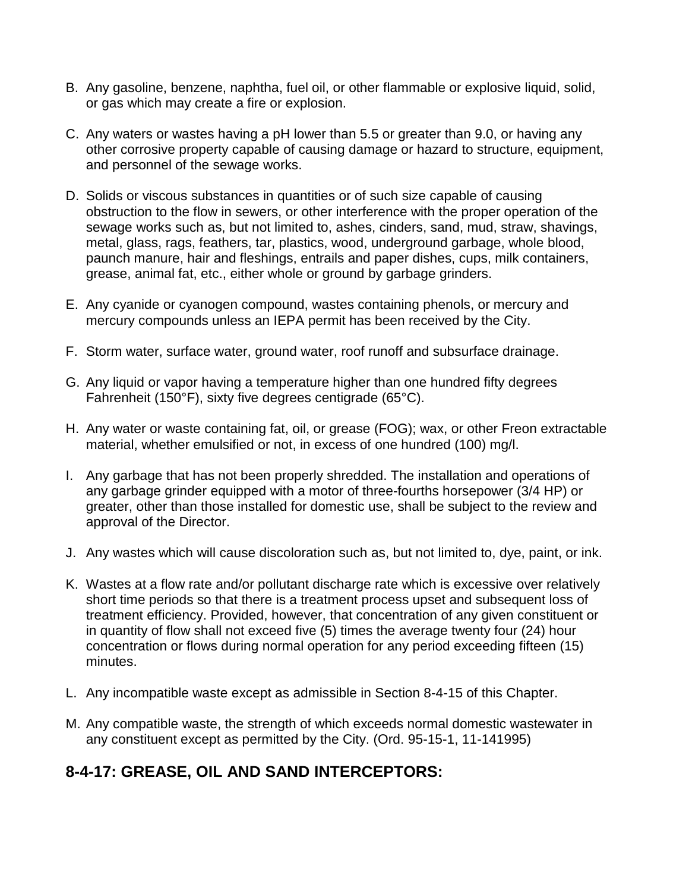- B. Any gasoline, benzene, naphtha, fuel oil, or other flammable or explosive liquid, solid, or gas which may create a fire or explosion.
- C. Any waters or wastes having a pH lower than 5.5 or greater than 9.0, or having any other corrosive property capable of causing damage or hazard to structure, equipment, and personnel of the sewage works.
- D. Solids or viscous substances in quantities or of such size capable of causing obstruction to the flow in sewers, or other interference with the proper operation of the sewage works such as, but not limited to, ashes, cinders, sand, mud, straw, shavings, metal, glass, rags, feathers, tar, plastics, wood, underground garbage, whole blood, paunch manure, hair and fleshings, entrails and paper dishes, cups, milk containers, grease, animal fat, etc., either whole or ground by garbage grinders.
- E. Any cyanide or cyanogen compound, wastes containing phenols, or mercury and mercury compounds unless an IEPA permit has been received by the City.
- F. Storm water, surface water, ground water, roof runoff and subsurface drainage.
- G. Any liquid or vapor having a temperature higher than one hundred fifty degrees Fahrenheit (150°F), sixty five degrees centigrade (65°C).
- H. Any water or waste containing fat, oil, or grease (FOG); wax, or other Freon extractable material, whether emulsified or not, in excess of one hundred (100) mg/l.
- I. Any garbage that has not been properly shredded. The installation and operations of any garbage grinder equipped with a motor of three-fourths horsepower (3/4 HP) or greater, other than those installed for domestic use, shall be subject to the review and approval of the Director.
- J. Any wastes which will cause discoloration such as, but not limited to, dye, paint, or ink.
- K. Wastes at a flow rate and/or pollutant discharge rate which is excessive over relatively short time periods so that there is a treatment process upset and subsequent loss of treatment efficiency. Provided, however, that concentration of any given constituent or in quantity of flow shall not exceed five (5) times the average twenty four (24) hour concentration or flows during normal operation for any period exceeding fifteen (15) minutes.
- L. Any incompatible waste except as admissible in Section 8-4-15 of this Chapter.
- M. Any compatible waste, the strength of which exceeds normal domestic wastewater in any constituent except as permitted by the City. (Ord. 95-15-1, 11-141995)

### **8-4-17: GREASE, OIL AND SAND INTERCEPTORS:**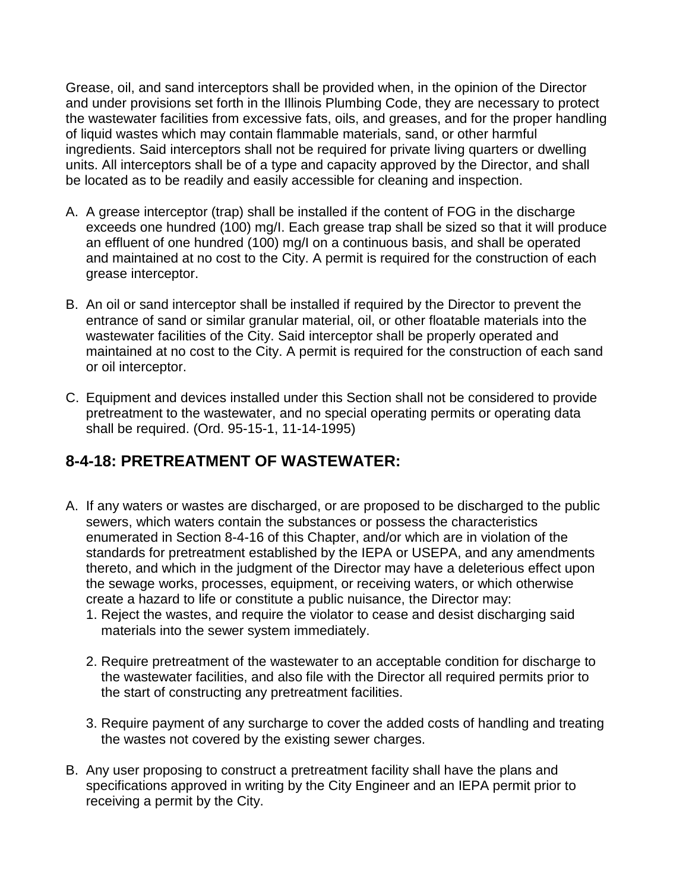Grease, oil, and sand interceptors shall be provided when, in the opinion of the Director and under provisions set forth in the Illinois Plumbing Code, they are necessary to protect the wastewater facilities from excessive fats, oils, and greases, and for the proper handling of liquid wastes which may contain flammable materials, sand, or other harmful ingredients. Said interceptors shall not be required for private living quarters or dwelling units. All interceptors shall be of a type and capacity approved by the Director, and shall be located as to be readily and easily accessible for cleaning and inspection.

- A. A grease interceptor (trap) shall be installed if the content of FOG in the discharge exceeds one hundred (100) mg/l. Each grease trap shall be sized so that it will produce an effluent of one hundred (100) mg/I on a continuous basis, and shall be operated and maintained at no cost to the City. A permit is required for the construction of each grease interceptor.
- B. An oil or sand interceptor shall be installed if required by the Director to prevent the entrance of sand or similar granular material, oil, or other floatable materials into the wastewater facilities of the City. Said interceptor shall be properly operated and maintained at no cost to the City. A permit is required for the construction of each sand or oil interceptor.
- C. Equipment and devices installed under this Section shall not be considered to provide pretreatment to the wastewater, and no special operating permits or operating data shall be required. (Ord. 95-15-1, 11-14-1995)

### **8-4-18: PRETREATMENT OF WASTEWATER:**

- A. If any waters or wastes are discharged, or are proposed to be discharged to the public sewers, which waters contain the substances or possess the characteristics enumerated in Section 8-4-16 of this Chapter, and/or which are in violation of the standards for pretreatment established by the IEPA or USEPA, and any amendments thereto, and which in the judgment of the Director may have a deleterious effect upon the sewage works, processes, equipment, or receiving waters, or which otherwise create a hazard to life or constitute a public nuisance, the Director may:
	- 1. Reject the wastes, and require the violator to cease and desist discharging said materials into the sewer system immediately.
	- 2. Require pretreatment of the wastewater to an acceptable condition for discharge to the wastewater facilities, and also file with the Director all required permits prior to the start of constructing any pretreatment facilities.
	- 3. Require payment of any surcharge to cover the added costs of handling and treating the wastes not covered by the existing sewer charges.
- B. Any user proposing to construct a pretreatment facility shall have the plans and specifications approved in writing by the City Engineer and an IEPA permit prior to receiving a permit by the City.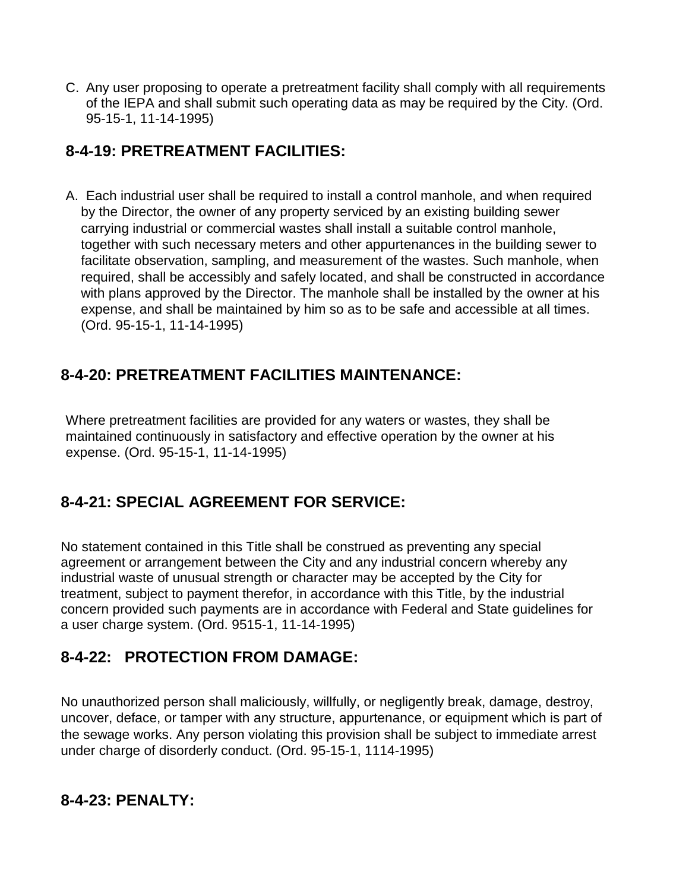C. Any user proposing to operate a pretreatment facility shall comply with all requirements of the IEPA and shall submit such operating data as may be required by the City. (Ord. 95-15-1, 11-14-1995)

## **8-4-19: PRETREATMENT FACILITIES:**

A. Each industrial user shall be required to install a control manhole, and when required by the Director, the owner of any property serviced by an existing building sewer carrying industrial or commercial wastes shall install a suitable control manhole, together with such necessary meters and other appurtenances in the building sewer to facilitate observation, sampling, and measurement of the wastes. Such manhole, when required, shall be accessibly and safely located, and shall be constructed in accordance with plans approved by the Director. The manhole shall be installed by the owner at his expense, and shall be maintained by him so as to be safe and accessible at all times. (Ord. 95-15-1, 11-14-1995)

### **8-4-20: PRETREATMENT FACILITIES MAINTENANCE:**

Where pretreatment facilities are provided for any waters or wastes, they shall be maintained continuously in satisfactory and effective operation by the owner at his expense. (Ord. 95-15-1, 11-14-1995)

# **8-4-21: SPECIAL AGREEMENT FOR SERVICE:**

No statement contained in this Title shall be construed as preventing any special agreement or arrangement between the City and any industrial concern whereby any industrial waste of unusual strength or character may be accepted by the City for treatment, subject to payment therefor, in accordance with this Title, by the industrial concern provided such payments are in accordance with Federal and State guidelines for a user charge system. (Ord. 9515-1, 11-14-1995)

### **8-4-22: PROTECTION FROM DAMAGE:**

No unauthorized person shall maliciously, willfully, or negligently break, damage, destroy, uncover, deface, or tamper with any structure, appurtenance, or equipment which is part of the sewage works. Any person violating this provision shall be subject to immediate arrest under charge of disorderly conduct. (Ord. 95-15-1, 1114-1995)

### **8-4-23: PENALTY:**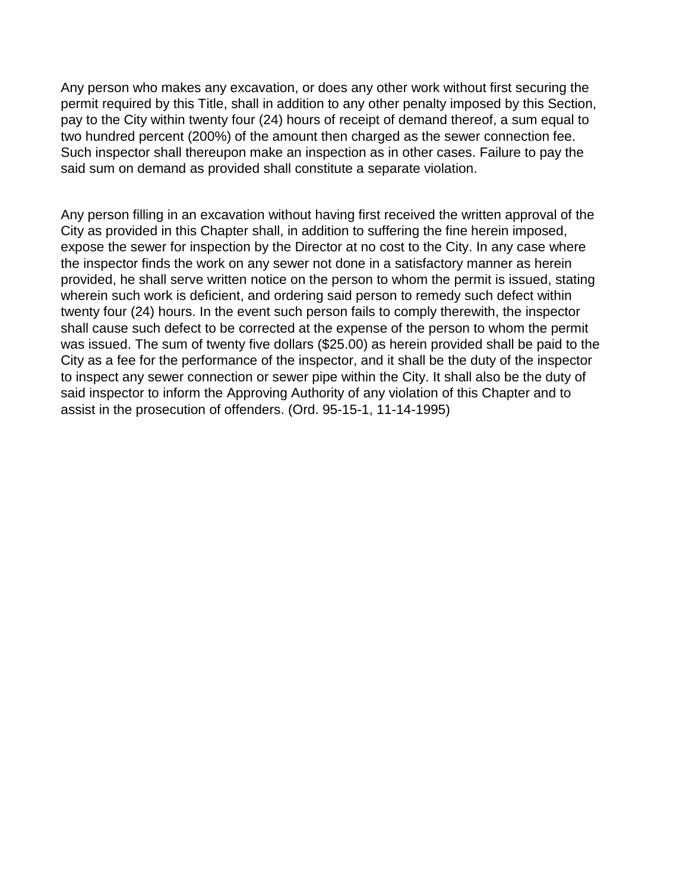Any person who makes any excavation, or does any other work without first securing the permit required by this Title, shall in addition to any other penalty imposed by this Section, pay to the City within twenty four (24) hours of receipt of demand thereof, a sum equal to two hundred percent (200%) of the amount then charged as the sewer connection fee. Such inspector shall thereupon make an inspection as in other cases. Failure to pay the said sum on demand as provided shall constitute a separate violation.

Any person filling in an excavation without having first received the written approval of the City as provided in this Chapter shall, in addition to suffering the fine herein imposed, expose the sewer for inspection by the Director at no cost to the City. In any case where the inspector finds the work on any sewer not done in a satisfactory manner as herein provided, he shall serve written notice on the person to whom the permit is issued, stating wherein such work is deficient, and ordering said person to remedy such defect within twenty four (24) hours. In the event such person fails to comply therewith, the inspector shall cause such defect to be corrected at the expense of the person to whom the permit was issued. The sum of twenty five dollars (\$25.00) as herein provided shall be paid to the City as a fee for the performance of the inspector, and it shall be the duty of the inspector to inspect any sewer connection or sewer pipe within the City. It shall also be the duty of said inspector to inform the Approving Authority of any violation of this Chapter and to assist in the prosecution of offenders. (Ord. 95-15-1, 11-14-1995)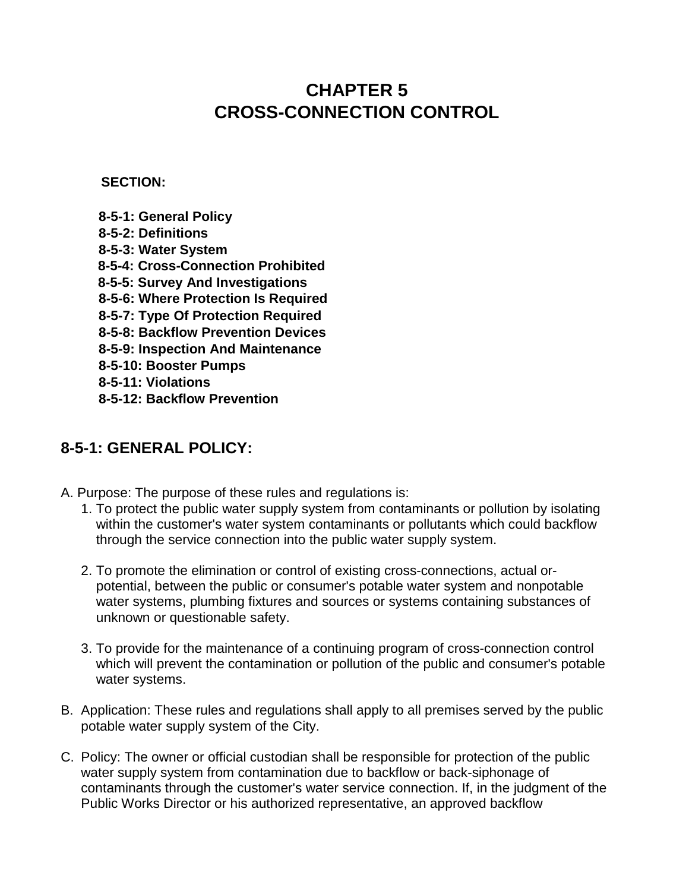# **CHAPTER 5 CROSS-CONNECTION CONTROL**

**SECTION:** 

- **8-5-1: General Policy 8-5-2: Definitions 8-5-3: Water System 8-5-4: Cross-Connection Prohibited 8-5-5: Survey And Investigations 8-5-6: Where Protection Is Required 8-5-7: Type Of Protection Required 8-5-8: Backflow Prevention Devices 8-5-9: Inspection And Maintenance 8-5-10: Booster Pumps 8-5-11: Violations**
- **8-5-12: Backflow Prevention**

#### **8-5-1: GENERAL POLICY:**

- A. Purpose: The purpose of these rules and regulations is:
	- 1. To protect the public water supply system from contaminants or pollution by isolating within the customer's water system contaminants or pollutants which could backflow through the service connection into the public water supply system.
	- 2. To promote the elimination or control of existing cross-connections, actual orpotential, between the public or consumer's potable water system and nonpotable water systems, plumbing fixtures and sources or systems containing substances of unknown or questionable safety.
	- 3. To provide for the maintenance of a continuing program of cross-connection control which will prevent the contamination or pollution of the public and consumer's potable water systems.
- B. Application: These rules and regulations shall apply to all premises served by the public potable water supply system of the City.
- C. Policy: The owner or official custodian shall be responsible for protection of the public water supply system from contamination due to backflow or back-siphonage of contaminants through the customer's water service connection. If, in the judgment of the Public Works Director or his authorized representative, an approved backflow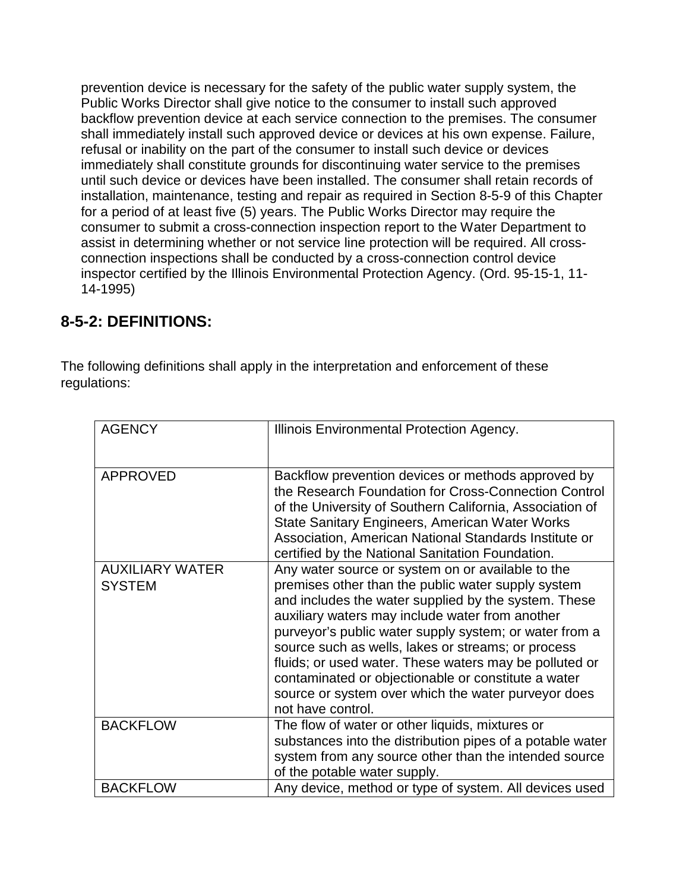prevention device is necessary for the safety of the public water supply system, the Public Works Director shall give notice to the consumer to install such approved backflow prevention device at each service connection to the premises. The consumer shall immediately install such approved device or devices at his own expense. Failure, refusal or inability on the part of the consumer to install such device or devices immediately shall constitute grounds for discontinuing water service to the premises until such device or devices have been installed. The consumer shall retain records of installation, maintenance, testing and repair as required in Section 8-5-9 of this Chapter for a period of at least five (5) years. The Public Works Director may require the consumer to submit a cross-connection inspection report to the Water Department to assist in determining whether or not service line protection will be required. All crossconnection inspections shall be conducted by a cross-connection control device inspector certified by the Illinois Environmental Protection Agency. (Ord. 95-15-1, 11- 14-1995)

### **8-5-2: DEFINITIONS:**

The following definitions shall apply in the interpretation and enforcement of these regulations:

| <b>AGENCY</b>                           | Illinois Environmental Protection Agency.                                                                                                                                                                                                                                                                                                                                                                                                                                                                                       |
|-----------------------------------------|---------------------------------------------------------------------------------------------------------------------------------------------------------------------------------------------------------------------------------------------------------------------------------------------------------------------------------------------------------------------------------------------------------------------------------------------------------------------------------------------------------------------------------|
| <b>APPROVED</b>                         | Backflow prevention devices or methods approved by<br>the Research Foundation for Cross-Connection Control<br>of the University of Southern California, Association of<br><b>State Sanitary Engineers, American Water Works</b><br>Association, American National Standards Institute or<br>certified by the National Sanitation Foundation.                                                                                                                                                                                    |
| <b>AUXILIARY WATER</b><br><b>SYSTEM</b> | Any water source or system on or available to the<br>premises other than the public water supply system<br>and includes the water supplied by the system. These<br>auxiliary waters may include water from another<br>purveyor's public water supply system; or water from a<br>source such as wells, lakes or streams; or process<br>fluids; or used water. These waters may be polluted or<br>contaminated or objectionable or constitute a water<br>source or system over which the water purveyor does<br>not have control. |
| <b>BACKFLOW</b>                         | The flow of water or other liquids, mixtures or<br>substances into the distribution pipes of a potable water<br>system from any source other than the intended source<br>of the potable water supply.                                                                                                                                                                                                                                                                                                                           |
| <b>BACKFLOW</b>                         | Any device, method or type of system. All devices used                                                                                                                                                                                                                                                                                                                                                                                                                                                                          |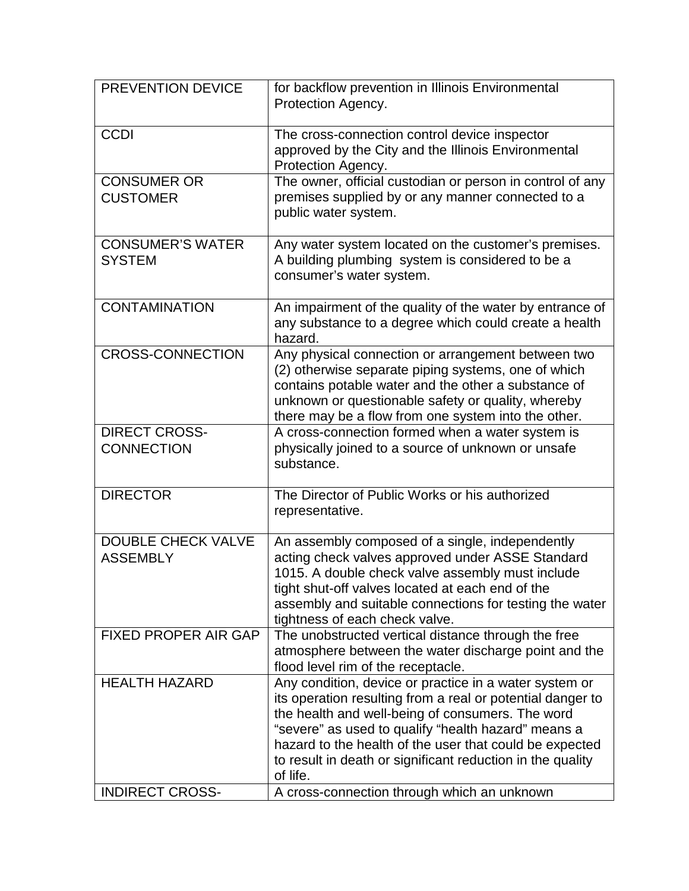| PREVENTION DEVICE                            | for backflow prevention in Illinois Environmental<br>Protection Agency.                                                                                                                                                                                                                                                                                              |
|----------------------------------------------|----------------------------------------------------------------------------------------------------------------------------------------------------------------------------------------------------------------------------------------------------------------------------------------------------------------------------------------------------------------------|
| <b>CCDI</b>                                  | The cross-connection control device inspector<br>approved by the City and the Illinois Environmental<br>Protection Agency.                                                                                                                                                                                                                                           |
| <b>CONSUMER OR</b><br><b>CUSTOMER</b>        | The owner, official custodian or person in control of any<br>premises supplied by or any manner connected to a<br>public water system.                                                                                                                                                                                                                               |
| <b>CONSUMER'S WATER</b><br><b>SYSTEM</b>     | Any water system located on the customer's premises.<br>A building plumbing system is considered to be a<br>consumer's water system.                                                                                                                                                                                                                                 |
| <b>CONTAMINATION</b>                         | An impairment of the quality of the water by entrance of<br>any substance to a degree which could create a health<br>hazard.                                                                                                                                                                                                                                         |
| <b>CROSS-CONNECTION</b>                      | Any physical connection or arrangement between two<br>(2) otherwise separate piping systems, one of which<br>contains potable water and the other a substance of<br>unknown or questionable safety or quality, whereby<br>there may be a flow from one system into the other.                                                                                        |
| <b>DIRECT CROSS-</b><br><b>CONNECTION</b>    | A cross-connection formed when a water system is<br>physically joined to a source of unknown or unsafe<br>substance.                                                                                                                                                                                                                                                 |
| <b>DIRECTOR</b>                              | The Director of Public Works or his authorized<br>representative.                                                                                                                                                                                                                                                                                                    |
| <b>DOUBLE CHECK VALVE</b><br><b>ASSEMBLY</b> | An assembly composed of a single, independently<br>acting check valves approved under ASSE Standard<br>1015. A double check valve assembly must include<br>tight shut-off valves located at each end of the<br>assembly and suitable connections for testing the water<br>tightness of each check valve.                                                             |
| <b>FIXED PROPER AIR GAP</b>                  | The unobstructed vertical distance through the free<br>atmosphere between the water discharge point and the<br>flood level rim of the receptacle.                                                                                                                                                                                                                    |
| <b>HEALTH HAZARD</b>                         | Any condition, device or practice in a water system or<br>its operation resulting from a real or potential danger to<br>the health and well-being of consumers. The word<br>"severe" as used to qualify "health hazard" means a<br>hazard to the health of the user that could be expected<br>to result in death or significant reduction in the quality<br>of life. |
| <b>INDIRECT CROSS-</b>                       | A cross-connection through which an unknown                                                                                                                                                                                                                                                                                                                          |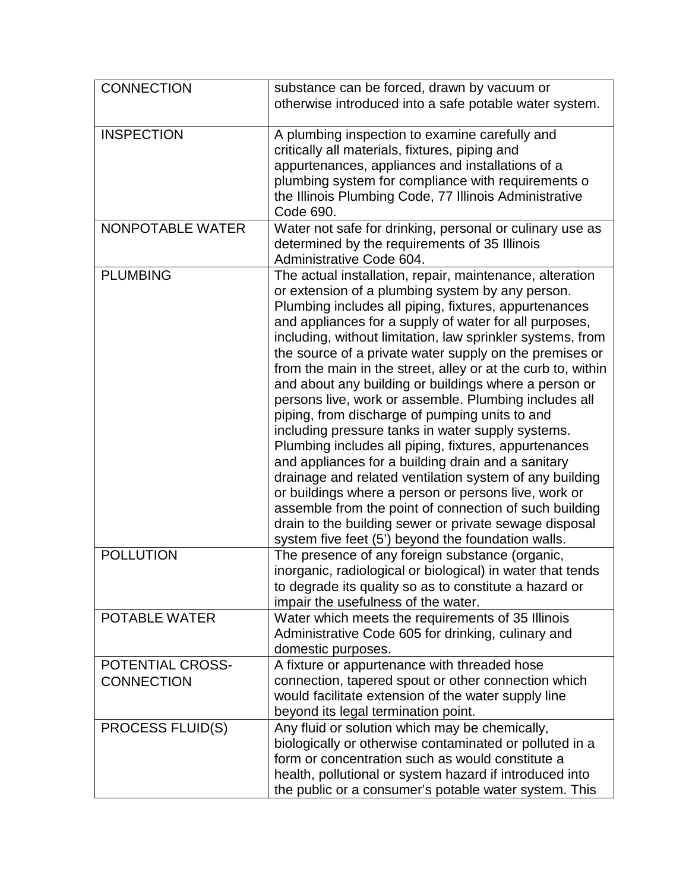| <b>CONNECTION</b>                     | substance can be forced, drawn by vacuum or<br>otherwise introduced into a safe potable water system.                                                                                                                                                                                                                                                                                                                                                                                                                                                                                                                                                                                                                                                                                                                                                                                                                                                                                                                                                         |
|---------------------------------------|---------------------------------------------------------------------------------------------------------------------------------------------------------------------------------------------------------------------------------------------------------------------------------------------------------------------------------------------------------------------------------------------------------------------------------------------------------------------------------------------------------------------------------------------------------------------------------------------------------------------------------------------------------------------------------------------------------------------------------------------------------------------------------------------------------------------------------------------------------------------------------------------------------------------------------------------------------------------------------------------------------------------------------------------------------------|
| <b>INSPECTION</b>                     | A plumbing inspection to examine carefully and<br>critically all materials, fixtures, piping and<br>appurtenances, appliances and installations of a<br>plumbing system for compliance with requirements o<br>the Illinois Plumbing Code, 77 Illinois Administrative<br>Code 690.                                                                                                                                                                                                                                                                                                                                                                                                                                                                                                                                                                                                                                                                                                                                                                             |
| NONPOTABLE WATER                      | Water not safe for drinking, personal or culinary use as<br>determined by the requirements of 35 Illinois<br>Administrative Code 604.                                                                                                                                                                                                                                                                                                                                                                                                                                                                                                                                                                                                                                                                                                                                                                                                                                                                                                                         |
| <b>PLUMBING</b>                       | The actual installation, repair, maintenance, alteration<br>or extension of a plumbing system by any person.<br>Plumbing includes all piping, fixtures, appurtenances<br>and appliances for a supply of water for all purposes,<br>including, without limitation, law sprinkler systems, from<br>the source of a private water supply on the premises or<br>from the main in the street, alley or at the curb to, within<br>and about any building or buildings where a person or<br>persons live, work or assemble. Plumbing includes all<br>piping, from discharge of pumping units to and<br>including pressure tanks in water supply systems.<br>Plumbing includes all piping, fixtures, appurtenances<br>and appliances for a building drain and a sanitary<br>drainage and related ventilation system of any building<br>or buildings where a person or persons live, work or<br>assemble from the point of connection of such building<br>drain to the building sewer or private sewage disposal<br>system five feet (5') beyond the foundation walls. |
| <b>POLLUTION</b>                      | The presence of any foreign substance (organic,<br>inorganic, radiological or biological) in water that tends<br>to degrade its quality so as to constitute a hazard or<br>impair the usefulness of the water.                                                                                                                                                                                                                                                                                                                                                                                                                                                                                                                                                                                                                                                                                                                                                                                                                                                |
| <b>POTABLE WATER</b>                  | Water which meets the requirements of 35 Illinois<br>Administrative Code 605 for drinking, culinary and<br>domestic purposes.                                                                                                                                                                                                                                                                                                                                                                                                                                                                                                                                                                                                                                                                                                                                                                                                                                                                                                                                 |
| POTENTIAL CROSS-<br><b>CONNECTION</b> | A fixture or appurtenance with threaded hose<br>connection, tapered spout or other connection which<br>would facilitate extension of the water supply line<br>beyond its legal termination point.                                                                                                                                                                                                                                                                                                                                                                                                                                                                                                                                                                                                                                                                                                                                                                                                                                                             |
| PROCESS FLUID(S)                      | Any fluid or solution which may be chemically,<br>biologically or otherwise contaminated or polluted in a<br>form or concentration such as would constitute a<br>health, pollutional or system hazard if introduced into<br>the public or a consumer's potable water system. This                                                                                                                                                                                                                                                                                                                                                                                                                                                                                                                                                                                                                                                                                                                                                                             |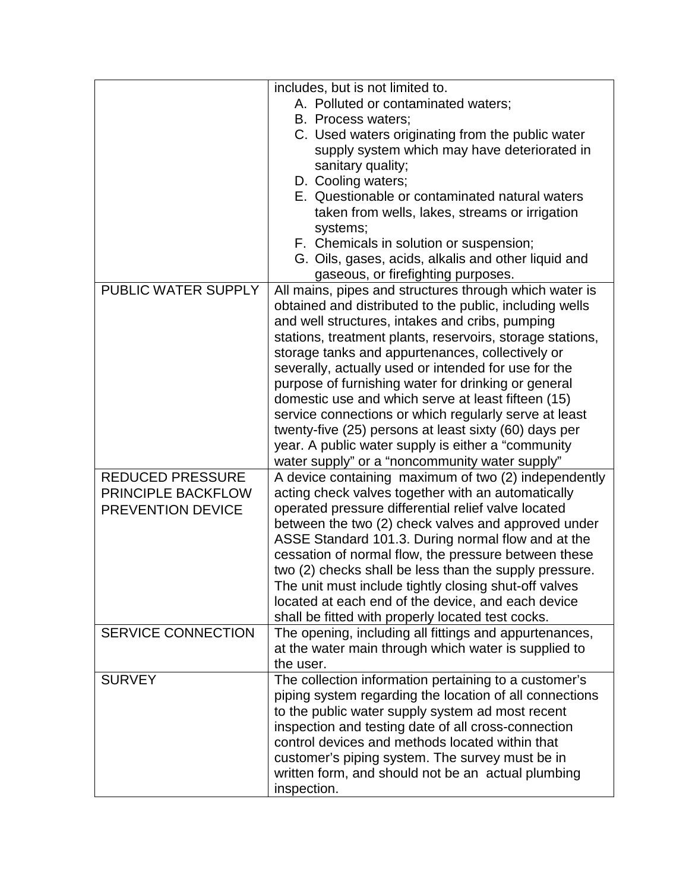|                         | includes, but is not limited to.                          |
|-------------------------|-----------------------------------------------------------|
|                         | A. Polluted or contaminated waters;                       |
|                         | B. Process waters;                                        |
|                         | C. Used waters originating from the public water          |
|                         | supply system which may have deteriorated in              |
|                         | sanitary quality;                                         |
|                         | D. Cooling waters;                                        |
|                         | E. Questionable or contaminated natural waters            |
|                         | taken from wells, lakes, streams or irrigation            |
|                         | systems;                                                  |
|                         | F. Chemicals in solution or suspension;                   |
|                         | G. Oils, gases, acids, alkalis and other liquid and       |
|                         | gaseous, or firefighting purposes.                        |
| PUBLIC WATER SUPPLY     | All mains, pipes and structures through which water is    |
|                         | obtained and distributed to the public, including wells   |
|                         |                                                           |
|                         | and well structures, intakes and cribs, pumping           |
|                         | stations, treatment plants, reservoirs, storage stations, |
|                         | storage tanks and appurtenances, collectively or          |
|                         | severally, actually used or intended for use for the      |
|                         | purpose of furnishing water for drinking or general       |
|                         | domestic use and which serve at least fifteen (15)        |
|                         | service connections or which regularly serve at least     |
|                         | twenty-five (25) persons at least sixty (60) days per     |
|                         | year. A public water supply is either a "community"       |
|                         | water supply" or a "noncommunity water supply"            |
| <b>REDUCED PRESSURE</b> | A device containing maximum of two (2) independently      |
| PRINCIPLE BACKFLOW      | acting check valves together with an automatically        |
| PREVENTION DEVICE       | operated pressure differential relief valve located       |
|                         | between the two (2) check valves and approved under       |
|                         | ASSE Standard 101.3. During normal flow and at the        |
|                         | cessation of normal flow, the pressure between these      |
|                         | two (2) checks shall be less than the supply pressure.    |
|                         | The unit must include tightly closing shut-off valves     |
|                         | located at each end of the device, and each device        |
|                         | shall be fitted with properly located test cocks.         |
| SERVICE CONNECTION      | The opening, including all fittings and appurtenances,    |
|                         | at the water main through which water is supplied to      |
|                         | the user.                                                 |
| <b>SURVEY</b>           | The collection information pertaining to a customer's     |
|                         | piping system regarding the location of all connections   |
|                         | to the public water supply system ad most recent          |
|                         | inspection and testing date of all cross-connection       |
|                         | control devices and methods located within that           |
|                         | customer's piping system. The survey must be in           |
|                         | written form, and should not be an actual plumbing        |
|                         | inspection.                                               |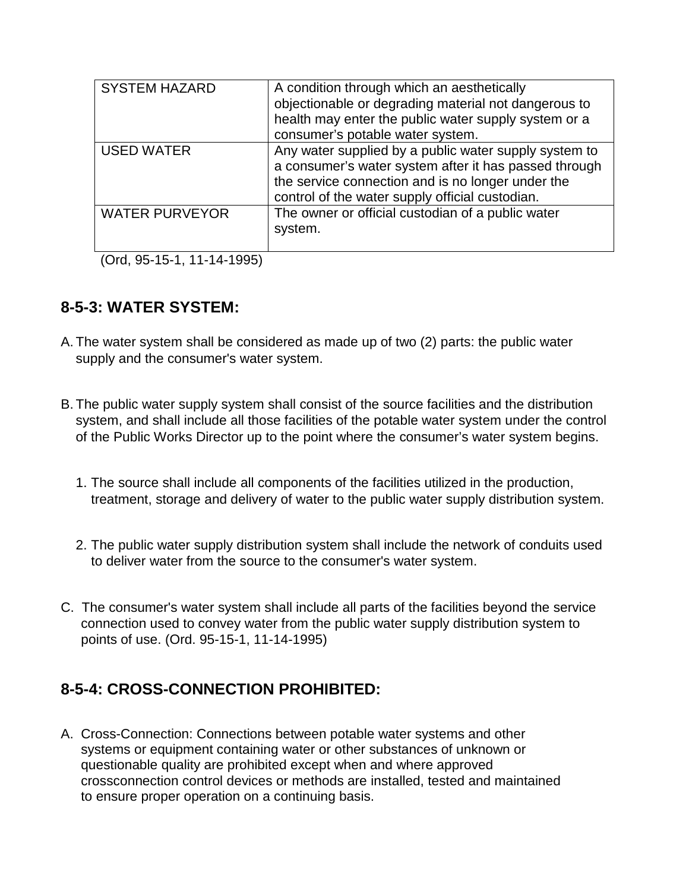| <b>SYSTEM HAZARD</b>  | A condition through which an aesthetically<br>objectionable or degrading material not dangerous to<br>health may enter the public water supply system or a<br>consumer's potable water system.                         |
|-----------------------|------------------------------------------------------------------------------------------------------------------------------------------------------------------------------------------------------------------------|
| <b>USED WATER</b>     | Any water supplied by a public water supply system to<br>a consumer's water system after it has passed through<br>the service connection and is no longer under the<br>control of the water supply official custodian. |
| <b>WATER PURVEYOR</b> | The owner or official custodian of a public water<br>system.                                                                                                                                                           |

(Ord, 95-15-1, 11-14-1995)

#### **8-5-3: WATER SYSTEM:**

- A. The water system shall be considered as made up of two (2) parts: the public water supply and the consumer's water system.
- B. The public water supply system shall consist of the source facilities and the distribution system, and shall include all those facilities of the potable water system under the control of the Public Works Director up to the point where the consumer's water system begins.
	- 1. The source shall include all components of the facilities utilized in the production, treatment, storage and delivery of water to the public water supply distribution system.
	- 2. The public water supply distribution system shall include the network of conduits used to deliver water from the source to the consumer's water system.
- C. The consumer's water system shall include all parts of the facilities beyond the service connection used to convey water from the public water supply distribution system to points of use. (Ord. 95-15-1, 11-14-1995)

### **8-5-4: CROSS-CONNECTION PROHIBITED:**

A. Cross-Connection: Connections between potable water systems and other systems or equipment containing water or other substances of unknown or questionable quality are prohibited except when and where approved crossconnection control devices or methods are installed, tested and maintained to ensure proper operation on a continuing basis.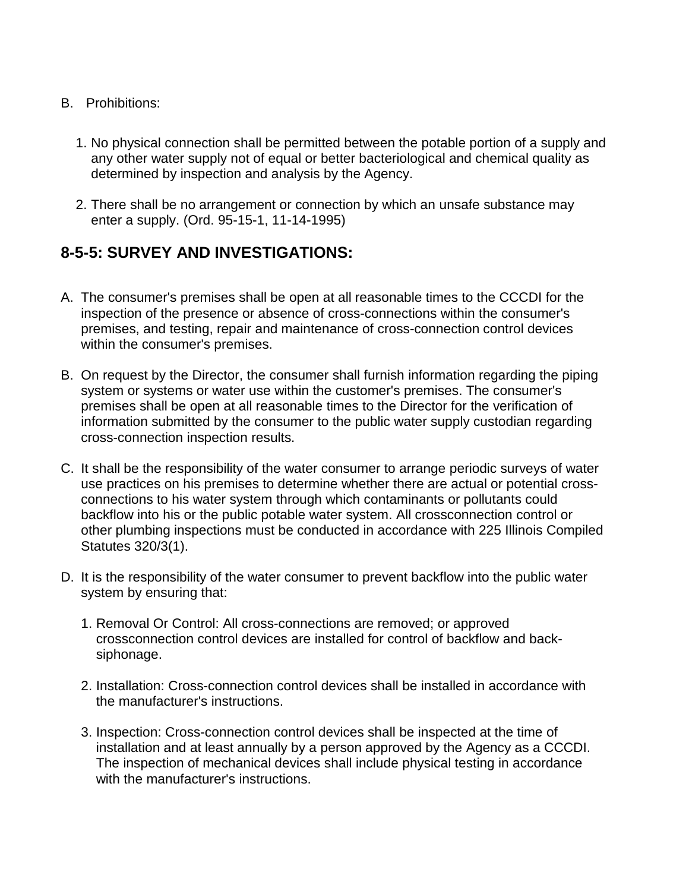- B. Prohibitions:
	- 1. No physical connection shall be permitted between the potable portion of a supply and any other water supply not of equal or better bacteriological and chemical quality as determined by inspection and analysis by the Agency.
	- 2. There shall be no arrangement or connection by which an unsafe substance may enter a supply. (Ord. 95-15-1, 11-14-1995)

## **8-5-5: SURVEY AND INVESTIGATIONS:**

- A. The consumer's premises shall be open at all reasonable times to the CCCDI for the inspection of the presence or absence of cross-connections within the consumer's premises, and testing, repair and maintenance of cross-connection control devices within the consumer's premises.
- B. On request by the Director, the consumer shall furnish information regarding the piping system or systems or water use within the customer's premises. The consumer's premises shall be open at all reasonable times to the Director for the verification of information submitted by the consumer to the public water supply custodian regarding cross-connection inspection results.
- C. It shall be the responsibility of the water consumer to arrange periodic surveys of water use practices on his premises to determine whether there are actual or potential crossconnections to his water system through which contaminants or pollutants could backflow into his or the public potable water system. All crossconnection control or other plumbing inspections must be conducted in accordance with 225 Illinois Compiled Statutes 320/3(1).
- D. It is the responsibility of the water consumer to prevent backflow into the public water system by ensuring that:
	- 1. Removal Or Control: All cross-connections are removed; or approved crossconnection control devices are installed for control of backflow and backsiphonage.
	- 2. Installation: Cross-connection control devices shall be installed in accordance with the manufacturer's instructions.
	- 3. Inspection: Cross-connection control devices shall be inspected at the time of installation and at least annually by a person approved by the Agency as a CCCDI. The inspection of mechanical devices shall include physical testing in accordance with the manufacturer's instructions.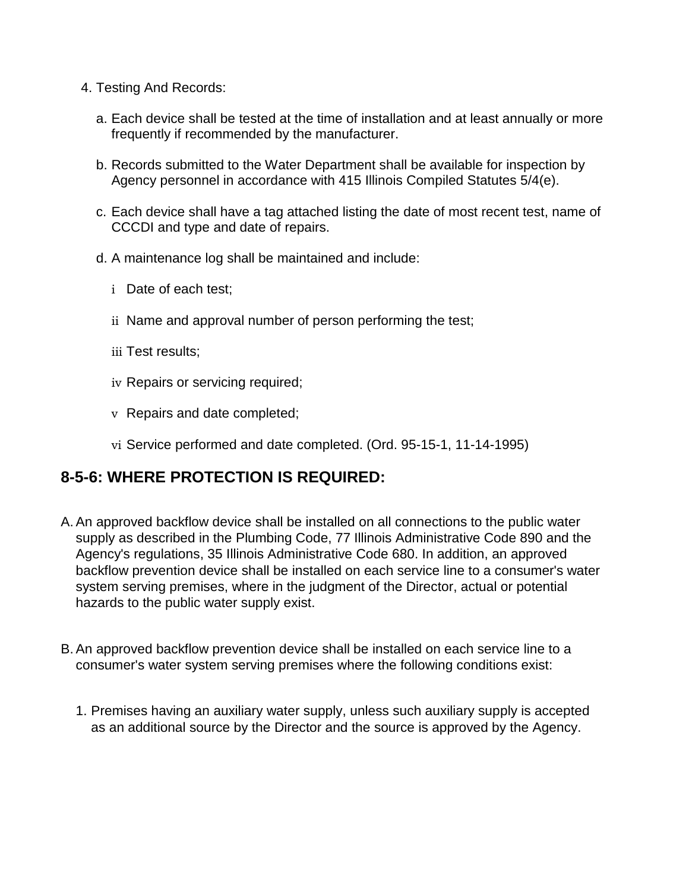- 4. Testing And Records:
	- a. Each device shall be tested at the time of installation and at least annually or more frequently if recommended by the manufacturer.
	- b. Records submitted to the Water Department shall be available for inspection by Agency personnel in accordance with 415 Illinois Compiled Statutes 5/4(e).
	- c. Each device shall have a tag attached listing the date of most recent test, name of CCCDI and type and date of repairs.
	- d. A maintenance log shall be maintained and include:
		- i Date of each test;
		- ii Name and approval number of person performing the test;
		- iii Test results;
		- iv Repairs or servicing required;
		- v Repairs and date completed;
		- vi Service performed and date completed. (Ord. 95-15-1, 11-14-1995)

### **8-5-6: WHERE PROTECTION IS REQUIRED:**

- A. An approved backflow device shall be installed on all connections to the public water supply as described in the Plumbing Code, 77 Illinois Administrative Code 890 and the Agency's regulations, 35 Illinois Administrative Code 680. In addition, an approved backflow prevention device shall be installed on each service line to a consumer's water system serving premises, where in the judgment of the Director, actual or potential hazards to the public water supply exist.
- B. An approved backflow prevention device shall be installed on each service line to a consumer's water system serving premises where the following conditions exist:
	- 1. Premises having an auxiliary water supply, unless such auxiliary supply is accepted as an additional source by the Director and the source is approved by the Agency.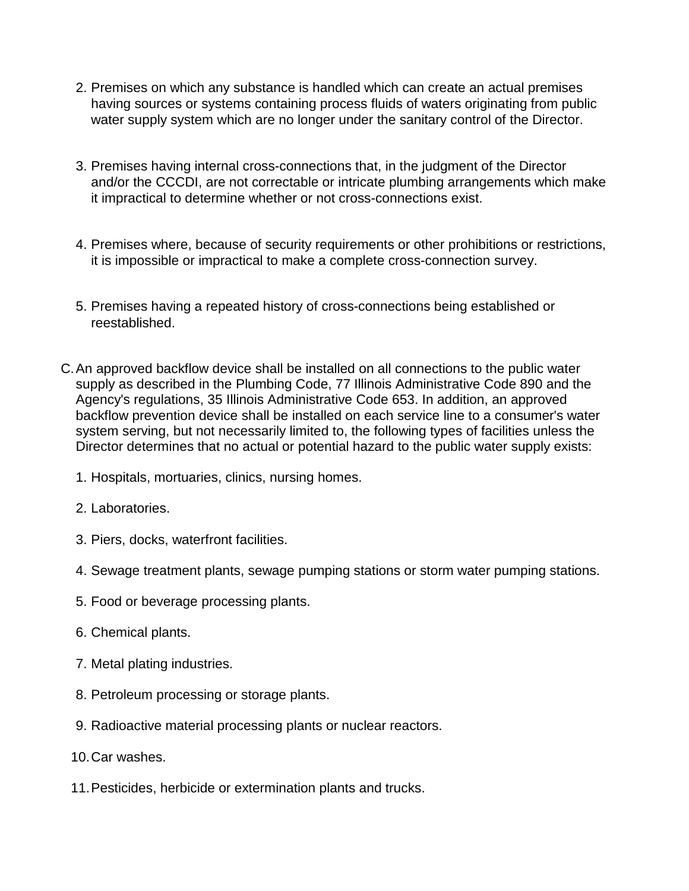- 2. Premises on which any substance is handled which can create an actual premises having sources or systems containing process fluids of waters originating from public water supply system which are no longer under the sanitary control of the Director.
- 3. Premises having internal cross-connections that, in the judgment of the Director and/or the CCCDI, are not correctable or intricate plumbing arrangements which make it impractical to determine whether or not cross-connections exist.
- 4. Premises where, because of security requirements or other prohibitions or restrictions, it is impossible or impractical to make a complete cross-connection survey.
- 5. Premises having a repeated history of cross-connections being established or reestablished.
- C.An approved backflow device shall be installed on all connections to the public water supply as described in the Plumbing Code, 77 Illinois Administrative Code 890 and the Agency's regulations, 35 Illinois Administrative Code 653. In addition, an approved backflow prevention device shall be installed on each service line to a consumer's water system serving, but not necessarily limited to, the following types of facilities unless the Director determines that no actual or potential hazard to the public water supply exists:
	- 1. Hospitals, mortuaries, clinics, nursing homes.
	- 2. Laboratories.
	- 3. Piers, docks, waterfront facilities.
	- 4. Sewage treatment plants, sewage pumping stations or storm water pumping stations.
	- 5. Food or beverage processing plants.
	- 6. Chemical plants.
	- 7. Metal plating industries.
	- 8. Petroleum processing or storage plants.
	- 9. Radioactive material processing plants or nuclear reactors.
	- 10.Car washes.
	- 11.Pesticides, herbicide or extermination plants and trucks.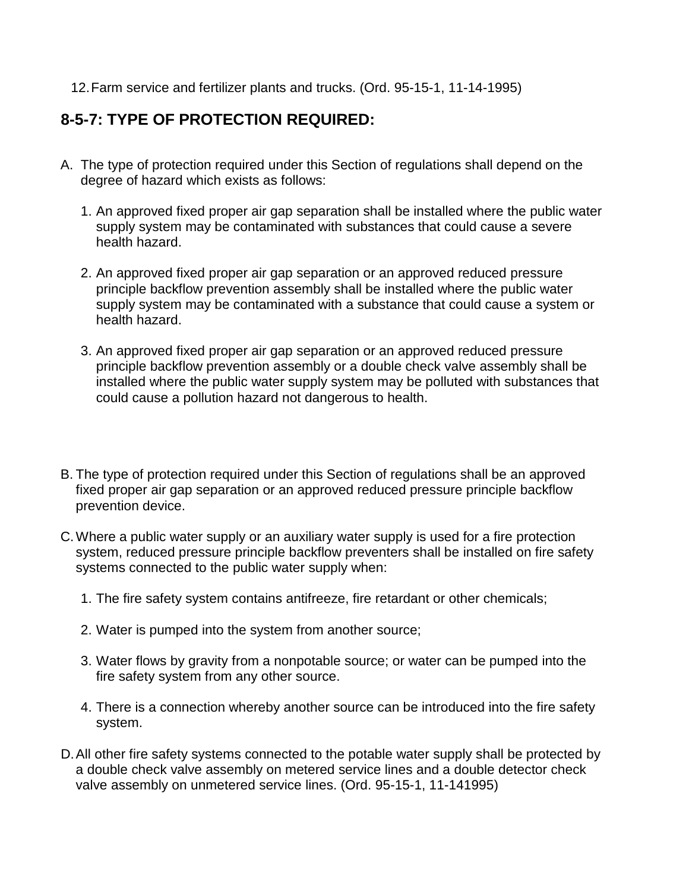12.Farm service and fertilizer plants and trucks. (Ord. 95-15-1, 11-14-1995)

## **8-5-7: TYPE OF PROTECTION REQUIRED:**

- A. The type of protection required under this Section of regulations shall depend on the degree of hazard which exists as follows:
	- 1. An approved fixed proper air gap separation shall be installed where the public water supply system may be contaminated with substances that could cause a severe health hazard.
	- 2. An approved fixed proper air gap separation or an approved reduced pressure principle backflow prevention assembly shall be installed where the public water supply system may be contaminated with a substance that could cause a system or health hazard.
	- 3. An approved fixed proper air gap separation or an approved reduced pressure principle backflow prevention assembly or a double check valve assembly shall be installed where the public water supply system may be polluted with substances that could cause a pollution hazard not dangerous to health.
- B. The type of protection required under this Section of regulations shall be an approved fixed proper air gap separation or an approved reduced pressure principle backflow prevention device.
- C.Where a public water supply or an auxiliary water supply is used for a fire protection system, reduced pressure principle backflow preventers shall be installed on fire safety systems connected to the public water supply when:
	- 1. The fire safety system contains antifreeze, fire retardant or other chemicals;
	- 2. Water is pumped into the system from another source;
	- 3. Water flows by gravity from a nonpotable source; or water can be pumped into the fire safety system from any other source.
	- 4. There is a connection whereby another source can be introduced into the fire safety system.
- D.All other fire safety systems connected to the potable water supply shall be protected by a double check valve assembly on metered service lines and a double detector check valve assembly on unmetered service lines. (Ord. 95-15-1, 11-141995)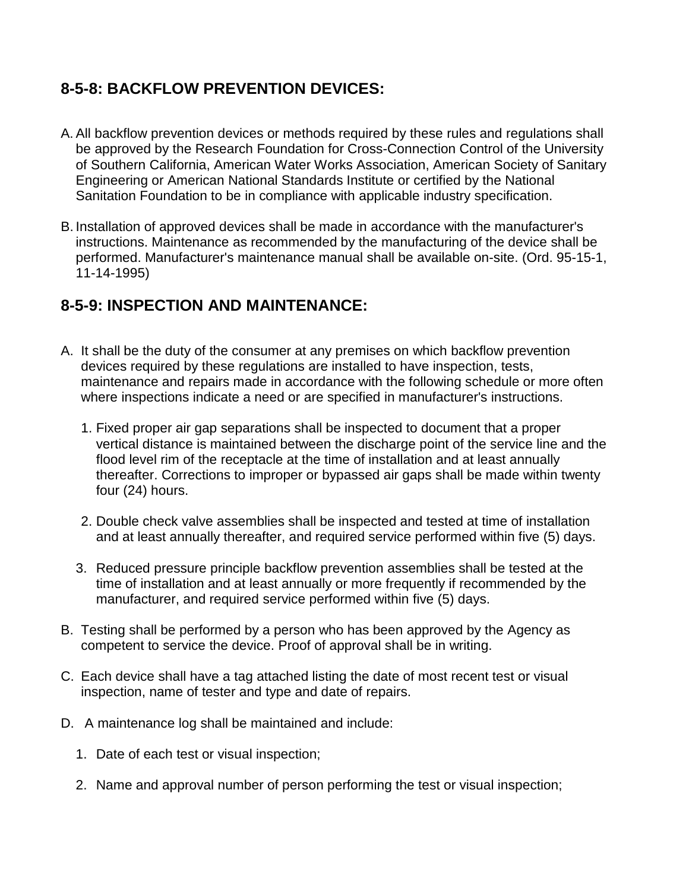## **8-5-8: BACKFLOW PREVENTION DEVICES:**

- A. All backflow prevention devices or methods required by these rules and regulations shall be approved by the Research Foundation for Cross-Connection Control of the University of Southern California, American Water Works Association, American Society of Sanitary Engineering or American National Standards Institute or certified by the National Sanitation Foundation to be in compliance with applicable industry specification.
- B. Installation of approved devices shall be made in accordance with the manufacturer's instructions. Maintenance as recommended by the manufacturing of the device shall be performed. Manufacturer's maintenance manual shall be available on-site. (Ord. 95-15-1, 11-14-1995)

## **8-5-9: INSPECTION AND MAINTENANCE:**

- A. It shall be the duty of the consumer at any premises on which backflow prevention devices required by these regulations are installed to have inspection, tests, maintenance and repairs made in accordance with the following schedule or more often where inspections indicate a need or are specified in manufacturer's instructions.
	- 1. Fixed proper air gap separations shall be inspected to document that a proper vertical distance is maintained between the discharge point of the service line and the flood level rim of the receptacle at the time of installation and at least annually thereafter. Corrections to improper or bypassed air gaps shall be made within twenty four (24) hours.
	- 2. Double check valve assemblies shall be inspected and tested at time of installation and at least annually thereafter, and required service performed within five (5) days.
	- 3. Reduced pressure principle backflow prevention assemblies shall be tested at the time of installation and at least annually or more frequently if recommended by the manufacturer, and required service performed within five (5) days.
- B. Testing shall be performed by a person who has been approved by the Agency as competent to service the device. Proof of approval shall be in writing.
- C. Each device shall have a tag attached listing the date of most recent test or visual inspection, name of tester and type and date of repairs.
- D. A maintenance log shall be maintained and include:
	- 1. Date of each test or visual inspection;
	- 2. Name and approval number of person performing the test or visual inspection;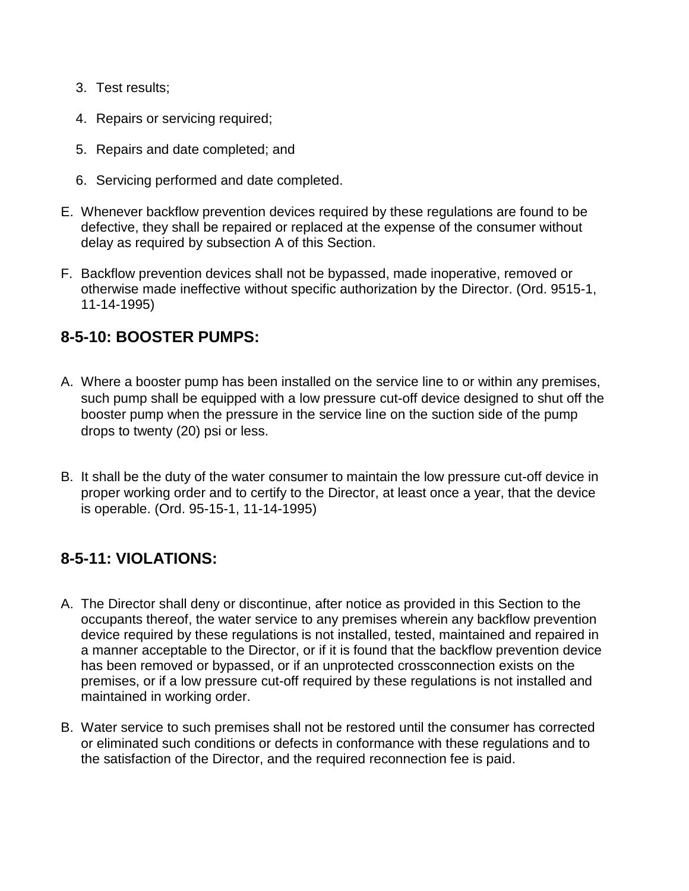- 3. Test results;
- 4. Repairs or servicing required;
- 5. Repairs and date completed; and
- 6. Servicing performed and date completed.
- E. Whenever backflow prevention devices required by these regulations are found to be defective, they shall be repaired or replaced at the expense of the consumer without delay as required by subsection A of this Section.
- F. Backflow prevention devices shall not be bypassed, made inoperative, removed or otherwise made ineffective without specific authorization by the Director. (Ord. 9515-1, 11-14-1995)

#### **8-5-10: BOOSTER PUMPS:**

- A. Where a booster pump has been installed on the service line to or within any premises, such pump shall be equipped with a low pressure cut-off device designed to shut off the booster pump when the pressure in the service line on the suction side of the pump drops to twenty (20) psi or less.
- B. It shall be the duty of the water consumer to maintain the low pressure cut-off device in proper working order and to certify to the Director, at least once a year, that the device is operable. (Ord. 95-15-1, 11-14-1995)

### **8-5-11: VIOLATIONS:**

- A. The Director shall deny or discontinue, after notice as provided in this Section to the occupants thereof, the water service to any premises wherein any backflow prevention device required by these regulations is not installed, tested, maintained and repaired in a manner acceptable to the Director, or if it is found that the backflow prevention device has been removed or bypassed, or if an unprotected crossconnection exists on the premises, or if a low pressure cut-off required by these regulations is not installed and maintained in working order.
- B. Water service to such premises shall not be restored until the consumer has corrected or eliminated such conditions or defects in conformance with these regulations and to the satisfaction of the Director, and the required reconnection fee is paid.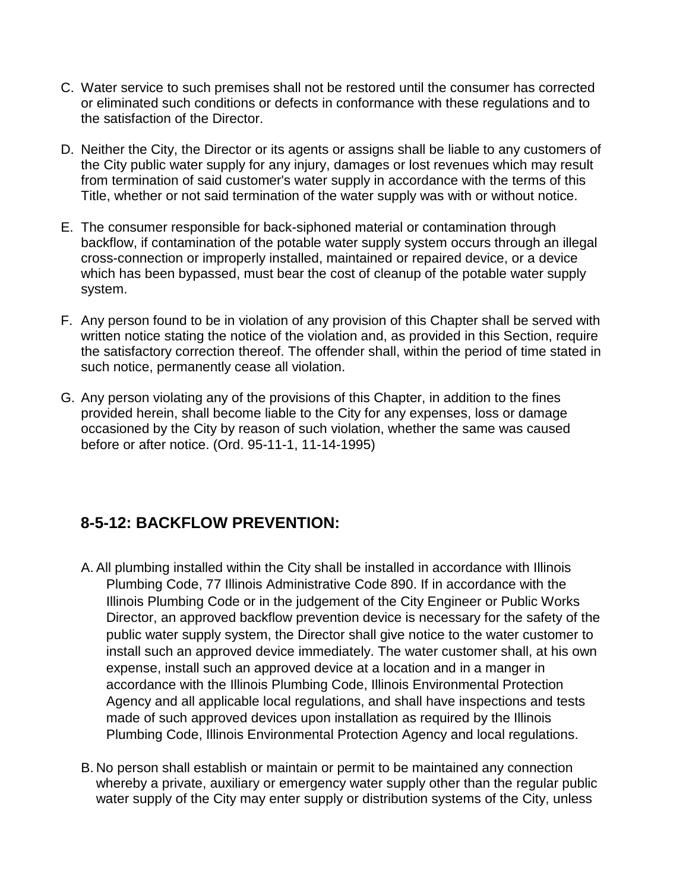- C. Water service to such premises shall not be restored until the consumer has corrected or eliminated such conditions or defects in conformance with these regulations and to the satisfaction of the Director.
- D. Neither the City, the Director or its agents or assigns shall be liable to any customers of the City public water supply for any injury, damages or lost revenues which may result from termination of said customer's water supply in accordance with the terms of this Title, whether or not said termination of the water supply was with or without notice.
- E. The consumer responsible for back-siphoned material or contamination through backflow, if contamination of the potable water supply system occurs through an illegal cross-connection or improperly installed, maintained or repaired device, or a device which has been bypassed, must bear the cost of cleanup of the potable water supply system.
- F. Any person found to be in violation of any provision of this Chapter shall be served with written notice stating the notice of the violation and, as provided in this Section, require the satisfactory correction thereof. The offender shall, within the period of time stated in such notice, permanently cease all violation.
- G. Any person violating any of the provisions of this Chapter, in addition to the fines provided herein, shall become liable to the City for any expenses, loss or damage occasioned by the City by reason of such violation, whether the same was caused before or after notice. (Ord. 95-11-1, 11-14-1995)

### **8-5-12: BACKFLOW PREVENTION:**

- A. All plumbing installed within the City shall be installed in accordance with Illinois Plumbing Code, 77 Illinois Administrative Code 890. If in accordance with the Illinois Plumbing Code or in the judgement of the City Engineer or Public Works Director, an approved backflow prevention device is necessary for the safety of the public water supply system, the Director shall give notice to the water customer to install such an approved device immediately. The water customer shall, at his own expense, install such an approved device at a location and in a manger in accordance with the Illinois Plumbing Code, Illinois Environmental Protection Agency and all applicable local regulations, and shall have inspections and tests made of such approved devices upon installation as required by the Illinois Plumbing Code, Illinois Environmental Protection Agency and local regulations.
- B. No person shall establish or maintain or permit to be maintained any connection whereby a private, auxiliary or emergency water supply other than the regular public water supply of the City may enter supply or distribution systems of the City, unless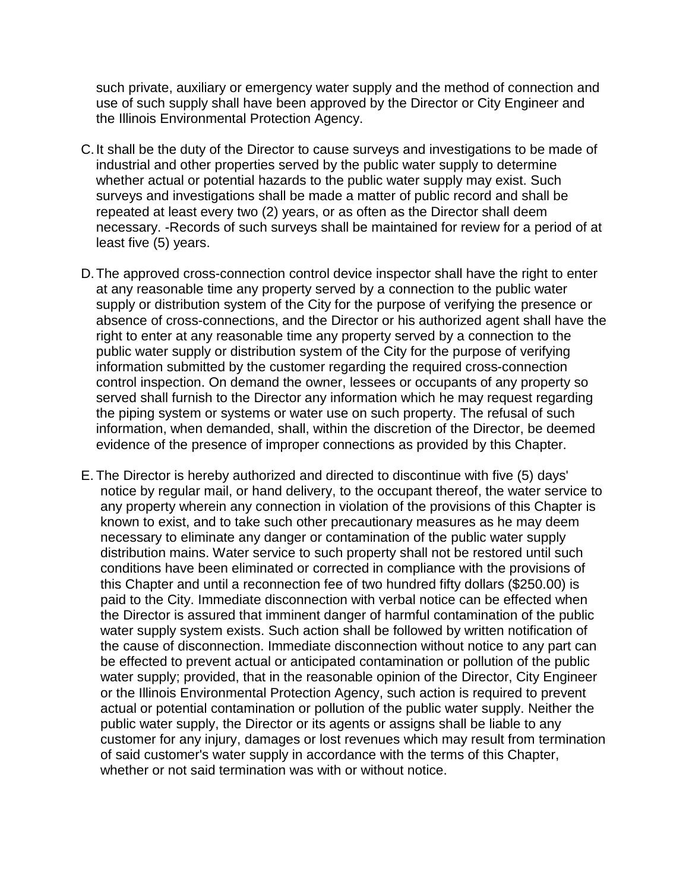such private, auxiliary or emergency water supply and the method of connection and use of such supply shall have been approved by the Director or City Engineer and the Illinois Environmental Protection Agency.

- C.It shall be the duty of the Director to cause surveys and investigations to be made of industrial and other properties served by the public water supply to determine whether actual or potential hazards to the public water supply may exist. Such surveys and investigations shall be made a matter of public record and shall be repeated at least every two (2) years, or as often as the Director shall deem necessary. -Records of such surveys shall be maintained for review for a period of at least five (5) years.
- D.The approved cross-connection control device inspector shall have the right to enter at any reasonable time any property served by a connection to the public water supply or distribution system of the City for the purpose of verifying the presence or absence of cross-connections, and the Director or his authorized agent shall have the right to enter at any reasonable time any property served by a connection to the public water supply or distribution system of the City for the purpose of verifying information submitted by the customer regarding the required cross-connection control inspection. On demand the owner, lessees or occupants of any property so served shall furnish to the Director any information which he may request regarding the piping system or systems or water use on such property. The refusal of such information, when demanded, shall, within the discretion of the Director, be deemed evidence of the presence of improper connections as provided by this Chapter.
- E. The Director is hereby authorized and directed to discontinue with five (5) days' notice by regular mail, or hand delivery, to the occupant thereof, the water service to any property wherein any connection in violation of the provisions of this Chapter is known to exist, and to take such other precautionary measures as he may deem necessary to eliminate any danger or contamination of the public water supply distribution mains. Water service to such property shall not be restored until such conditions have been eliminated or corrected in compliance with the provisions of this Chapter and until a reconnection fee of two hundred fifty dollars (\$250.00) is paid to the City. Immediate disconnection with verbal notice can be effected when the Director is assured that imminent danger of harmful contamination of the public water supply system exists. Such action shall be followed by written notification of the cause of disconnection. Immediate disconnection without notice to any part can be effected to prevent actual or anticipated contamination or pollution of the public water supply; provided, that in the reasonable opinion of the Director, City Engineer or the Illinois Environmental Protection Agency, such action is required to prevent actual or potential contamination or pollution of the public water supply. Neither the public water supply, the Director or its agents or assigns shall be liable to any customer for any injury, damages or lost revenues which may result from termination of said customer's water supply in accordance with the terms of this Chapter, whether or not said termination was with or without notice.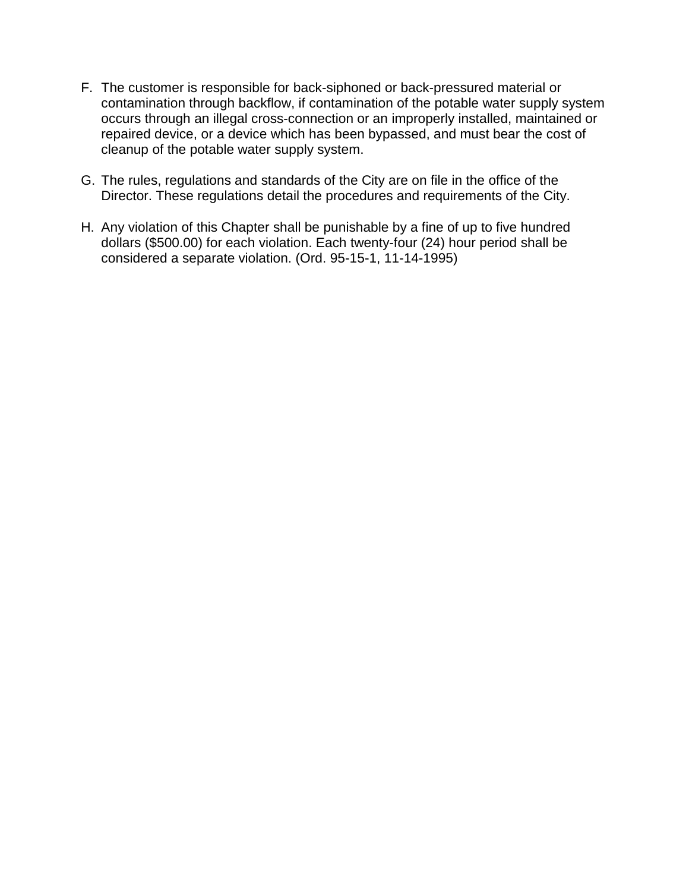- F. The customer is responsible for back-siphoned or back-pressured material or contamination through backflow, if contamination of the potable water supply system occurs through an illegal cross-connection or an improperly installed, maintained or repaired device, or a device which has been bypassed, and must bear the cost of cleanup of the potable water supply system.
- G. The rules, regulations and standards of the City are on file in the office of the Director. These regulations detail the procedures and requirements of the City.
- H. Any violation of this Chapter shall be punishable by a fine of up to five hundred dollars (\$500.00) for each violation. Each twenty-four (24) hour period shall be considered a separate violation. (Ord. 95-15-1, 11-14-1995)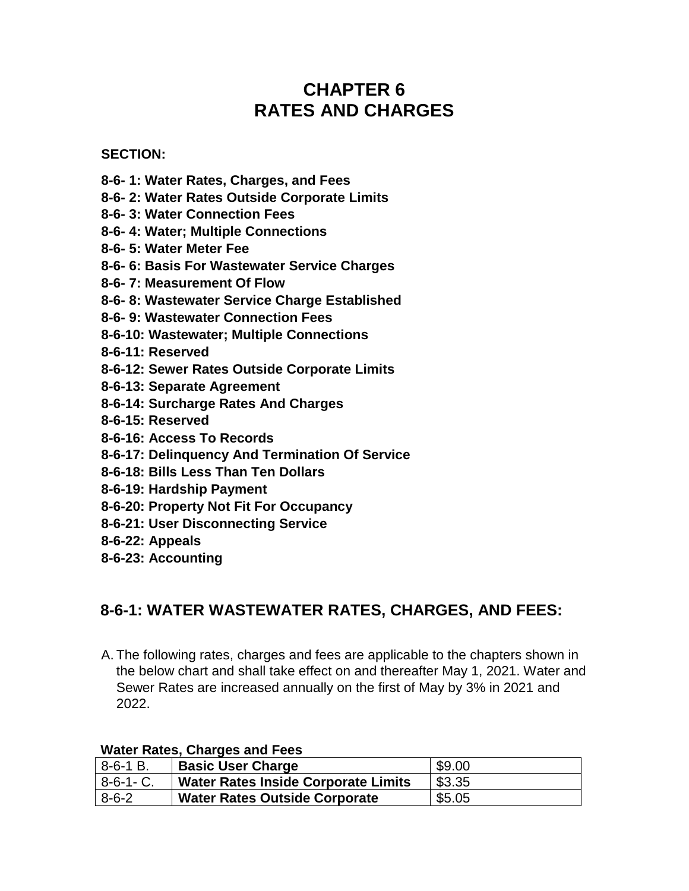# **CHAPTER 6 RATES AND CHARGES**

#### **SECTION:**

- **8-6- 1: Water Rates, Charges, and Fees**
- **8-6- 2: Water Rates Outside Corporate Limits**
- **8-6- 3: Water Connection Fees**
- **8-6- 4: Water; Multiple Connections**
- **8-6- 5: Water Meter Fee**
- **8-6- 6: Basis For Wastewater Service Charges**
- **8-6- 7: Measurement Of Flow**
- **8-6- 8: Wastewater Service Charge Established**
- **8-6- 9: Wastewater Connection Fees**
- **8-6-10: Wastewater; Multiple Connections**
- **8-6-11: Reserved**
- **8-6-12: Sewer Rates Outside Corporate Limits**
- **8-6-13: Separate Agreement**
- **8-6-14: Surcharge Rates And Charges**
- **8-6-15: Reserved**
- **8-6-16: Access To Records**
- **8-6-17: Delinquency And Termination Of Service**
- **8-6-18: Bills Less Than Ten Dollars**
- **8-6-19: Hardship Payment**
- **8-6-20: Property Not Fit For Occupancy**
- **8-6-21: User Disconnecting Service**
- **8-6-22: Appeals**
- **8-6-23: Accounting**

#### **8-6-1: WATER WASTEWATER RATES, CHARGES, AND FEES:**

A. The following rates, charges and fees are applicable to the chapters shown in the below chart and shall take effect on and thereafter May 1, 2021. Water and Sewer Rates are increased annually on the first of May by 3% in 2021 and 2022.

#### **Water Rates, Charges and Fees**

| $18-6-1B$ .  | <b>Basic User Charge</b>                   | \$9.00 |
|--------------|--------------------------------------------|--------|
| $ 8-6-1- C.$ | <b>Water Rates Inside Corporate Limits</b> | \$3.35 |
| $8-6-2$      | <b>Water Rates Outside Corporate</b>       | \$5.05 |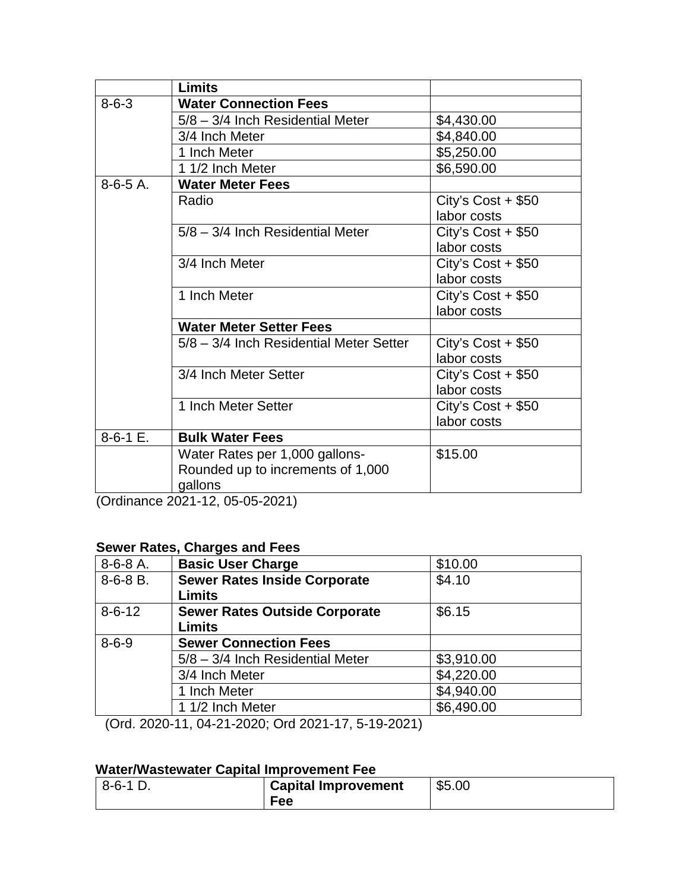|             | <b>Limits</b>                                               |                     |
|-------------|-------------------------------------------------------------|---------------------|
| $8 - 6 - 3$ | <b>Water Connection Fees</b>                                |                     |
|             | 5/8 - 3/4 Inch Residential Meter                            | \$4,430.00          |
|             | 3/4 Inch Meter                                              | \$4,840.00          |
|             | 1 Inch Meter                                                | \$5,250.00          |
|             | 1 1/2 Inch Meter                                            | \$6,590.00          |
| $8-6-5A$ .  | <b>Water Meter Fees</b>                                     |                     |
|             | Radio                                                       | City's $Cost + $50$ |
|             |                                                             | labor costs         |
|             | 5/8 - 3/4 Inch Residential Meter                            | City's $Cost + $50$ |
|             |                                                             | labor costs         |
|             | 3/4 Inch Meter                                              | City's $Cost + $50$ |
|             |                                                             | labor costs         |
|             | 1 Inch Meter                                                | City's $Cost + $50$ |
|             |                                                             | labor costs         |
|             | <b>Water Meter Setter Fees</b>                              |                     |
|             | 5/8 - 3/4 Inch Residential Meter Setter                     | City's $Cost + $50$ |
|             |                                                             | labor costs         |
|             | 3/4 Inch Meter Setter                                       | City's $Cost + $50$ |
|             |                                                             | labor costs         |
|             | 1 Inch Meter Setter                                         | City's $Cost + $50$ |
|             |                                                             | labor costs         |
| $8-6-1$ E.  | <b>Bulk Water Fees</b>                                      |                     |
|             | Water Rates per 1,000 gallons-                              | \$15.00             |
|             | Rounded up to increments of 1,000                           |                     |
| $\sim$      | gallons<br>$\sim$ $\sim$ $\sim$ $\sim$ $\sim$ $\sim$ $\sim$ |                     |

(Ordinance 2021-12, 05-05-2021)

#### **Sewer Rates, Charges and Fees**

| $8-6-8A$ .   | <b>Basic User Charge</b>             | \$10.00    |
|--------------|--------------------------------------|------------|
| $8-6-8B$ .   | <b>Sewer Rates Inside Corporate</b>  | \$4.10     |
|              | <b>Limits</b>                        |            |
| $8 - 6 - 12$ | <b>Sewer Rates Outside Corporate</b> | \$6.15     |
|              | <b>Limits</b>                        |            |
| $8 - 6 - 9$  | <b>Sewer Connection Fees</b>         |            |
|              | 5/8 - 3/4 Inch Residential Meter     | \$3,910.00 |
|              | 3/4 Inch Meter                       | \$4,220.00 |
|              | 1 Inch Meter                         | \$4,940.00 |
|              | 1 1/2 Inch Meter                     | \$6,490.00 |

(Ord. 2020-11, 04-21-2020; Ord 2021-17, 5-19-2021)

#### **Water/Wastewater Capital Improvement Fee**

| $-8-6-1$ | <b>Capital Improvement</b> | \$5.00 |
|----------|----------------------------|--------|
|          | <b>Fee</b>                 |        |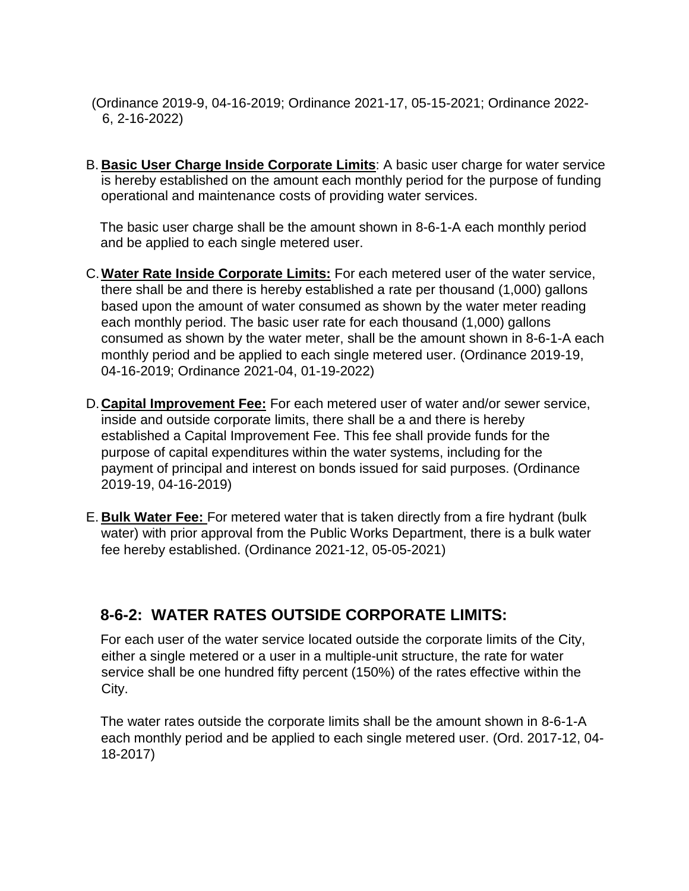- (Ordinance 2019-9, 04-16-2019; Ordinance 2021-17, 05-15-2021; Ordinance 2022- 6, 2-16-2022)
- B. **Basic User Charge Inside Corporate Limits**: A basic user charge for water service is hereby established on the amount each monthly period for the purpose of funding operational and maintenance costs of providing water services.

The basic user charge shall be the amount shown in 8-6-1-A each monthly period and be applied to each single metered user.

- C.**Water Rate Inside Corporate Limits:** For each metered user of the water service, there shall be and there is hereby established a rate per thousand (1,000) gallons based upon the amount of water consumed as shown by the water meter reading each monthly period. The basic user rate for each thousand (1,000) gallons consumed as shown by the water meter, shall be the amount shown in 8-6-1-A each monthly period and be applied to each single metered user. (Ordinance 2019-19, 04-16-2019; Ordinance 2021-04, 01-19-2022)
- D.**Capital Improvement Fee:** For each metered user of water and/or sewer service, inside and outside corporate limits, there shall be a and there is hereby established a Capital Improvement Fee. This fee shall provide funds for the purpose of capital expenditures within the water systems, including for the payment of principal and interest on bonds issued for said purposes. (Ordinance 2019-19, 04-16-2019)
- E. **Bulk Water Fee:** For metered water that is taken directly from a fire hydrant (bulk water) with prior approval from the Public Works Department, there is a bulk water fee hereby established. (Ordinance 2021-12, 05-05-2021)

# **8-6-2: WATER RATES OUTSIDE CORPORATE LIMITS:**

For each user of the water service located outside the corporate limits of the City, either a single metered or a user in a multiple-unit structure, the rate for water service shall be one hundred fifty percent (150%) of the rates effective within the City.

The water rates outside the corporate limits shall be the amount shown in 8-6-1-A each monthly period and be applied to each single metered user. (Ord. 2017-12, 04- 18-2017)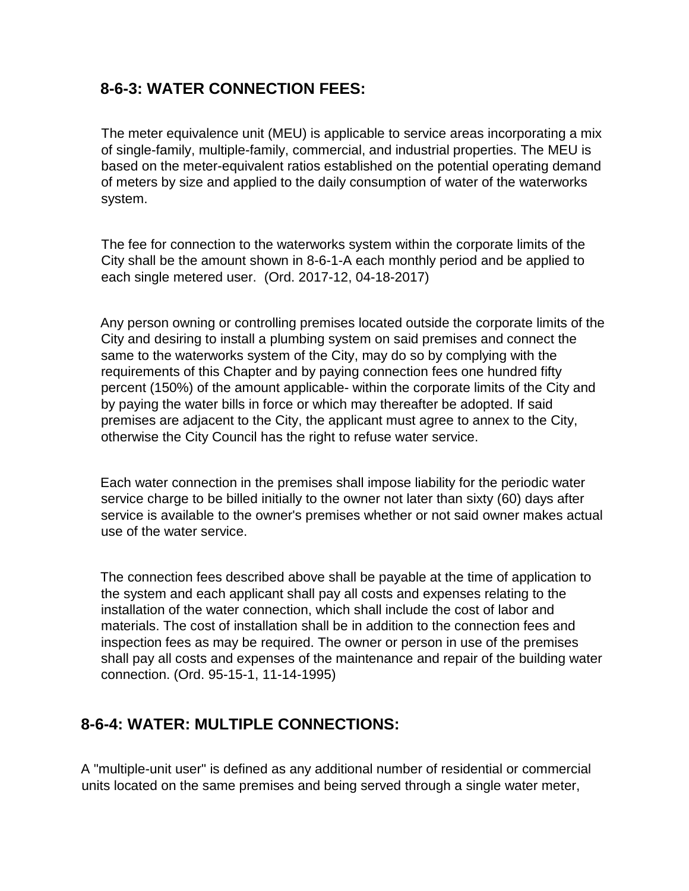## **8-6-3: WATER CONNECTION FEES:**

The meter equivalence unit (MEU) is applicable to service areas incorporating a mix of single-family, multiple-family, commercial, and industrial properties. The MEU is based on the meter-equivalent ratios established on the potential operating demand of meters by size and applied to the daily consumption of water of the waterworks system.

The fee for connection to the waterworks system within the corporate limits of the City shall be the amount shown in 8-6-1-A each monthly period and be applied to each single metered user. (Ord. 2017-12, 04-18-2017)

Any person owning or controlling premises located outside the corporate limits of the City and desiring to install a plumbing system on said premises and connect the same to the waterworks system of the City, may do so by complying with the requirements of this Chapter and by paying connection fees one hundred fifty percent (150%) of the amount applicable- within the corporate limits of the City and by paying the water bills in force or which may thereafter be adopted. If said premises are adjacent to the City, the applicant must agree to annex to the City, otherwise the City Council has the right to refuse water service.

Each water connection in the premises shall impose liability for the periodic water service charge to be billed initially to the owner not later than sixty (60) days after service is available to the owner's premises whether or not said owner makes actual use of the water service.

The connection fees described above shall be payable at the time of application to the system and each applicant shall pay all costs and expenses relating to the installation of the water connection, which shall include the cost of labor and materials. The cost of installation shall be in addition to the connection fees and inspection fees as may be required. The owner or person in use of the premises shall pay all costs and expenses of the maintenance and repair of the building water connection. (Ord. 95-15-1, 11-14-1995)

### **8-6-4: WATER: MULTIPLE CONNECTIONS:**

A "multiple-unit user" is defined as any additional number of residential or commercial units located on the same premises and being served through a single water meter,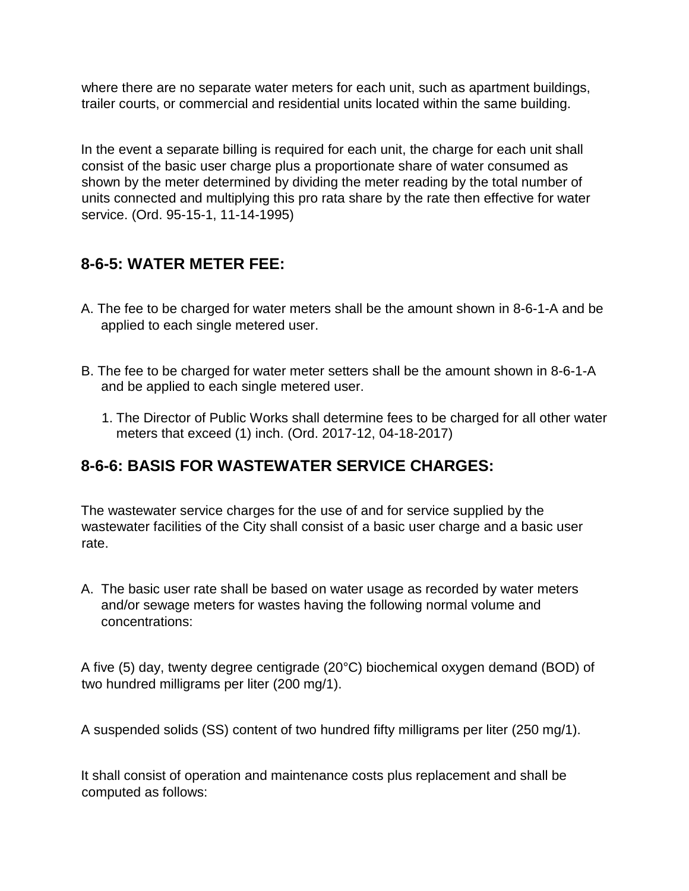where there are no separate water meters for each unit, such as apartment buildings, trailer courts, or commercial and residential units located within the same building.

In the event a separate billing is required for each unit, the charge for each unit shall consist of the basic user charge plus a proportionate share of water consumed as shown by the meter determined by dividing the meter reading by the total number of units connected and multiplying this pro rata share by the rate then effective for water service. (Ord. 95-15-1, 11-14-1995)

### **8-6-5: WATER METER FEE:**

- A. The fee to be charged for water meters shall be the amount shown in 8-6-1-A and be applied to each single metered user.
- B. The fee to be charged for water meter setters shall be the amount shown in 8-6-1-A and be applied to each single metered user.
	- 1. The Director of Public Works shall determine fees to be charged for all other water meters that exceed (1) inch. (Ord. 2017-12, 04-18-2017)

### **8-6-6: BASIS FOR WASTEWATER SERVICE CHARGES:**

The wastewater service charges for the use of and for service supplied by the wastewater facilities of the City shall consist of a basic user charge and a basic user rate.

A. The basic user rate shall be based on water usage as recorded by water meters and/or sewage meters for wastes having the following normal volume and concentrations:

A five (5) day, twenty degree centigrade (20°C) biochemical oxygen demand (BOD) of two hundred milligrams per liter (200 mg/1).

A suspended solids (SS) content of two hundred fifty milligrams per liter (250 mg/1).

It shall consist of operation and maintenance costs plus replacement and shall be computed as follows: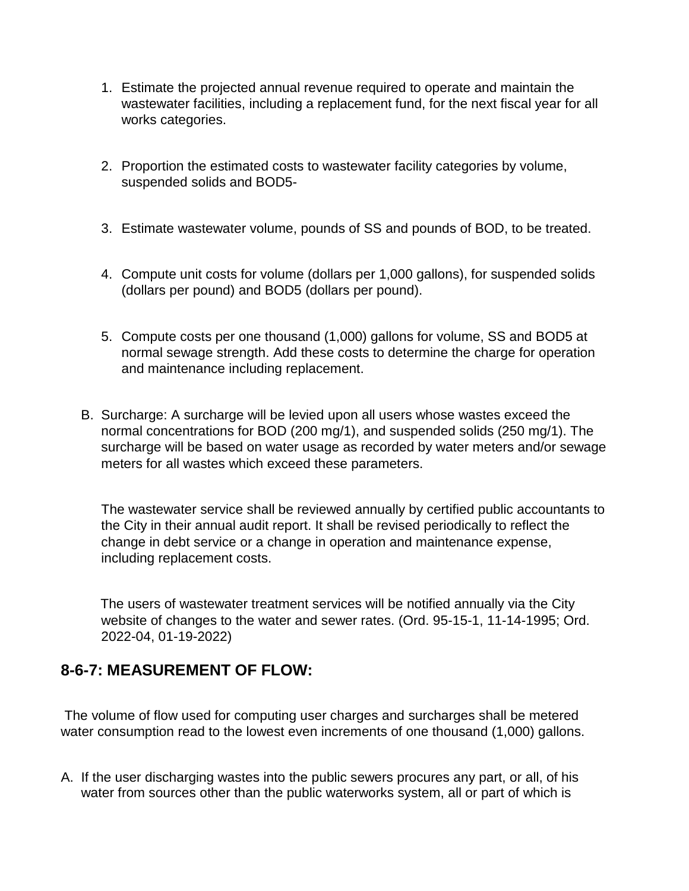- 1. Estimate the projected annual revenue required to operate and maintain the wastewater facilities, including a replacement fund, for the next fiscal year for all works categories.
- 2. Proportion the estimated costs to wastewater facility categories by volume, suspended solids and BOD5-
- 3. Estimate wastewater volume, pounds of SS and pounds of BOD, to be treated.
- 4. Compute unit costs for volume (dollars per 1,000 gallons), for suspended solids (dollars per pound) and BOD5 (dollars per pound).
- 5. Compute costs per one thousand (1,000) gallons for volume, SS and BOD5 at normal sewage strength. Add these costs to determine the charge for operation and maintenance including replacement.
- B. Surcharge: A surcharge will be levied upon all users whose wastes exceed the normal concentrations for BOD (200 mg/1), and suspended solids (250 mg/1). The surcharge will be based on water usage as recorded by water meters and/or sewage meters for all wastes which exceed these parameters.

The wastewater service shall be reviewed annually by certified public accountants to the City in their annual audit report. It shall be revised periodically to reflect the change in debt service or a change in operation and maintenance expense, including replacement costs.

The users of wastewater treatment services will be notified annually via the City website of changes to the water and sewer rates. (Ord. 95-15-1, 11-14-1995; Ord. 2022-04, 01-19-2022)

#### **8-6-7: MEASUREMENT OF FLOW:**

The volume of flow used for computing user charges and surcharges shall be metered water consumption read to the lowest even increments of one thousand (1,000) gallons.

A. If the user discharging wastes into the public sewers procures any part, or all, of his water from sources other than the public waterworks system, all or part of which is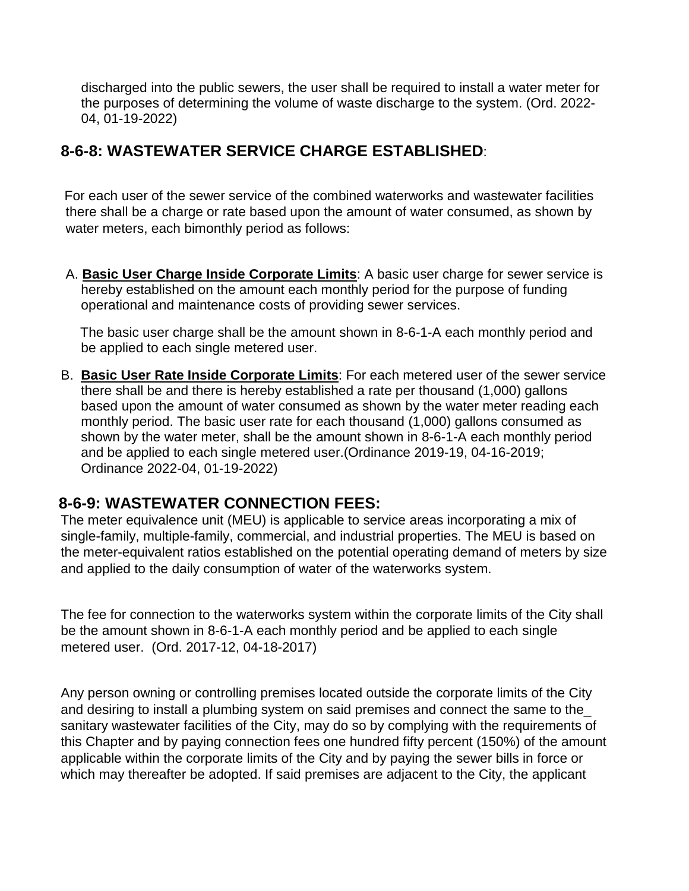discharged into the public sewers, the user shall be required to install a water meter for the purposes of determining the volume of waste discharge to the system. (Ord. 2022- 04, 01-19-2022)

#### **8-6-8: WASTEWATER SERVICE CHARGE ESTABLISHED**:

For each user of the sewer service of the combined waterworks and wastewater facilities there shall be a charge or rate based upon the amount of water consumed, as shown by water meters, each bimonthly period as follows:

A. **Basic User Charge Inside Corporate Limits**: A basic user charge for sewer service is hereby established on the amount each monthly period for the purpose of funding operational and maintenance costs of providing sewer services.

The basic user charge shall be the amount shown in 8-6-1-A each monthly period and be applied to each single metered user.

B. **Basic User Rate Inside Corporate Limits**: For each metered user of the sewer service there shall be and there is hereby established a rate per thousand (1,000) gallons based upon the amount of water consumed as shown by the water meter reading each monthly period. The basic user rate for each thousand (1,000) gallons consumed as shown by the water meter, shall be the amount shown in 8-6-1-A each monthly period and be applied to each single metered user.(Ordinance 2019-19, 04-16-2019; Ordinance 2022-04, 01-19-2022)

### **8-6-9: WASTEWATER CONNECTION FEES:**

The meter equivalence unit (MEU) is applicable to service areas incorporating a mix of single-family, multiple-family, commercial, and industrial properties. The MEU is based on the meter-equivalent ratios established on the potential operating demand of meters by size and applied to the daily consumption of water of the waterworks system.

The fee for connection to the waterworks system within the corporate limits of the City shall be the amount shown in 8-6-1-A each monthly period and be applied to each single metered user. (Ord. 2017-12, 04-18-2017)

Any person owning or controlling premises located outside the corporate limits of the City and desiring to install a plumbing system on said premises and connect the same to the\_ sanitary wastewater facilities of the City, may do so by complying with the requirements of this Chapter and by paying connection fees one hundred fifty percent (150%) of the amount applicable within the corporate limits of the City and by paying the sewer bills in force or which may thereafter be adopted. If said premises are adjacent to the City, the applicant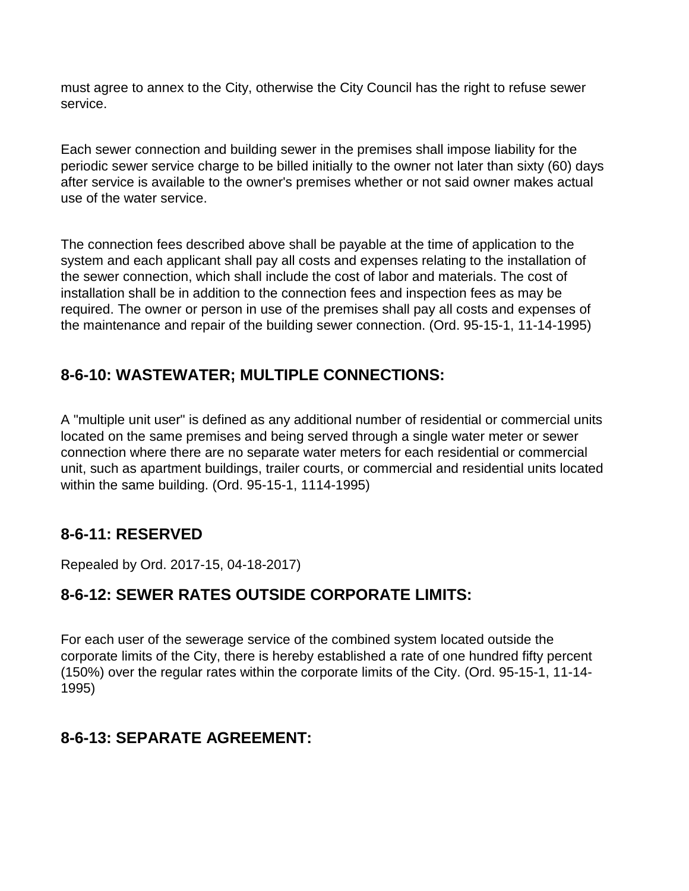must agree to annex to the City, otherwise the City Council has the right to refuse sewer service.

Each sewer connection and building sewer in the premises shall impose liability for the periodic sewer service charge to be billed initially to the owner not later than sixty (60) days after service is available to the owner's premises whether or not said owner makes actual use of the water service.

The connection fees described above shall be payable at the time of application to the system and each applicant shall pay all costs and expenses relating to the installation of the sewer connection, which shall include the cost of labor and materials. The cost of installation shall be in addition to the connection fees and inspection fees as may be required. The owner or person in use of the premises shall pay all costs and expenses of the maintenance and repair of the building sewer connection. (Ord. 95-15-1, 11-14-1995)

### **8-6-10: WASTEWATER; MULTIPLE CONNECTIONS:**

A "multiple unit user" is defined as any additional number of residential or commercial units located on the same premises and being served through a single water meter or sewer connection where there are no separate water meters for each residential or commercial unit, such as apartment buildings, trailer courts, or commercial and residential units located within the same building. (Ord. 95-15-1, 1114-1995)

#### **8-6-11: RESERVED**

Repealed by Ord. 2017-15, 04-18-2017)

# **8-6-12: SEWER RATES OUTSIDE CORPORATE LIMITS:**

For each user of the sewerage service of the combined system located outside the corporate limits of the City, there is hereby established a rate of one hundred fifty percent (150%) over the regular rates within the corporate limits of the City. (Ord. 95-15-1, 11-14- 1995)

### **8-6-13: SEPARATE AGREEMENT:**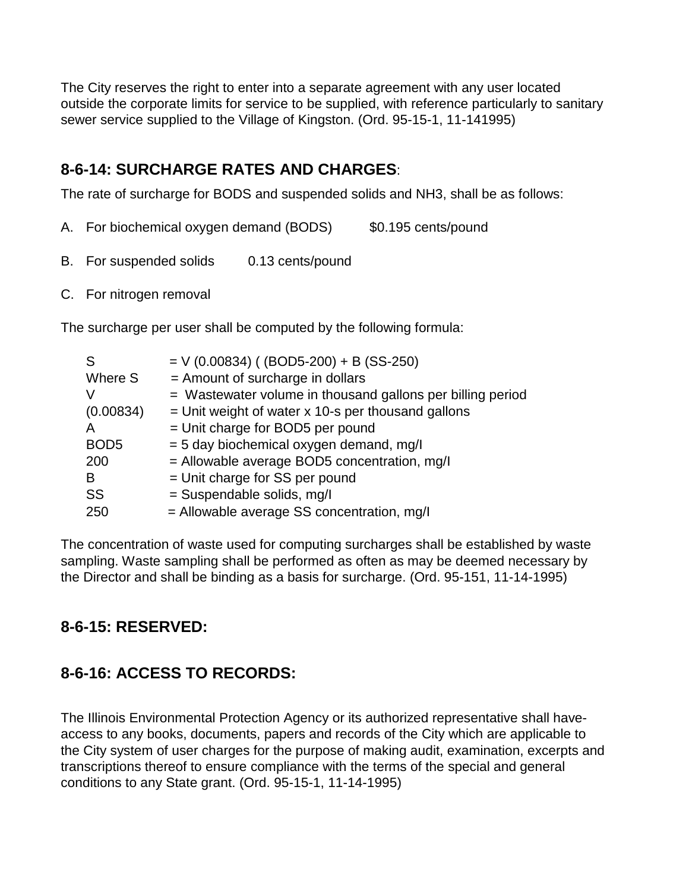The City reserves the right to enter into a separate agreement with any user located outside the corporate limits for service to be supplied, with reference particularly to sanitary sewer service supplied to the Village of Kingston. (Ord. 95-15-1, 11-141995)

## **8-6-14: SURCHARGE RATES AND CHARGES**:

The rate of surcharge for BODS and suspended solids and NH3, shall be as follows:

- A. For biochemical oxygen demand (BODS) \$0.195 cents/pound
- B. For suspended solids 0.13 cents/pound
- C. For nitrogen removal

The surcharge per user shall be computed by the following formula:

| S                | $=$ V (0.00834) ((BOD5-200) + B (SS-250)                   |
|------------------|------------------------------------------------------------|
| Where S          | = Amount of surcharge in dollars                           |
|                  | = Wastewater volume in thousand gallons per billing period |
| (0.00834)        | $=$ Unit weight of water x 10-s per thousand gallons       |
| Α                | = Unit charge for BOD5 per pound                           |
| BOD <sub>5</sub> | = 5 day biochemical oxygen demand, mg/l                    |
| 200              | = Allowable average BOD5 concentration, mg/l               |
| В                | = Unit charge for SS per pound                             |
| SS               | = Suspendable solids, mg/l                                 |
| 250              | $=$ Allowable average SS concentration, mg/l               |

The concentration of waste used for computing surcharges shall be established by waste sampling. Waste sampling shall be performed as often as may be deemed necessary by the Director and shall be binding as a basis for surcharge. (Ord. 95-151, 11-14-1995)

# **8-6-15: RESERVED:**

# **8-6-16: ACCESS TO RECORDS:**

The Illinois Environmental Protection Agency or its authorized representative shall haveaccess to any books, documents, papers and records of the City which are applicable to the City system of user charges for the purpose of making audit, examination, excerpts and transcriptions thereof to ensure compliance with the terms of the special and general conditions to any State grant. (Ord. 95-15-1, 11-14-1995)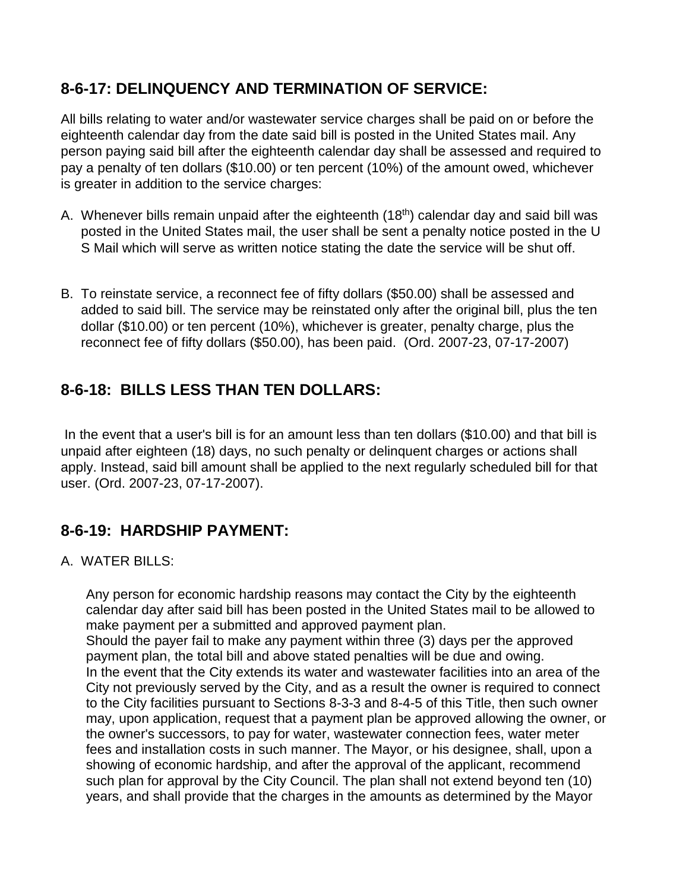#### **8-6-17: DELINQUENCY AND TERMINATION OF SERVICE:**

All bills relating to water and/or wastewater service charges shall be paid on or before the eighteenth calendar day from the date said bill is posted in the United States mail. Any person paying said bill after the eighteenth calendar day shall be assessed and required to pay a penalty of ten dollars (\$10.00) or ten percent (10%) of the amount owed, whichever is greater in addition to the service charges:

- A. Whenever bills remain unpaid after the eighteenth (18<sup>th</sup>) calendar day and said bill was posted in the United States mail, the user shall be sent a penalty notice posted in the U S Mail which will serve as written notice stating the date the service will be shut off.
- B. To reinstate service, a reconnect fee of fifty dollars (\$50.00) shall be assessed and added to said bill. The service may be reinstated only after the original bill, plus the ten dollar (\$10.00) or ten percent (10%), whichever is greater, penalty charge, plus the reconnect fee of fifty dollars (\$50.00), has been paid. (Ord. 2007-23, 07-17-2007)

#### **8-6-18: BILLS LESS THAN TEN DOLLARS:**

In the event that a user's bill is for an amount less than ten dollars (\$10.00) and that bill is unpaid after eighteen (18) days, no such penalty or delinquent charges or actions shall apply. Instead, said bill amount shall be applied to the next regularly scheduled bill for that user. (Ord. 2007-23, 07-17-2007).

#### **8-6-19: HARDSHIP PAYMENT:**

#### A. WATER BILLS:

Any person for economic hardship reasons may contact the City by the eighteenth calendar day after said bill has been posted in the United States mail to be allowed to make payment per a submitted and approved payment plan. Should the payer fail to make any payment within three (3) days per the approved payment plan, the total bill and above stated penalties will be due and owing. In the event that the City extends its water and wastewater facilities into an area of the City not previously served by the City, and as a result the owner is required to connect to the City facilities pursuant to Sectio[ns 8-3-3 a](http://www.sterlingcodifiers.com/IL/Genoa/11003000000003000.htm#8-3-3)[nd 8-4-5 of](http://www.sterlingcodifiers.com/IL/Genoa/11004000000005000.htm#8-4-5) this Title, then such owner may, upon application, request that a payment plan be approved allowing the owner, or the owner's successors, to pay for water, wastewater connection fees, water meter fees and installation costs in such manner. The Mayor, or his designee, shall, upon a showing of economic hardship, and after the approval of the applicant, recommend such plan for approval by the City Council. The plan shall not extend beyond ten (10) years, and shall provide that the charges in the amounts as determined by the Mayor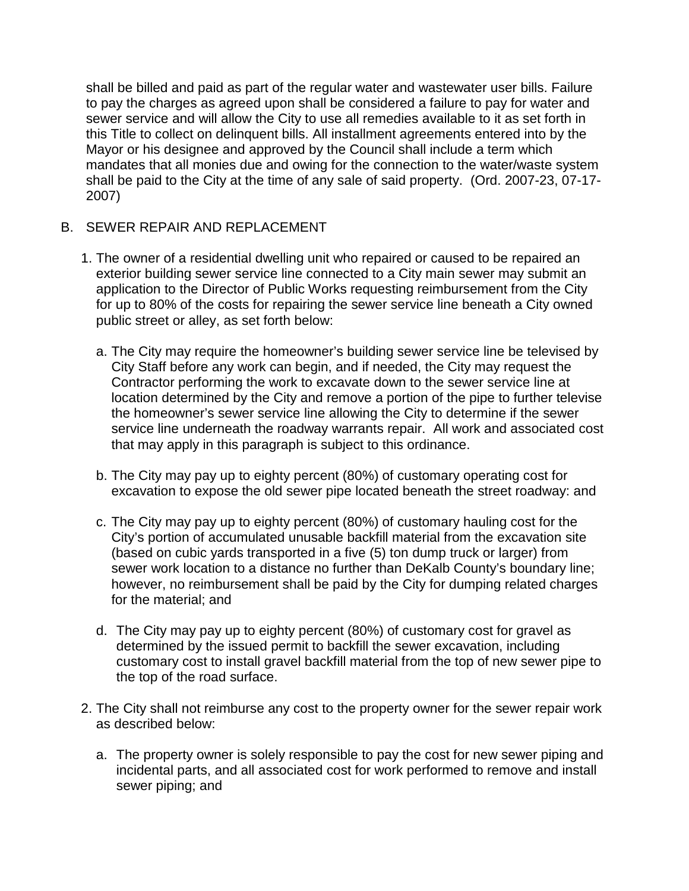shall be billed and paid as part of the regular water and wastewater user bills. Failure to pay the charges as agreed upon shall be considered a failure to pay for water and sewer service and will allow the City to use all remedies available to it as set forth in this Title to collect on delinquent bills. All installment agreements entered into by the Mayor or his designee and approved by the Council shall include a term which mandates that all monies due and owing for the connection to the water/waste system shall be paid to the City at the time of any sale of said property. (Ord. 2007-23, 07-17- 2007)

#### B. SEWER REPAIR AND REPLACEMENT

- 1. The owner of a residential dwelling unit who repaired or caused to be repaired an exterior building sewer service line connected to a City main sewer may submit an application to the Director of Public Works requesting reimbursement from the City for up to 80% of the costs for repairing the sewer service line beneath a City owned public street or alley, as set forth below:
	- a. The City may require the homeowner's building sewer service line be televised by City Staff before any work can begin, and if needed, the City may request the Contractor performing the work to excavate down to the sewer service line at location determined by the City and remove a portion of the pipe to further televise the homeowner's sewer service line allowing the City to determine if the sewer service line underneath the roadway warrants repair. All work and associated cost that may apply in this paragraph is subject to this ordinance.
	- b. The City may pay up to eighty percent (80%) of customary operating cost for excavation to expose the old sewer pipe located beneath the street roadway: and
	- c. The City may pay up to eighty percent (80%) of customary hauling cost for the City's portion of accumulated unusable backfill material from the excavation site (based on cubic yards transported in a five (5) ton dump truck or larger) from sewer work location to a distance no further than DeKalb County's boundary line; however, no reimbursement shall be paid by the City for dumping related charges for the material; and
	- d. The City may pay up to eighty percent (80%) of customary cost for gravel as determined by the issued permit to backfill the sewer excavation, including customary cost to install gravel backfill material from the top of new sewer pipe to the top of the road surface.
- 2. The City shall not reimburse any cost to the property owner for the sewer repair work as described below:
	- a. The property owner is solely responsible to pay the cost for new sewer piping and incidental parts, and all associated cost for work performed to remove and install sewer piping; and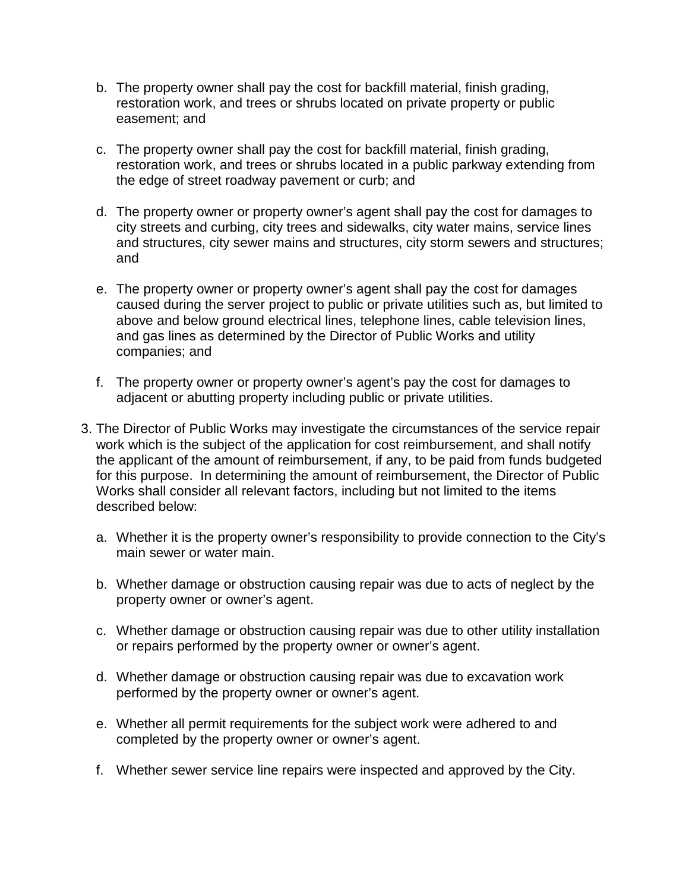- b. The property owner shall pay the cost for backfill material, finish grading, restoration work, and trees or shrubs located on private property or public easement; and
- c. The property owner shall pay the cost for backfill material, finish grading, restoration work, and trees or shrubs located in a public parkway extending from the edge of street roadway pavement or curb; and
- d. The property owner or property owner's agent shall pay the cost for damages to city streets and curbing, city trees and sidewalks, city water mains, service lines and structures, city sewer mains and structures, city storm sewers and structures; and
- e. The property owner or property owner's agent shall pay the cost for damages caused during the server project to public or private utilities such as, but limited to above and below ground electrical lines, telephone lines, cable television lines, and gas lines as determined by the Director of Public Works and utility companies; and
- f. The property owner or property owner's agent's pay the cost for damages to adjacent or abutting property including public or private utilities.
- 3. The Director of Public Works may investigate the circumstances of the service repair work which is the subject of the application for cost reimbursement, and shall notify the applicant of the amount of reimbursement, if any, to be paid from funds budgeted for this purpose. In determining the amount of reimbursement, the Director of Public Works shall consider all relevant factors, including but not limited to the items described below:
	- a. Whether it is the property owner's responsibility to provide connection to the City's main sewer or water main.
	- b. Whether damage or obstruction causing repair was due to acts of neglect by the property owner or owner's agent.
	- c. Whether damage or obstruction causing repair was due to other utility installation or repairs performed by the property owner or owner's agent.
	- d. Whether damage or obstruction causing repair was due to excavation work performed by the property owner or owner's agent.
	- e. Whether all permit requirements for the subject work were adhered to and completed by the property owner or owner's agent.
	- f. Whether sewer service line repairs were inspected and approved by the City.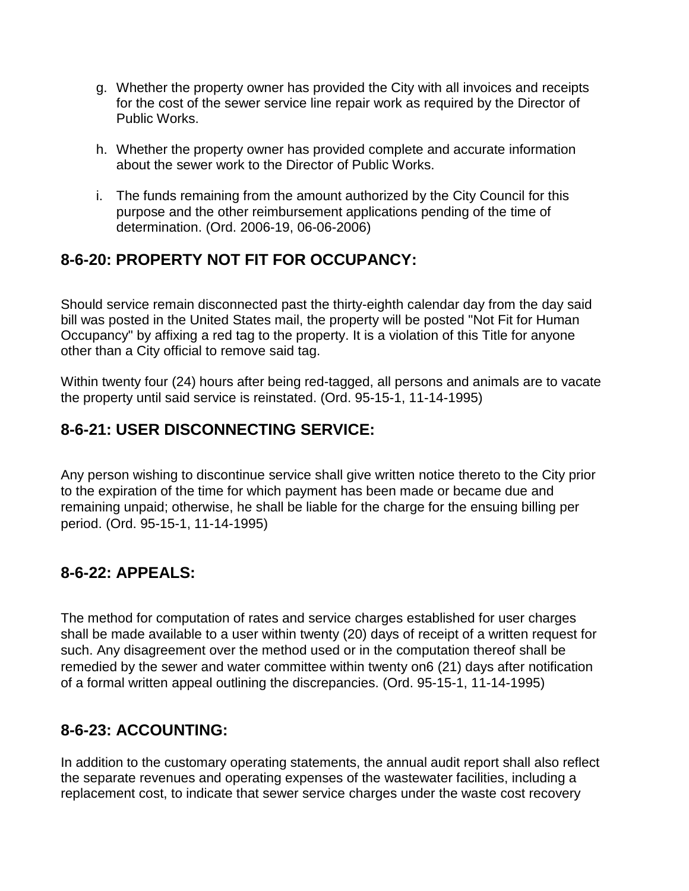- g. Whether the property owner has provided the City with all invoices and receipts for the cost of the sewer service line repair work as required by the Director of Public Works.
- h. Whether the property owner has provided complete and accurate information about the sewer work to the Director of Public Works.
- i. The funds remaining from the amount authorized by the City Council for this purpose and the other reimbursement applications pending of the time of determination. (Ord. 2006-19, 06-06-2006)

## **8-6-20: PROPERTY NOT FIT FOR OCCUPANCY:**

Should service remain disconnected past the thirty-eighth calendar day from the day said bill was posted in the United States mail, the property will be posted "Not Fit for Human Occupancy" by affixing a red tag to the property. It is a violation of this Title for anyone other than a City official to remove said tag.

Within twenty four (24) hours after being red-tagged, all persons and animals are to vacate the property until said service is reinstated. (Ord. 95-15-1, 11-14-1995)

#### **8-6-21: USER DISCONNECTING SERVICE:**

Any person wishing to discontinue service shall give written notice thereto to the City prior to the expiration of the time for which payment has been made or became due and remaining unpaid; otherwise, he shall be liable for the charge for the ensuing billing per period. (Ord. 95-15-1, 11-14-1995)

## **8-6-22: APPEALS:**

The method for computation of rates and service charges established for user charges shall be made available to a user within twenty (20) days of receipt of a written request for such. Any disagreement over the method used or in the computation thereof shall be remedied by the sewer and water committee within twenty on6 (21) days after notification of a formal written appeal outlining the discrepancies. (Ord. 95-15-1, 11-14-1995)

## **8-6-23: ACCOUNTING:**

In addition to the customary operating statements, the annual audit report shall also reflect the separate revenues and operating expenses of the wastewater facilities, including a replacement cost, to indicate that sewer service charges under the waste cost recovery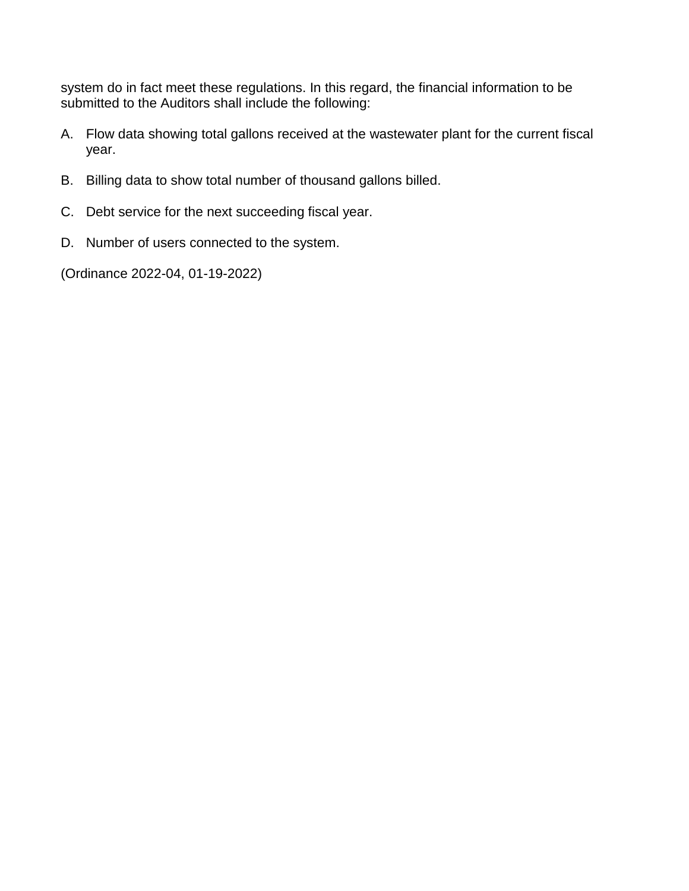system do in fact meet these regulations. In this regard, the financial information to be submitted to the Auditors shall include the following:

- A. Flow data showing total gallons received at the wastewater plant for the current fiscal year.
- B. Billing data to show total number of thousand gallons billed.
- C. Debt service for the next succeeding fiscal year.
- D. Number of users connected to the system.

(Ordinance 2022-04, 01-19-2022)